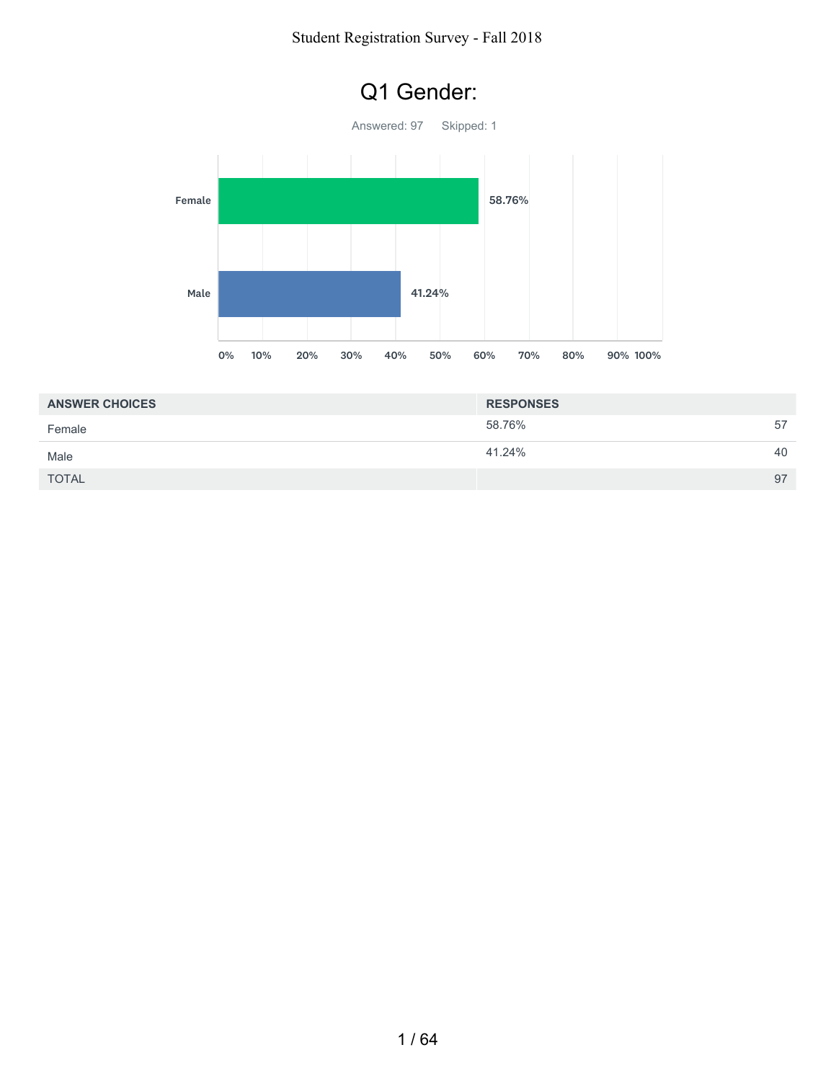#### Student Registration Survey - Fall 2018



| <b>ANSWER CHOICES</b> | <b>RESPONSES</b> |    |
|-----------------------|------------------|----|
| Female                | 58.76%           | 57 |
| Male                  | 41.24%           | 40 |
| <b>TOTAL</b>          |                  | 97 |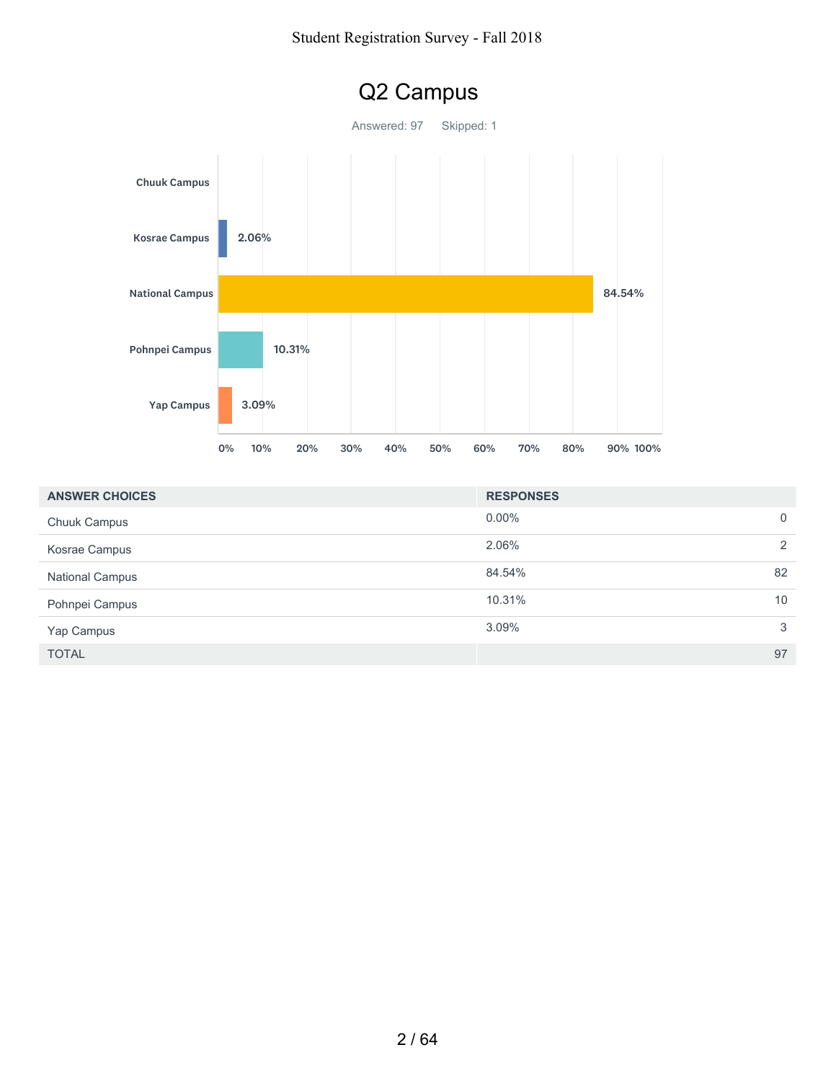

| <b>ANSWER CHOICES</b>  | <b>RESPONSES</b> |
|------------------------|------------------|
| <b>Chuuk Campus</b>    | $0.00\%$<br>0    |
| Kosrae Campus          | 2.06%<br>2       |
| <b>National Campus</b> | 84.54%<br>82     |
| Pohnpei Campus         | 10.31%<br>10     |
| Yap Campus             | 3.09%<br>3       |
| <b>TOTAL</b>           | 97               |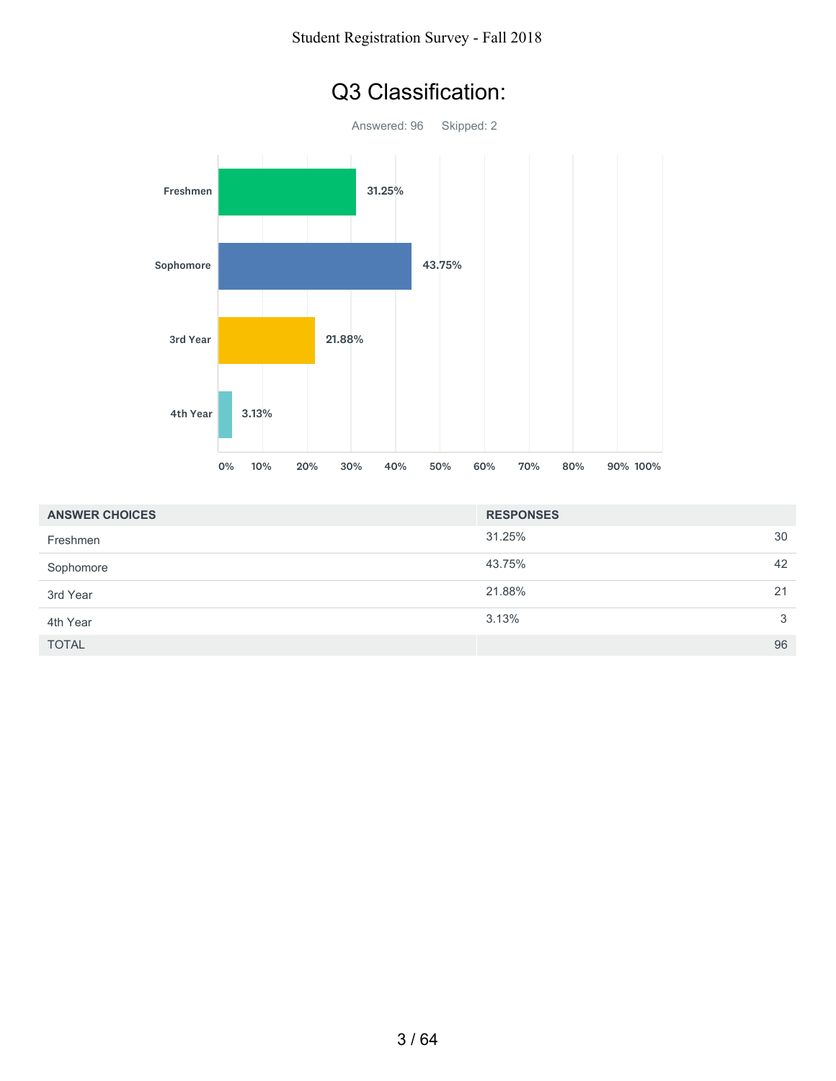

| <b>ANSWER CHOICES</b> | <b>RESPONSES</b> |    |
|-----------------------|------------------|----|
| Freshmen              | 31.25%           | 30 |
| Sophomore             | 43.75%           | 42 |
| 3rd Year              | 21.88%           | 21 |
| 4th Year              | 3.13%            | 3  |
| <b>TOTAL</b>          |                  | 96 |

### Q3 Classification: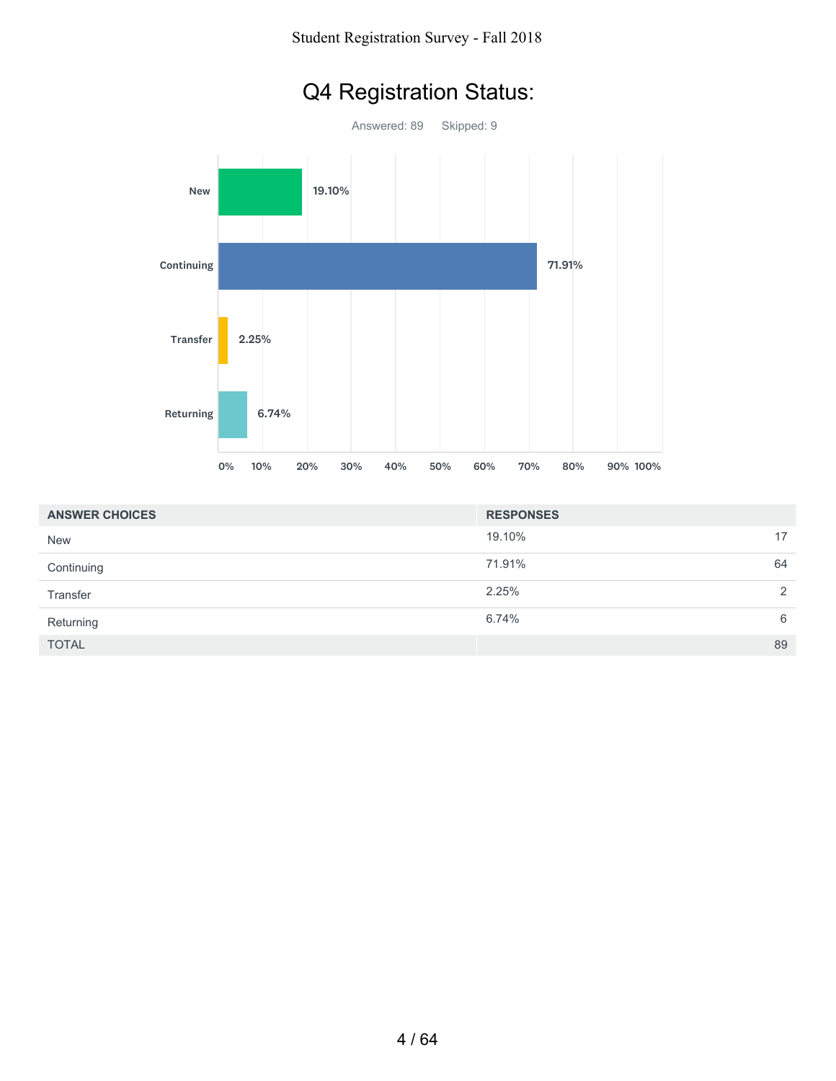# Q4 Registration Status:



| <b>ANSWER CHOICES</b> | <b>RESPONSES</b> |    |
|-----------------------|------------------|----|
| <b>New</b>            | 19.10%           | 17 |
| Continuing            | 71.91%           | 64 |
| Transfer              | 2.25%            | 2  |
| Returning             | 6.74%            | 6  |
| <b>TOTAL</b>          |                  | 89 |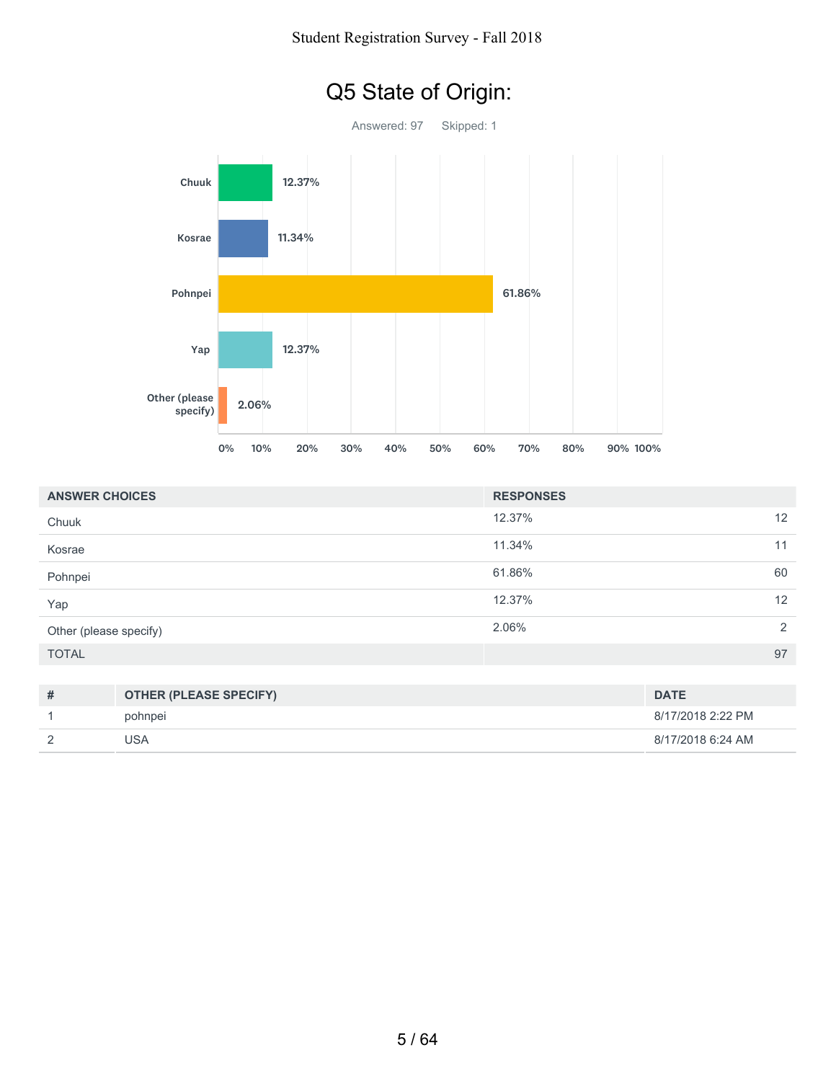

| <b>ANSWER CHOICES</b>  |                                | <b>RESPONSES</b> |             |
|------------------------|--------------------------------|------------------|-------------|
| Chuuk                  |                                | 12.37%           | 12          |
| Kosrae                 |                                | 11.34%           | 11          |
| Pohnpei                |                                | 61.86%           | 60          |
| Yap                    |                                | 12.37%           | 12          |
| Other (please specify) |                                | 2.06%            | 2           |
| <b>TOTAL</b>           |                                |                  | 97          |
|                        |                                |                  |             |
| $+4$                   | <b>OTHED (DI EASE SDECIEV)</b> |                  | <b>DATE</b> |

| $\boldsymbol{\pi}$ | <b>OTHER (PLEASE SPECIFY)</b> | <b>DATE</b>       |
|--------------------|-------------------------------|-------------------|
|                    | pohnpei                       | 8/17/2018 2:22 PM |
|                    | JSA                           | 8/17/2018 6:24 AM |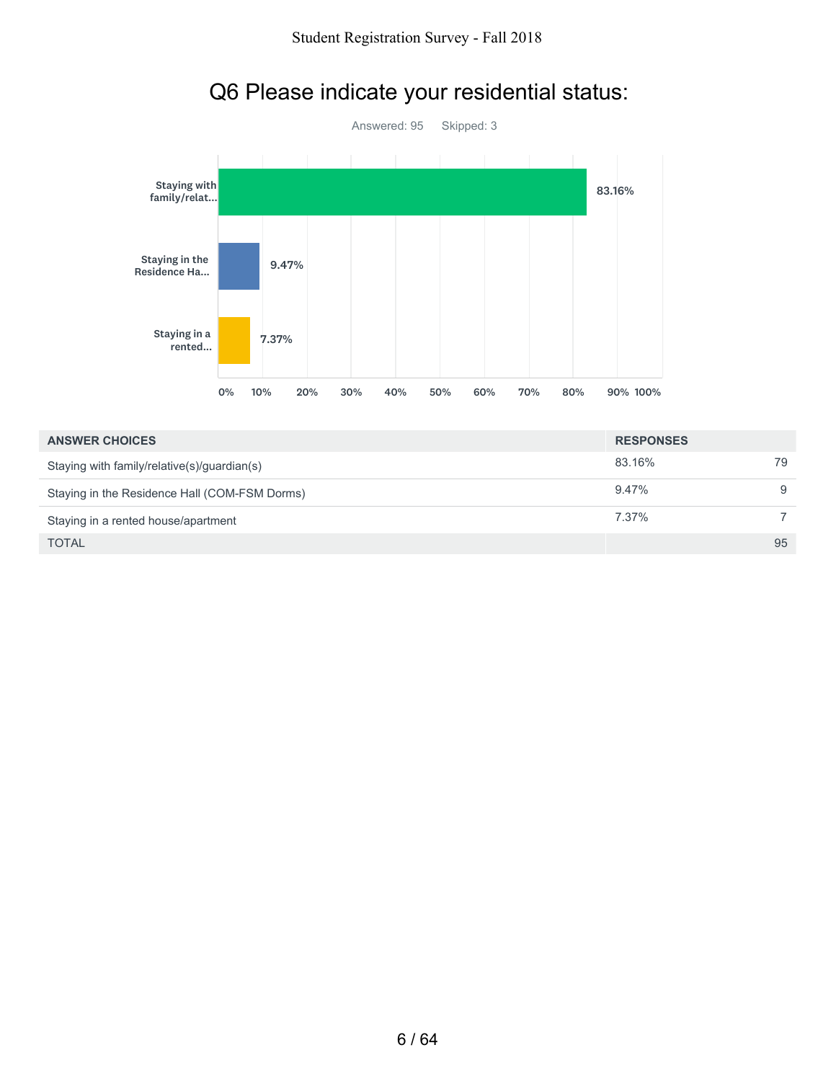

### Q6 Please indicate your residential status:

| <b>ANSWER CHOICES</b>                         | <b>RESPONSES</b> |    |
|-----------------------------------------------|------------------|----|
| Staying with family/relative(s)/guardian(s)   | 83.16%           | 79 |
| Staying in the Residence Hall (COM-FSM Dorms) | $9.47\%$         | 9  |
| Staying in a rented house/apartment           | 7.37%            |    |
| <b>TOTAL</b>                                  |                  | 95 |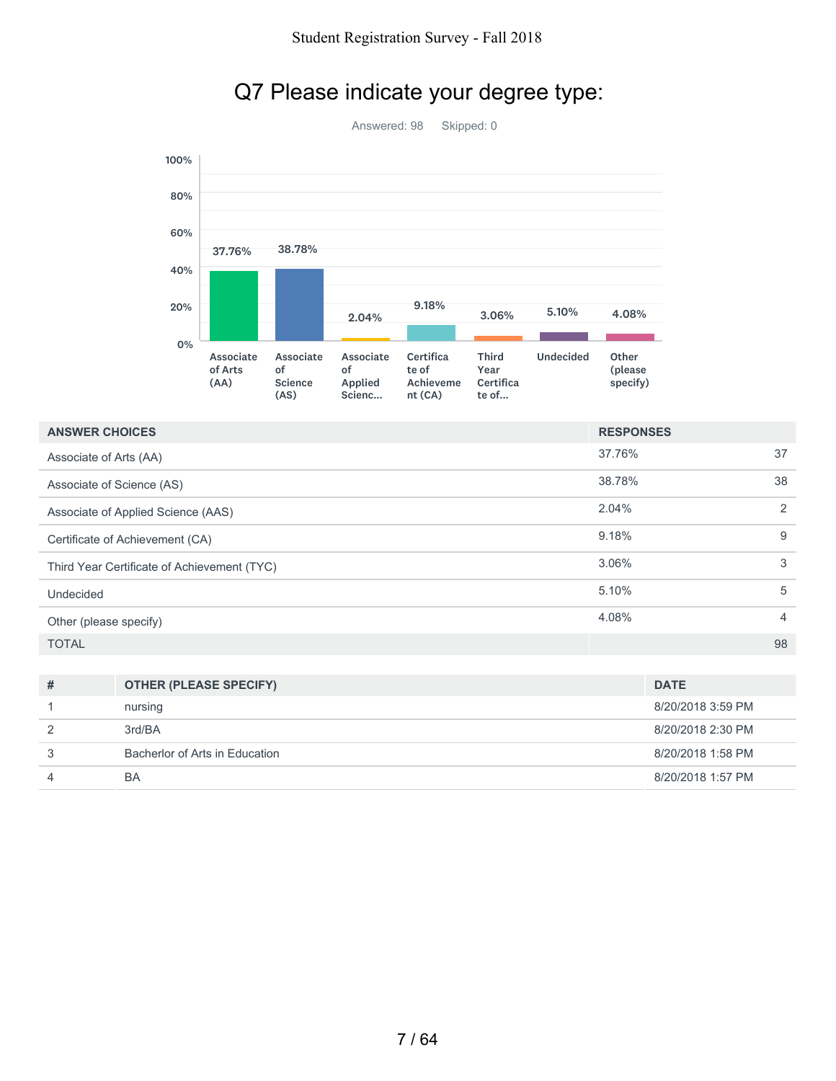

### Q7 Please indicate your degree type:

Answered: 98 Skipped: 0

| <b>ANSWER CHOICES</b>                       | <b>RESPONSES</b> |                |
|---------------------------------------------|------------------|----------------|
| Associate of Arts (AA)                      | 37.76%           | 37             |
| Associate of Science (AS)                   | 38.78%           | 38             |
| Associate of Applied Science (AAS)          | 2.04%            | 2              |
| Certificate of Achievement (CA)             | 9.18%            | 9              |
| Third Year Certificate of Achievement (TYC) | 3.06%            | 3              |
| Undecided                                   | 5.10%            | 5              |
| Other (please specify)                      | 4.08%            | $\overline{4}$ |
| <b>TOTAL</b>                                |                  | 98             |

| # | <b>OTHER (PLEASE SPECIFY)</b>  | <b>DATE</b>       |
|---|--------------------------------|-------------------|
|   | nursing                        | 8/20/2018 3:59 PM |
|   | 3rd/BA                         | 8/20/2018 2:30 PM |
|   | Bacherlor of Arts in Education | 8/20/2018 1:58 PM |
|   | BA                             | 8/20/2018 1:57 PM |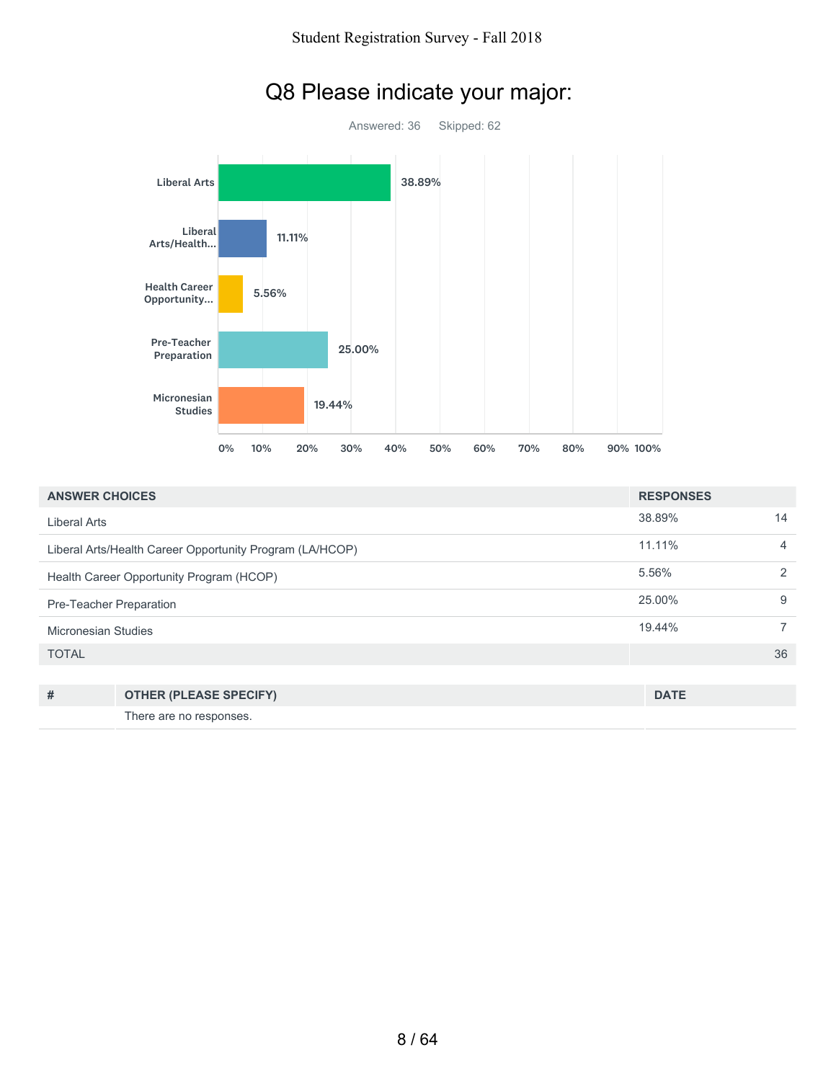

| <b>ANSWER CHOICES</b>   |                                                          | <b>RESPONSES</b> |    |
|-------------------------|----------------------------------------------------------|------------------|----|
| <b>Liberal Arts</b>     |                                                          | 38.89%           | 14 |
|                         | Liberal Arts/Health Career Opportunity Program (LA/HCOP) | 11.11%           | 4  |
|                         | Health Career Opportunity Program (HCOP)                 | 5.56%            | 2  |
| Pre-Teacher Preparation |                                                          | 25.00%           | 9  |
| Micronesian Studies     |                                                          | 19.44%           | 7  |
| <b>TOTAL</b>            |                                                          |                  | 36 |
|                         |                                                          |                  |    |
| #                       | <b>OTHER (PLEASE SPECIFY)</b>                            | <b>DATE</b>      |    |
|                         | There are no responses.                                  |                  |    |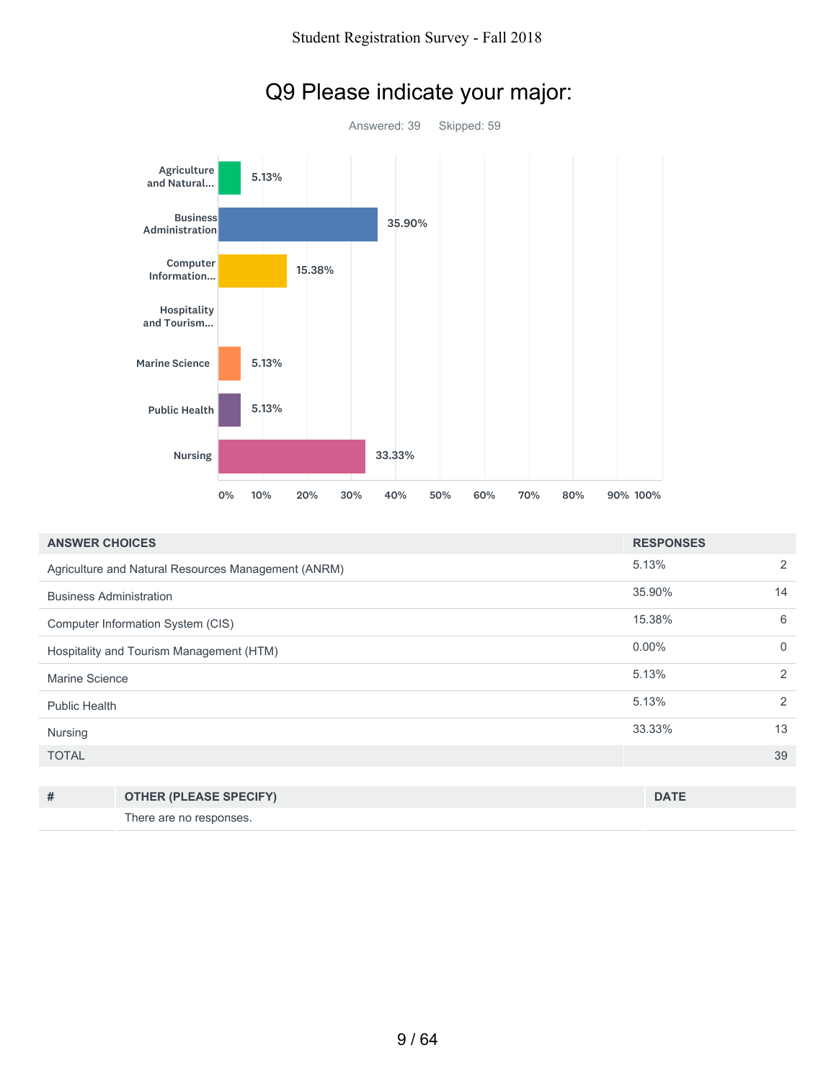

### Q9 Please indicate your major:

| <b>ANSWER CHOICES</b>                    |                                                     | <b>RESPONSES</b> |          |
|------------------------------------------|-----------------------------------------------------|------------------|----------|
|                                          | Agriculture and Natural Resources Management (ANRM) | 5.13%            | 2        |
| <b>Business Administration</b>           |                                                     | 35.90%           | 14       |
|                                          | Computer Information System (CIS)                   | 15.38%           | 6        |
| Hospitality and Tourism Management (HTM) |                                                     | $0.00\%$         | $\Omega$ |
| Marine Science                           |                                                     | 5.13%            | 2        |
| <b>Public Health</b>                     |                                                     | 5.13%            | 2        |
| Nursing                                  |                                                     | 33.33%           | 13       |
| <b>TOTAL</b>                             |                                                     |                  | 39       |
|                                          |                                                     |                  |          |
| #                                        | <b>OTHER (PLEASE SPECIFY)</b>                       | <b>DATE</b>      |          |

There are no responses.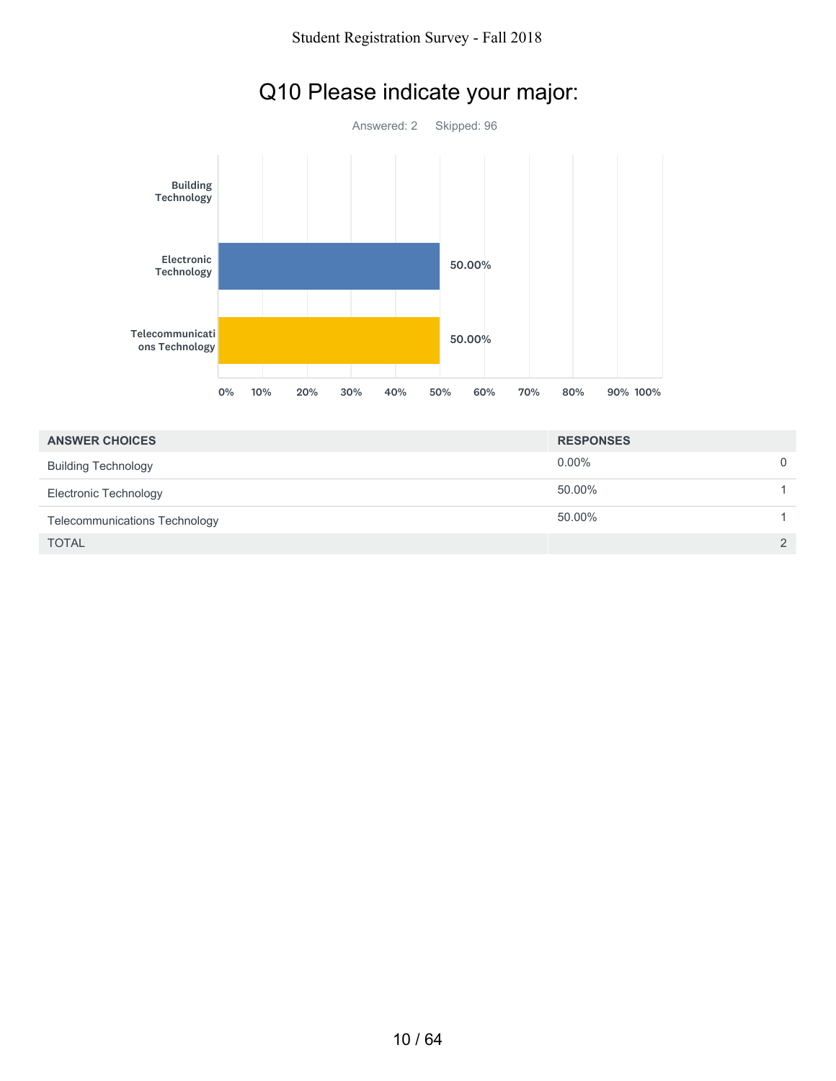

# Q10 Please indicate your major:

| <b>ANSWER CHOICES</b>         | <b>RESPONSES</b> |               |
|-------------------------------|------------------|---------------|
| <b>Building Technology</b>    | $0.00\%$         | $\Omega$      |
| Electronic Technology         | 50.00%           |               |
| Telecommunications Technology | 50.00%           |               |
| <b>TOTAL</b>                  |                  | $\mathcal{P}$ |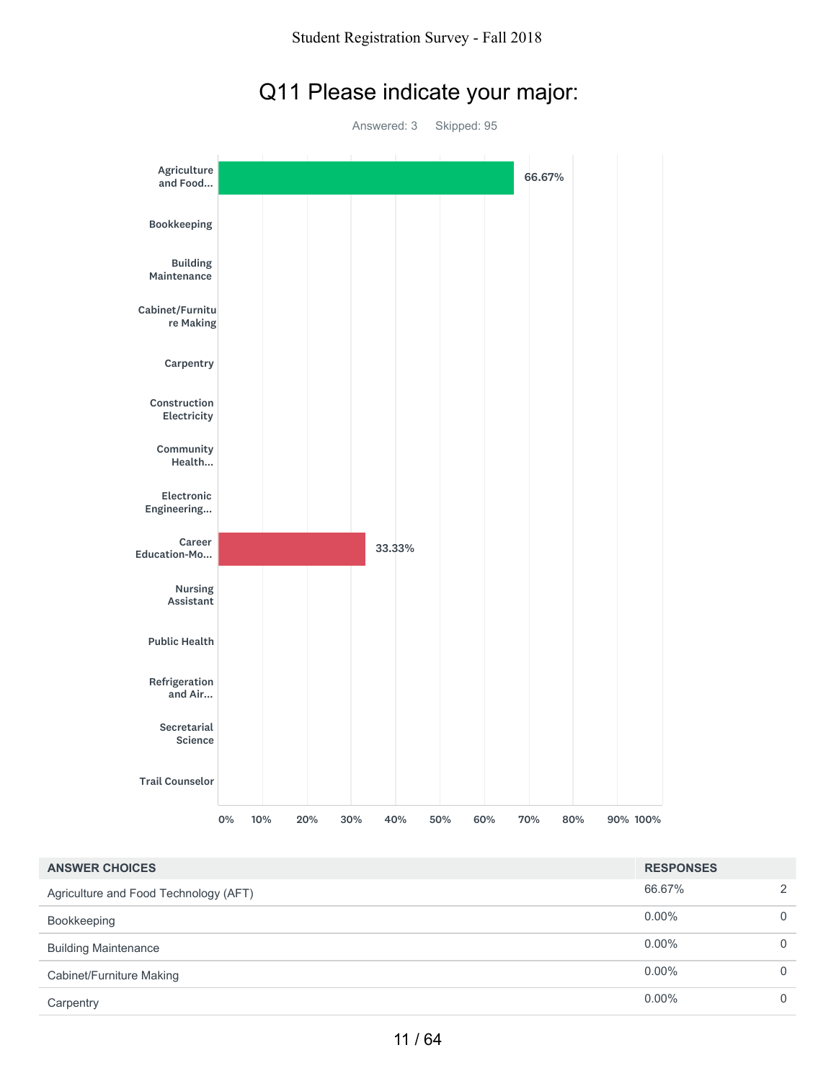

### Q11 Please indicate your major:

| <b>ANSWER CHOICES</b>                 | <b>RESPONSES</b> |               |
|---------------------------------------|------------------|---------------|
| Agriculture and Food Technology (AFT) | 66.67%           | $\mathcal{P}$ |
| Bookkeeping                           | $0.00\%$         | $\Omega$      |
| <b>Building Maintenance</b>           | $0.00\%$         | $\Omega$      |
| Cabinet/Furniture Making              | $0.00\%$         | $\Omega$      |
| Carpentry                             | $0.00\%$         | 0             |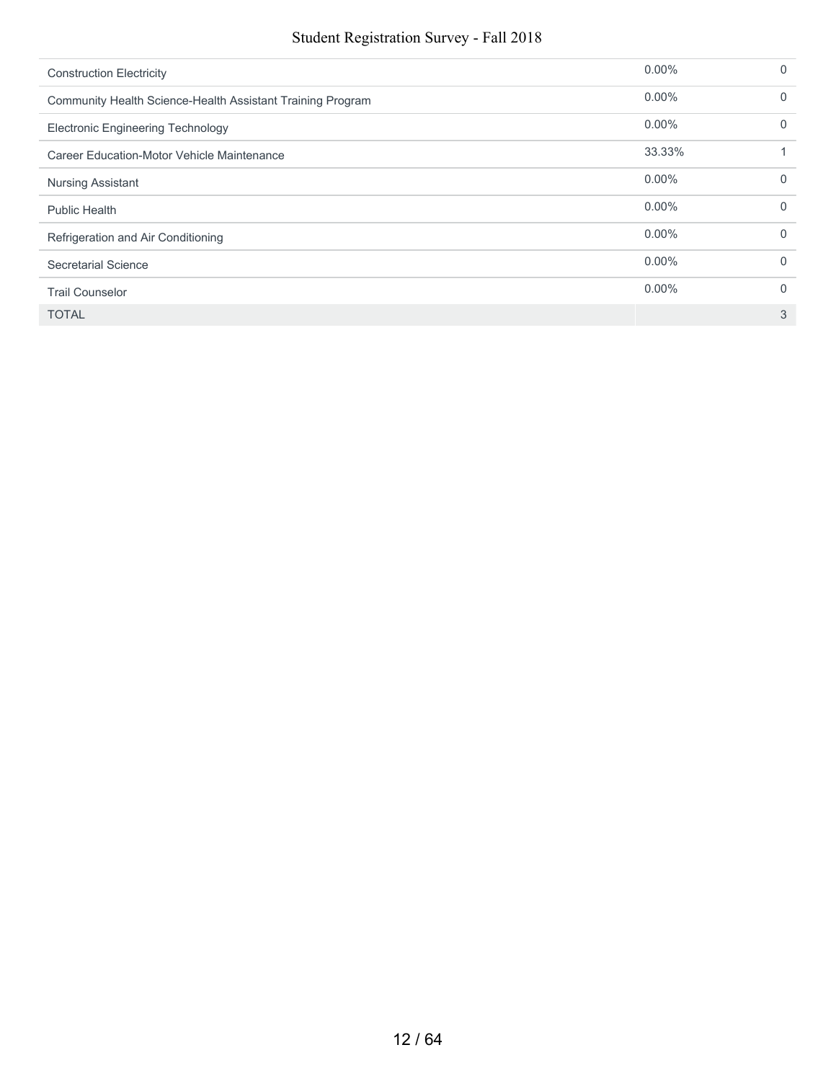#### Student Registration Survey - Fall 2018

| <b>Construction Electricity</b>                            | $0.00\%$ | 0        |
|------------------------------------------------------------|----------|----------|
| Community Health Science-Health Assistant Training Program | $0.00\%$ | $\Omega$ |
| <b>Electronic Engineering Technology</b>                   | $0.00\%$ | $\Omega$ |
| Career Education-Motor Vehicle Maintenance                 | 33.33%   |          |
| <b>Nursing Assistant</b>                                   | $0.00\%$ | $\Omega$ |
| <b>Public Health</b>                                       | $0.00\%$ | 0        |
| Refrigeration and Air Conditioning                         | $0.00\%$ | 0        |
| Secretarial Science                                        | $0.00\%$ | $\Omega$ |
| <b>Trail Counselor</b>                                     | $0.00\%$ | 0        |
| <b>TOTAL</b>                                               |          | 3        |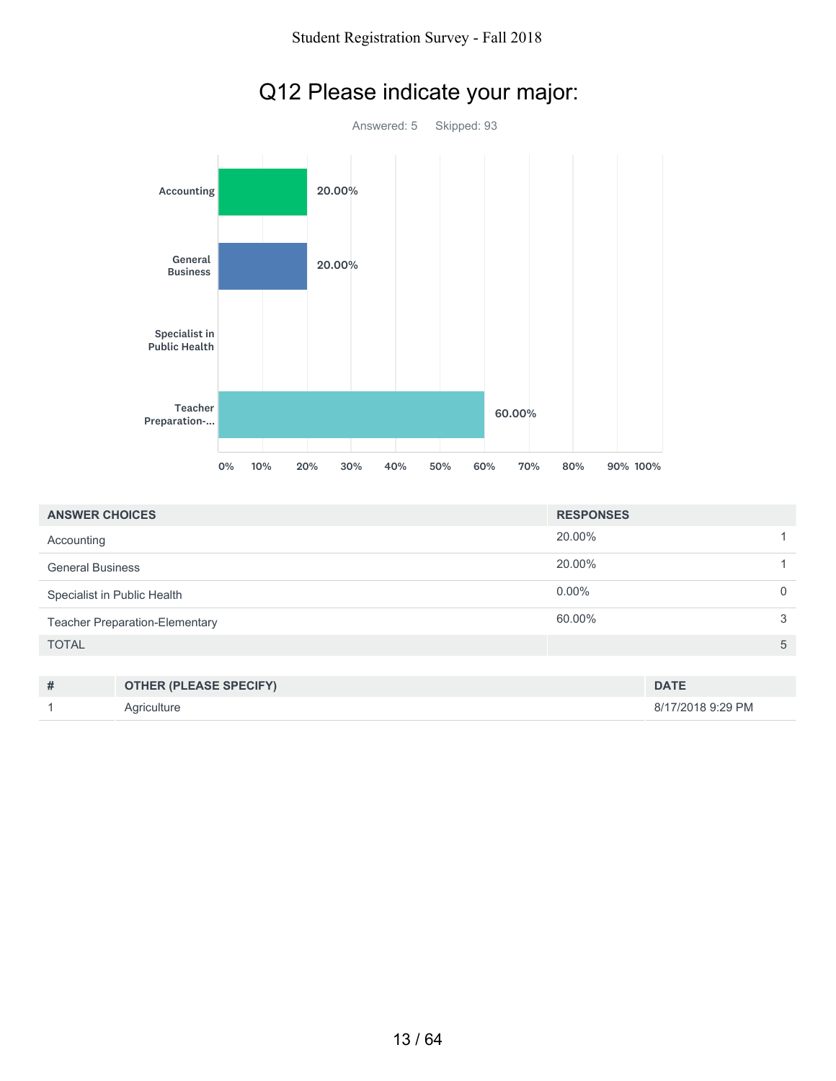

# Q12 Please indicate your major:

| <b>ANSWER CHOICES</b>                 | <b>RESPONSES</b> |   |
|---------------------------------------|------------------|---|
| Accounting                            | 20.00%           |   |
| <b>General Business</b>               | 20.00%           |   |
| Specialist in Public Health           | $0.00\%$         |   |
| <b>Teacher Preparation-Elementary</b> | 60.00%           | 3 |
| <b>TOTAL</b>                          |                  | 5 |

| # | <b>OTHER (PLEASE SPECIFY)</b> | <b>DATE</b>       |
|---|-------------------------------|-------------------|
|   | Aariculture                   | 8/17/2018 9:29 PM |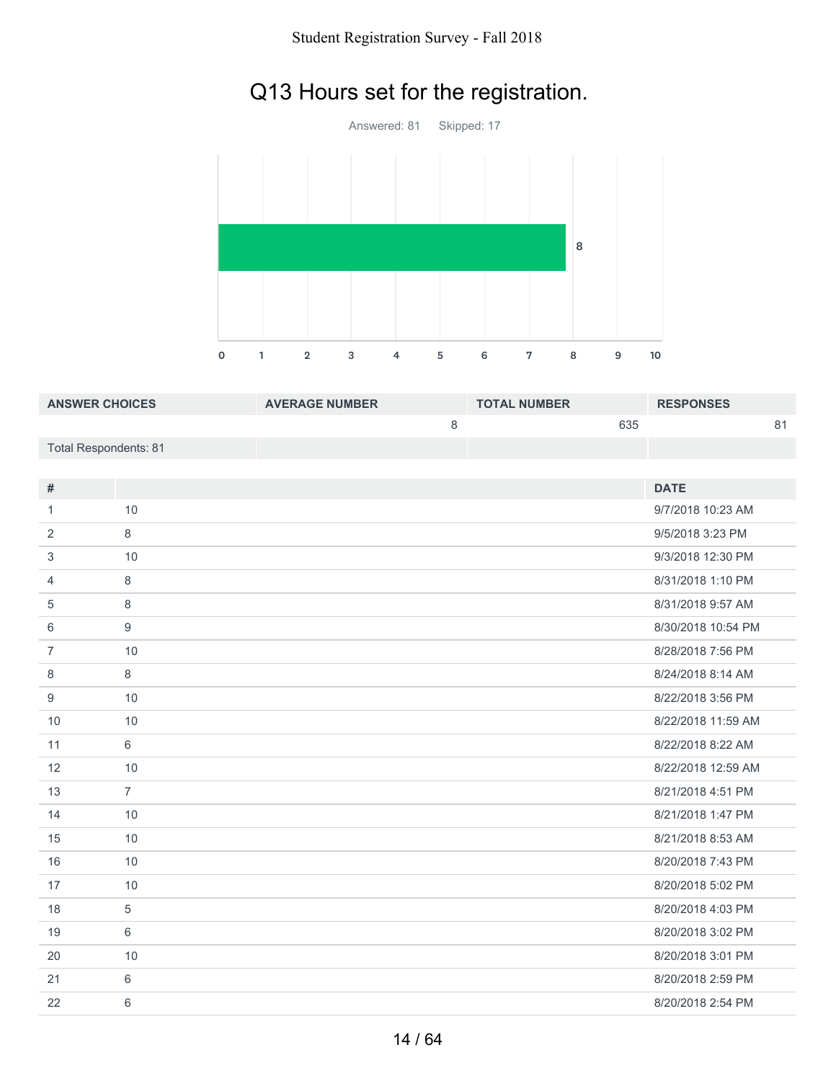# Q13 Hours set for the registration.



| <b>ANSWER CHOICES</b> | <b>AVERAGE NUMBER</b> | <b>TOTAL NUMBER</b> | <b>RESPONSES</b> |
|-----------------------|-----------------------|---------------------|------------------|
|                       |                       | 635                 | о 1              |
| Total Respondents: 81 |                       |                     |                  |

| #              |                | <b>DATE</b>        |
|----------------|----------------|--------------------|
| 1              | 10             | 9/7/2018 10:23 AM  |
| 2              | 8              | 9/5/2018 3:23 PM   |
| 3              | 10             | 9/3/2018 12:30 PM  |
| $\overline{4}$ | 8              | 8/31/2018 1:10 PM  |
| 5              | 8              | 8/31/2018 9:57 AM  |
| 6              | 9              | 8/30/2018 10:54 PM |
| $\overline{7}$ | 10             | 8/28/2018 7:56 PM  |
| 8              | 8              | 8/24/2018 8:14 AM  |
| 9              | 10             | 8/22/2018 3:56 PM  |
| 10             | 10             | 8/22/2018 11:59 AM |
| 11             | 6              | 8/22/2018 8:22 AM  |
| 12             | 10             | 8/22/2018 12:59 AM |
| 13             | $\overline{7}$ | 8/21/2018 4:51 PM  |
| 14             | 10             | 8/21/2018 1:47 PM  |
| 15             | 10             | 8/21/2018 8:53 AM  |
| 16             | 10             | 8/20/2018 7:43 PM  |
| 17             | 10             | 8/20/2018 5:02 PM  |
| 18             | 5              | 8/20/2018 4:03 PM  |
| 19             | 6              | 8/20/2018 3:02 PM  |
| 20             | 10             | 8/20/2018 3:01 PM  |
| 21             | 6              | 8/20/2018 2:59 PM  |
| 22             | 6              | 8/20/2018 2:54 PM  |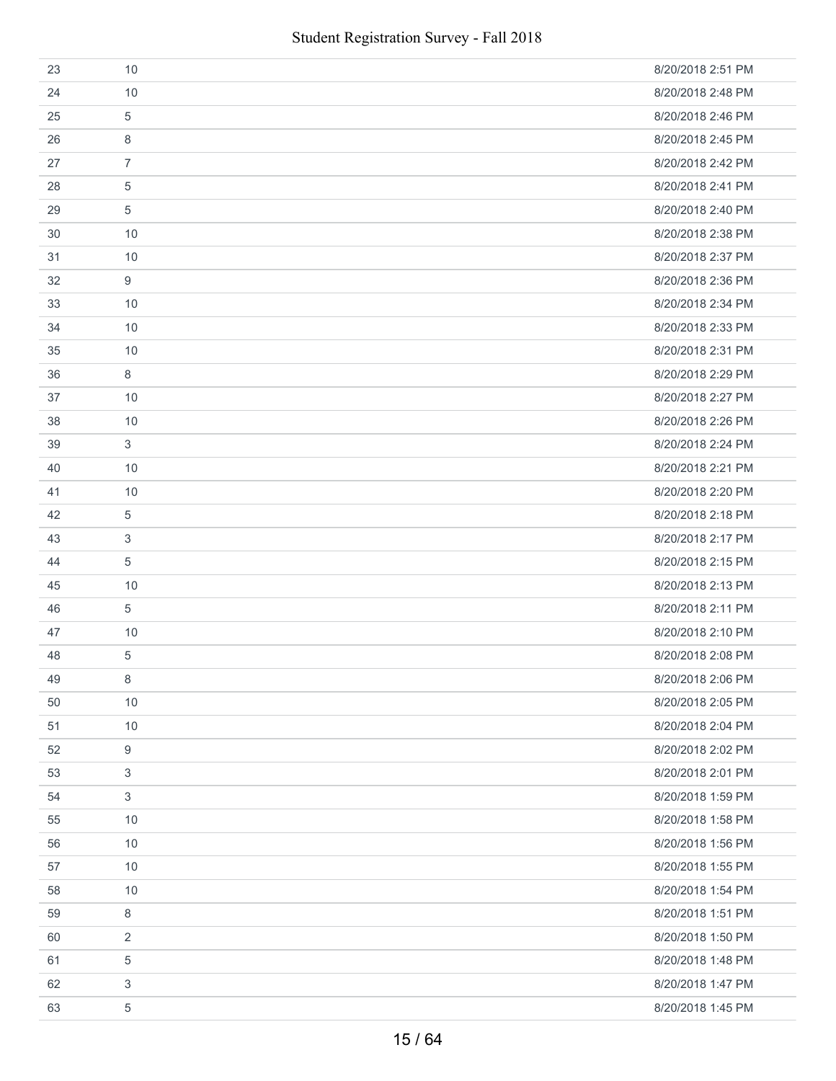| 23 | 10             | 8/20/2018 2:51 PM |
|----|----------------|-------------------|
| 24 | 10             | 8/20/2018 2:48 PM |
| 25 | 5              | 8/20/2018 2:46 PM |
| 26 | 8              | 8/20/2018 2:45 PM |
| 27 | $\overline{7}$ | 8/20/2018 2:42 PM |
| 28 | 5              | 8/20/2018 2:41 PM |
| 29 | 5              | 8/20/2018 2:40 PM |
| 30 | 10             | 8/20/2018 2:38 PM |
| 31 | 10             | 8/20/2018 2:37 PM |
| 32 | 9              | 8/20/2018 2:36 PM |
| 33 | 10             | 8/20/2018 2:34 PM |
| 34 | 10             | 8/20/2018 2:33 PM |
| 35 | 10             | 8/20/2018 2:31 PM |
| 36 | 8              | 8/20/2018 2:29 PM |
| 37 | 10             | 8/20/2018 2:27 PM |
| 38 | 10             | 8/20/2018 2:26 PM |
| 39 | 3              | 8/20/2018 2:24 PM |
| 40 | 10             | 8/20/2018 2:21 PM |
| 41 | 10             | 8/20/2018 2:20 PM |
| 42 | 5              | 8/20/2018 2:18 PM |
| 43 | 3              | 8/20/2018 2:17 PM |
| 44 | 5              | 8/20/2018 2:15 PM |
| 45 | 10             | 8/20/2018 2:13 PM |
| 46 | 5              | 8/20/2018 2:11 PM |
| 47 | 10             | 8/20/2018 2:10 PM |
| 48 | 5              | 8/20/2018 2:08 PM |
| 49 | $\,8\,$        | 8/20/2018 2:06 PM |
| 50 | 10             | 8/20/2018 2:05 PM |
| 51 | 10             | 8/20/2018 2:04 PM |
| 52 | 9              | 8/20/2018 2:02 PM |
| 53 | 3              | 8/20/2018 2:01 PM |
| 54 | 3              | 8/20/2018 1:59 PM |
| 55 | 10             | 8/20/2018 1:58 PM |
| 56 | 10             | 8/20/2018 1:56 PM |
| 57 | 10             | 8/20/2018 1:55 PM |
| 58 | 10             | 8/20/2018 1:54 PM |
| 59 | 8              | 8/20/2018 1:51 PM |
| 60 | 2              | 8/20/2018 1:50 PM |
| 61 | 5              | 8/20/2018 1:48 PM |
| 62 | 3              | 8/20/2018 1:47 PM |
| 63 | 5              | 8/20/2018 1:45 PM |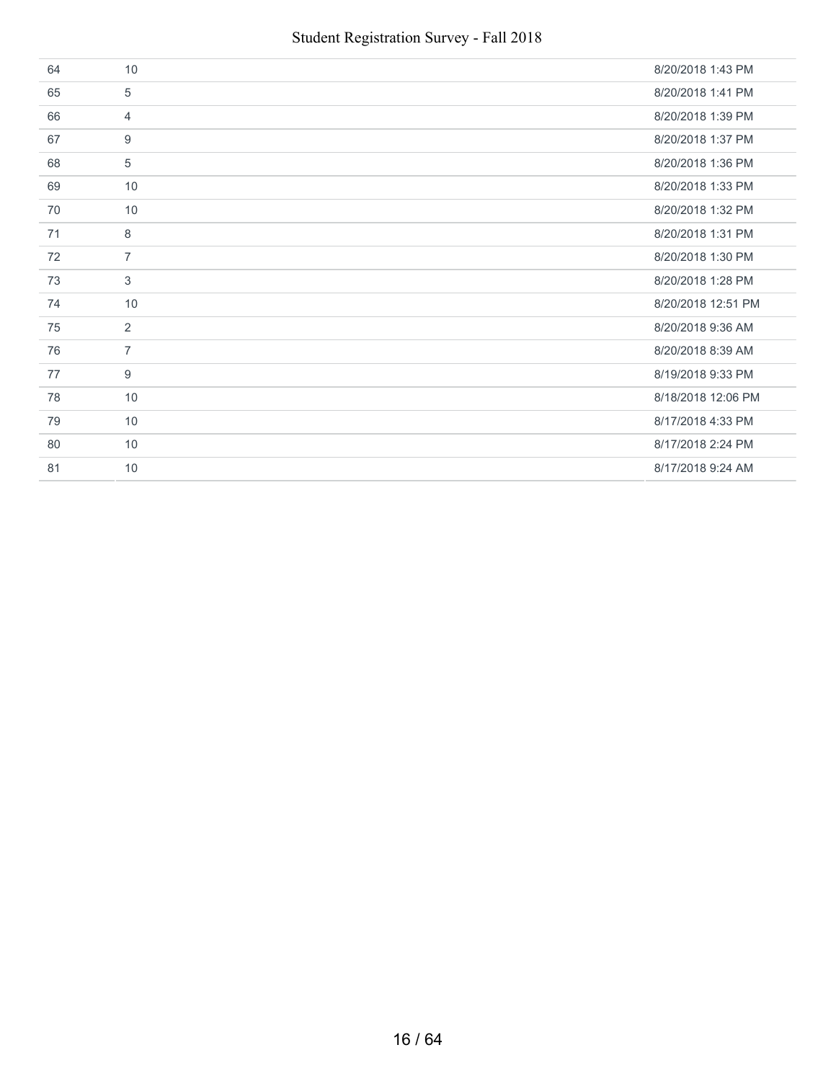| 64 | 10             | 8/20/2018 1:43 PM  |
|----|----------------|--------------------|
| 65 | 5              | 8/20/2018 1:41 PM  |
| 66 | $\overline{4}$ | 8/20/2018 1:39 PM  |
| 67 | 9              | 8/20/2018 1:37 PM  |
| 68 | 5              | 8/20/2018 1:36 PM  |
| 69 | 10             | 8/20/2018 1:33 PM  |
| 70 | 10             | 8/20/2018 1:32 PM  |
| 71 | 8              | 8/20/2018 1:31 PM  |
| 72 | $\overline{7}$ | 8/20/2018 1:30 PM  |
| 73 | 3              | 8/20/2018 1:28 PM  |
| 74 | 10             | 8/20/2018 12:51 PM |
| 75 | $\overline{2}$ | 8/20/2018 9:36 AM  |
| 76 | $\overline{7}$ | 8/20/2018 8:39 AM  |
| 77 | 9              | 8/19/2018 9:33 PM  |
| 78 | 10             | 8/18/2018 12:06 PM |
| 79 | 10             | 8/17/2018 4:33 PM  |
| 80 | 10             | 8/17/2018 2:24 PM  |
| 81 | 10             | 8/17/2018 9:24 AM  |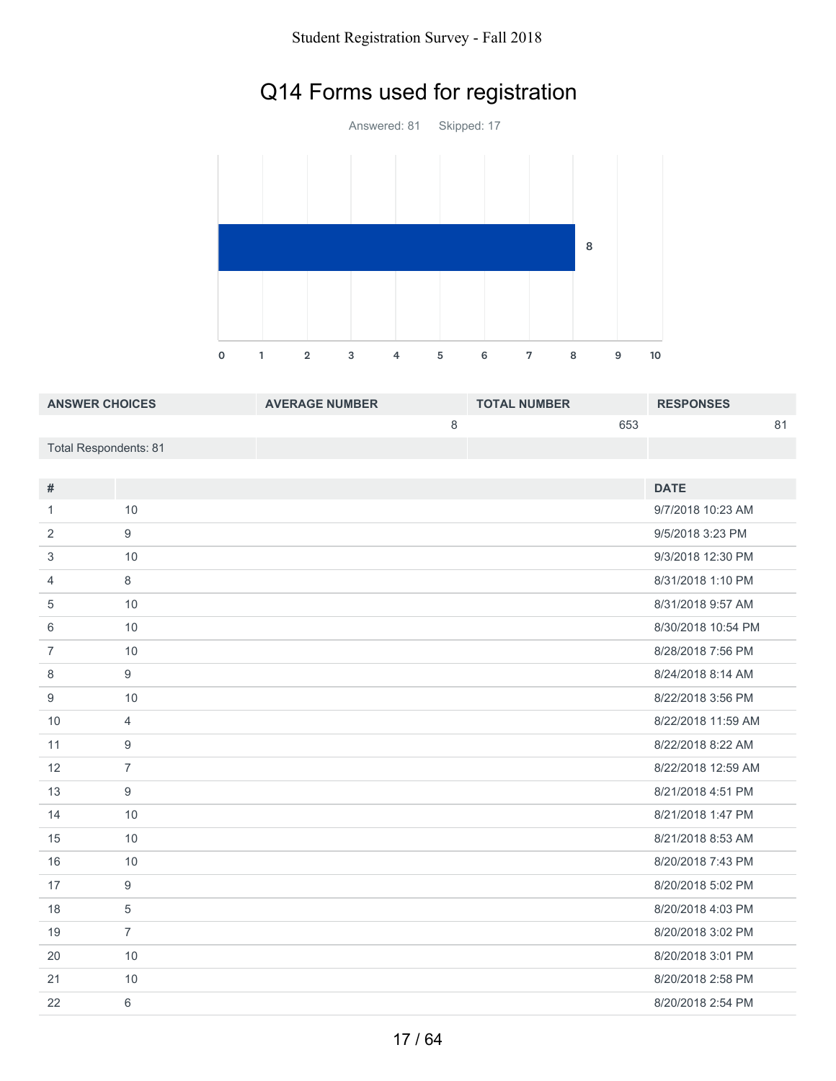# Q14 Forms used for registration



| <b>ANSWER CHOICES</b> | <b>AVERAGE NUMBER</b> | <b>TOTAL NUMBER</b> | <b>RESPONSES</b> |
|-----------------------|-----------------------|---------------------|------------------|
|                       |                       | 653                 | о 1              |
| Total Respondents: 81 |                       |                     |                  |

| #              |                | <b>DATE</b>        |
|----------------|----------------|--------------------|
| 1              | 10             | 9/7/2018 10:23 AM  |
| 2              | 9              | 9/5/2018 3:23 PM   |
| 3              | 10             | 9/3/2018 12:30 PM  |
| 4              | 8              | 8/31/2018 1:10 PM  |
| 5              | 10             | 8/31/2018 9:57 AM  |
| 6              | 10             | 8/30/2018 10:54 PM |
| $\overline{7}$ | 10             | 8/28/2018 7:56 PM  |
| 8              | 9              | 8/24/2018 8:14 AM  |
| 9              | 10             | 8/22/2018 3:56 PM  |
| 10             | $\overline{4}$ | 8/22/2018 11:59 AM |
| 11             | 9              | 8/22/2018 8:22 AM  |
| 12             | $\overline{7}$ | 8/22/2018 12:59 AM |
| 13             | 9              | 8/21/2018 4:51 PM  |
| 14             | 10             | 8/21/2018 1:47 PM  |
| 15             | 10             | 8/21/2018 8:53 AM  |
| 16             | 10             | 8/20/2018 7:43 PM  |
| 17             | 9              | 8/20/2018 5:02 PM  |
| 18             | 5              | 8/20/2018 4:03 PM  |
| 19             | $\overline{7}$ | 8/20/2018 3:02 PM  |
| 20             | 10             | 8/20/2018 3:01 PM  |
| 21             | 10             | 8/20/2018 2:58 PM  |
| 22             | 6              | 8/20/2018 2:54 PM  |
|                |                |                    |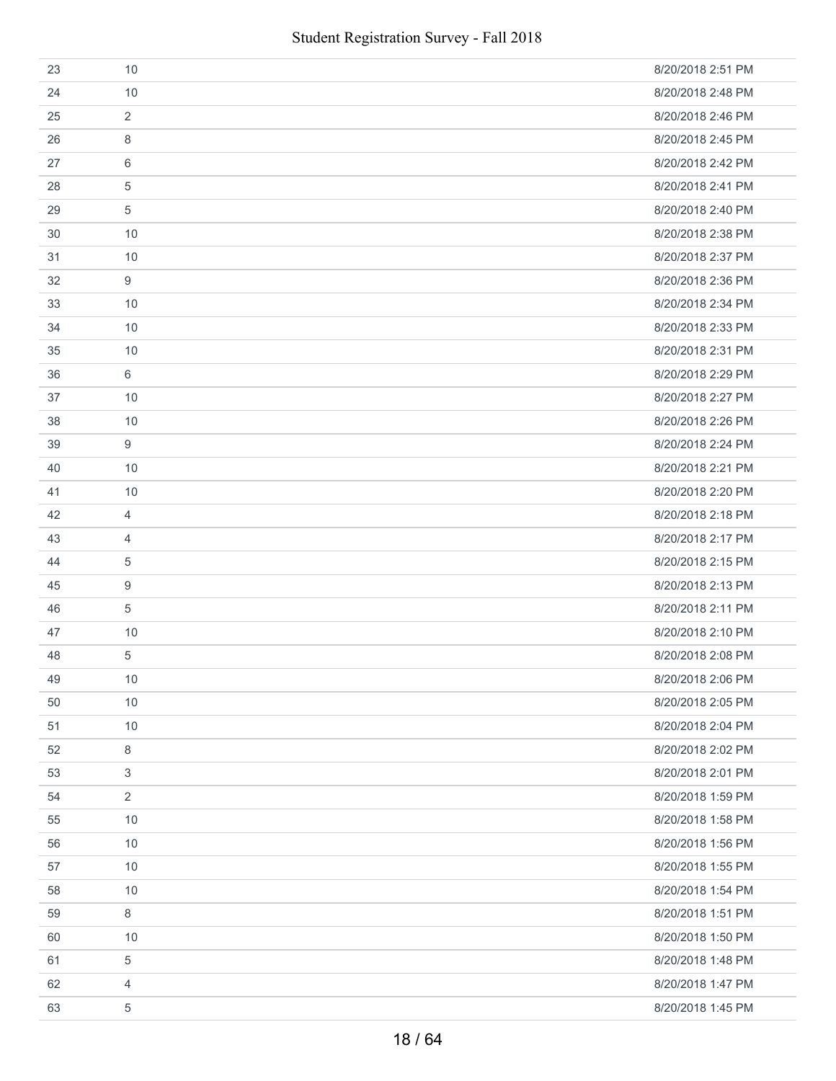| 23 | 10             | 8/20/2018 2:51 PM |
|----|----------------|-------------------|
| 24 | 10             | 8/20/2018 2:48 PM |
| 25 | $\overline{2}$ | 8/20/2018 2:46 PM |
| 26 | 8              | 8/20/2018 2:45 PM |
| 27 | 6              | 8/20/2018 2:42 PM |
| 28 | 5              | 8/20/2018 2:41 PM |
| 29 | 5              | 8/20/2018 2:40 PM |
| 30 | 10             | 8/20/2018 2:38 PM |
| 31 | 10             | 8/20/2018 2:37 PM |
| 32 | 9              | 8/20/2018 2:36 PM |
| 33 | 10             | 8/20/2018 2:34 PM |
| 34 | 10             | 8/20/2018 2:33 PM |
| 35 | 10             | 8/20/2018 2:31 PM |
| 36 | 6              | 8/20/2018 2:29 PM |
| 37 | 10             | 8/20/2018 2:27 PM |
| 38 | 10             | 8/20/2018 2:26 PM |
| 39 | 9              | 8/20/2018 2:24 PM |
| 40 | 10             | 8/20/2018 2:21 PM |
| 41 | 10             | 8/20/2018 2:20 PM |
| 42 | 4              | 8/20/2018 2:18 PM |
| 43 | 4              | 8/20/2018 2:17 PM |
| 44 | 5              | 8/20/2018 2:15 PM |
| 45 | 9              | 8/20/2018 2:13 PM |
| 46 | 5              | 8/20/2018 2:11 PM |
| 47 | 10             | 8/20/2018 2:10 PM |
| 48 | 5              | 8/20/2018 2:08 PM |
| 49 | $10$           | 8/20/2018 2:06 PM |
| 50 | 10             | 8/20/2018 2:05 PM |
| 51 | 10             | 8/20/2018 2:04 PM |
| 52 | 8              | 8/20/2018 2:02 PM |
| 53 | 3              | 8/20/2018 2:01 PM |
| 54 | $\overline{2}$ | 8/20/2018 1:59 PM |
| 55 | 10             | 8/20/2018 1:58 PM |
| 56 | 10             | 8/20/2018 1:56 PM |
| 57 | 10             | 8/20/2018 1:55 PM |
| 58 | 10             | 8/20/2018 1:54 PM |
| 59 | 8              | 8/20/2018 1:51 PM |
| 60 | 10             | 8/20/2018 1:50 PM |
| 61 | 5              | 8/20/2018 1:48 PM |
| 62 | $\overline{4}$ | 8/20/2018 1:47 PM |
| 63 | 5              | 8/20/2018 1:45 PM |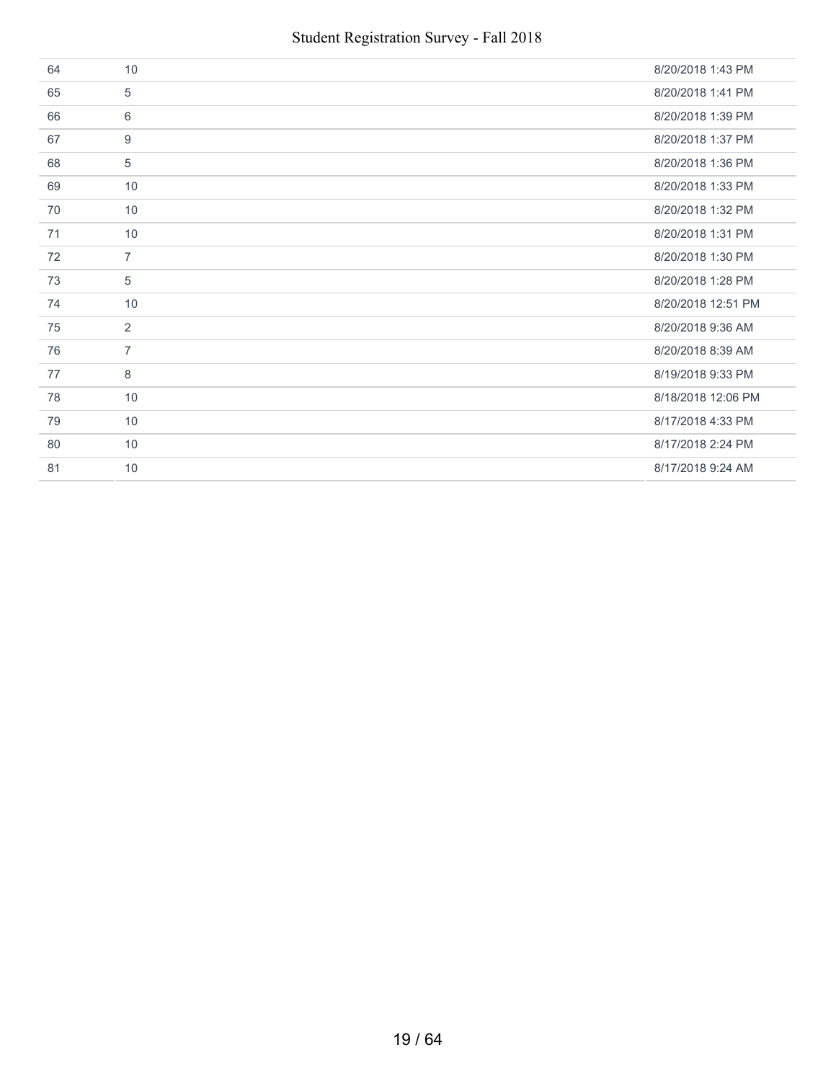| 64 | 10             | 8/20/2018 1:43 PM  |
|----|----------------|--------------------|
| 65 | 5              | 8/20/2018 1:41 PM  |
| 66 | 6              | 8/20/2018 1:39 PM  |
| 67 | 9              | 8/20/2018 1:37 PM  |
| 68 | 5              | 8/20/2018 1:36 PM  |
| 69 | 10             | 8/20/2018 1:33 PM  |
| 70 | 10             | 8/20/2018 1:32 PM  |
| 71 | 10             | 8/20/2018 1:31 PM  |
| 72 | $\overline{7}$ | 8/20/2018 1:30 PM  |
| 73 | 5              | 8/20/2018 1:28 PM  |
| 74 | 10             | 8/20/2018 12:51 PM |
| 75 | $\overline{2}$ | 8/20/2018 9:36 AM  |
| 76 | $\overline{7}$ | 8/20/2018 8:39 AM  |
| 77 | 8              | 8/19/2018 9:33 PM  |
| 78 | 10             | 8/18/2018 12:06 PM |
| 79 | 10             | 8/17/2018 4:33 PM  |
| 80 | 10             | 8/17/2018 2:24 PM  |
| 81 | 10             | 8/17/2018 9:24 AM  |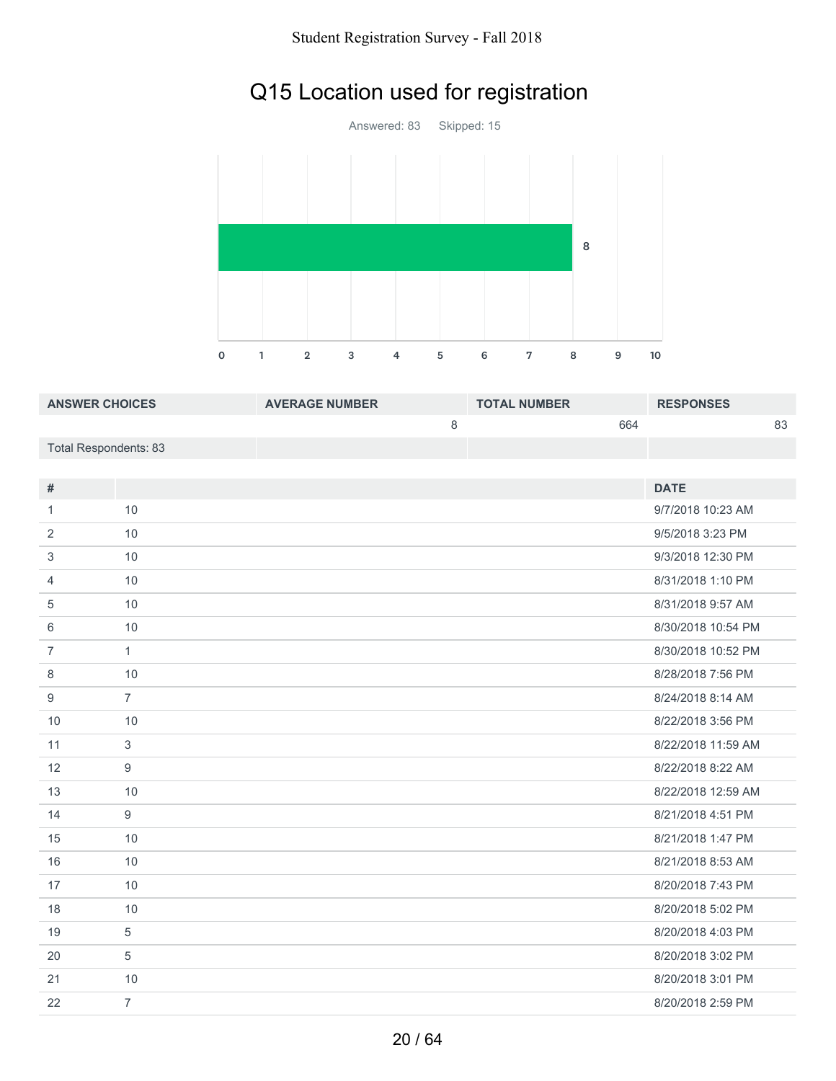# Q15 Location used for registration

Answered: 83 Skipped: 15 1 2 3 4 5 6 7 8 9 10 

| <b>ANSWER CHOICES</b> | <b>AVERAGE NUMBER</b> | <b>TOTAL NUMBER</b> | <b>RESPONSES</b> |
|-----------------------|-----------------------|---------------------|------------------|
|                       |                       | 664                 | 83               |
| Total Respondents: 83 |                       |                     |                  |

| $\#$           |                | <b>DATE</b>        |
|----------------|----------------|--------------------|
| 1              | 10             | 9/7/2018 10:23 AM  |
| 2              | 10             | 9/5/2018 3:23 PM   |
| 3              | 10             | 9/3/2018 12:30 PM  |
| 4              | 10             | 8/31/2018 1:10 PM  |
| 5              | 10             | 8/31/2018 9:57 AM  |
| 6              | 10             | 8/30/2018 10:54 PM |
| $\overline{7}$ | $\mathbf{1}$   | 8/30/2018 10:52 PM |
| 8              | 10             | 8/28/2018 7:56 PM  |
| 9              | $\overline{7}$ | 8/24/2018 8:14 AM  |
| 10             | 10             | 8/22/2018 3:56 PM  |
| 11             | 3              | 8/22/2018 11:59 AM |
|                |                |                    |
| 12             | 9              | 8/22/2018 8:22 AM  |
| 13             | 10             | 8/22/2018 12:59 AM |
| 14             | 9              | 8/21/2018 4:51 PM  |
| 15             | 10             | 8/21/2018 1:47 PM  |
| 16             | 10             | 8/21/2018 8:53 AM  |
| 17             | 10             | 8/20/2018 7:43 PM  |
| 18             | 10             | 8/20/2018 5:02 PM  |
| 19             | 5              | 8/20/2018 4:03 PM  |
| 20             | 5              | 8/20/2018 3:02 PM  |
| 21             | 10             | 8/20/2018 3:01 PM  |
| 22             | $\overline{7}$ | 8/20/2018 2:59 PM  |
|                |                |                    |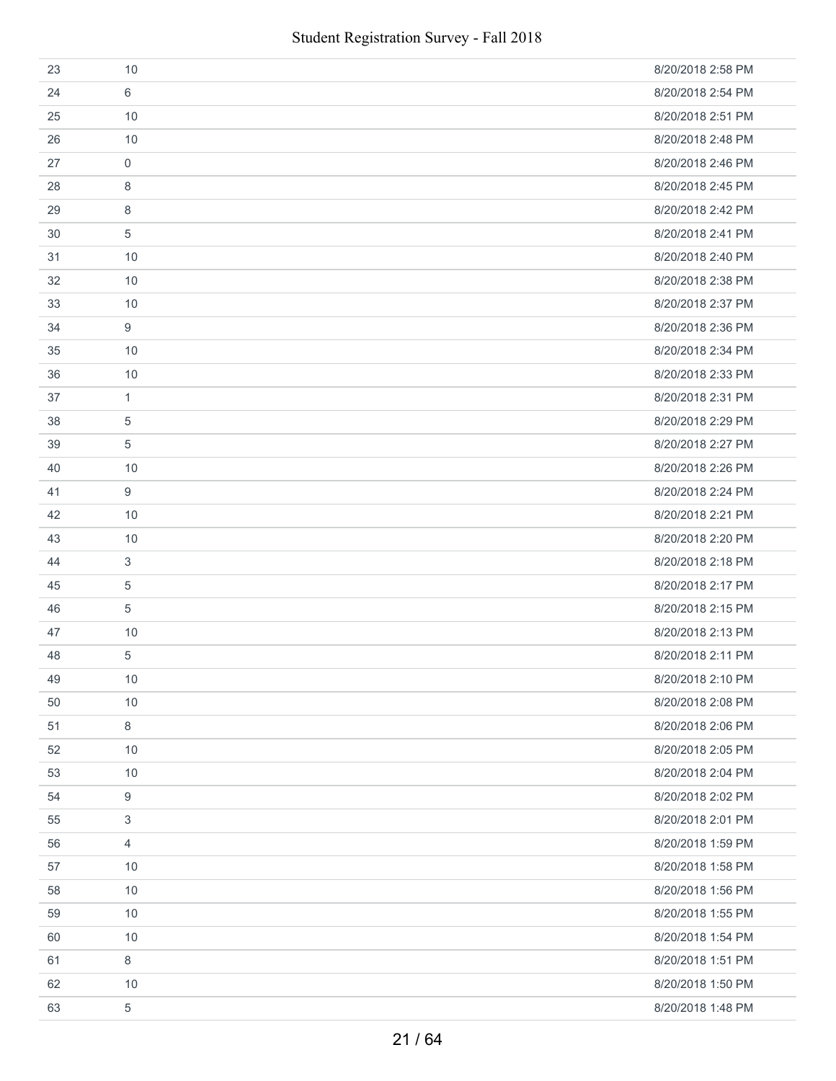| 23 | 10          | 8/20/2018 2:58 PM |
|----|-------------|-------------------|
| 24 | 6           | 8/20/2018 2:54 PM |
| 25 | 10          | 8/20/2018 2:51 PM |
| 26 | 10          | 8/20/2018 2:48 PM |
| 27 | $\mathbf 0$ | 8/20/2018 2:46 PM |
| 28 | 8           | 8/20/2018 2:45 PM |
| 29 | 8           | 8/20/2018 2:42 PM |
| 30 | 5           | 8/20/2018 2:41 PM |
| 31 | 10          | 8/20/2018 2:40 PM |
| 32 | 10          | 8/20/2018 2:38 PM |
| 33 | 10          | 8/20/2018 2:37 PM |
| 34 | 9           | 8/20/2018 2:36 PM |
| 35 | 10          | 8/20/2018 2:34 PM |
| 36 | 10          | 8/20/2018 2:33 PM |
| 37 | 1           | 8/20/2018 2:31 PM |
| 38 | 5           | 8/20/2018 2:29 PM |
| 39 | 5           | 8/20/2018 2:27 PM |
| 40 | 10          | 8/20/2018 2:26 PM |
| 41 | 9           | 8/20/2018 2:24 PM |
| 42 | 10          | 8/20/2018 2:21 PM |
| 43 | 10          | 8/20/2018 2:20 PM |
| 44 | 3           | 8/20/2018 2:18 PM |
| 45 | 5           | 8/20/2018 2:17 PM |
| 46 | 5           | 8/20/2018 2:15 PM |
| 47 | 10          | 8/20/2018 2:13 PM |
| 48 | 5           | 8/20/2018 2:11 PM |
| 49 | 10          | 8/20/2018 2:10 PM |
| 50 | 10          | 8/20/2018 2:08 PM |
| 51 | 8           | 8/20/2018 2:06 PM |
| 52 | 10          | 8/20/2018 2:05 PM |
| 53 | 10          | 8/20/2018 2:04 PM |
| 54 | 9           | 8/20/2018 2:02 PM |
| 55 | 3           | 8/20/2018 2:01 PM |
| 56 | 4           | 8/20/2018 1:59 PM |
| 57 | 10          | 8/20/2018 1:58 PM |
| 58 | 10          | 8/20/2018 1:56 PM |
| 59 | 10          | 8/20/2018 1:55 PM |
| 60 | 10          | 8/20/2018 1:54 PM |
| 61 | $\,8\,$     | 8/20/2018 1:51 PM |
| 62 | 10          | 8/20/2018 1:50 PM |
| 63 | 5           | 8/20/2018 1:48 PM |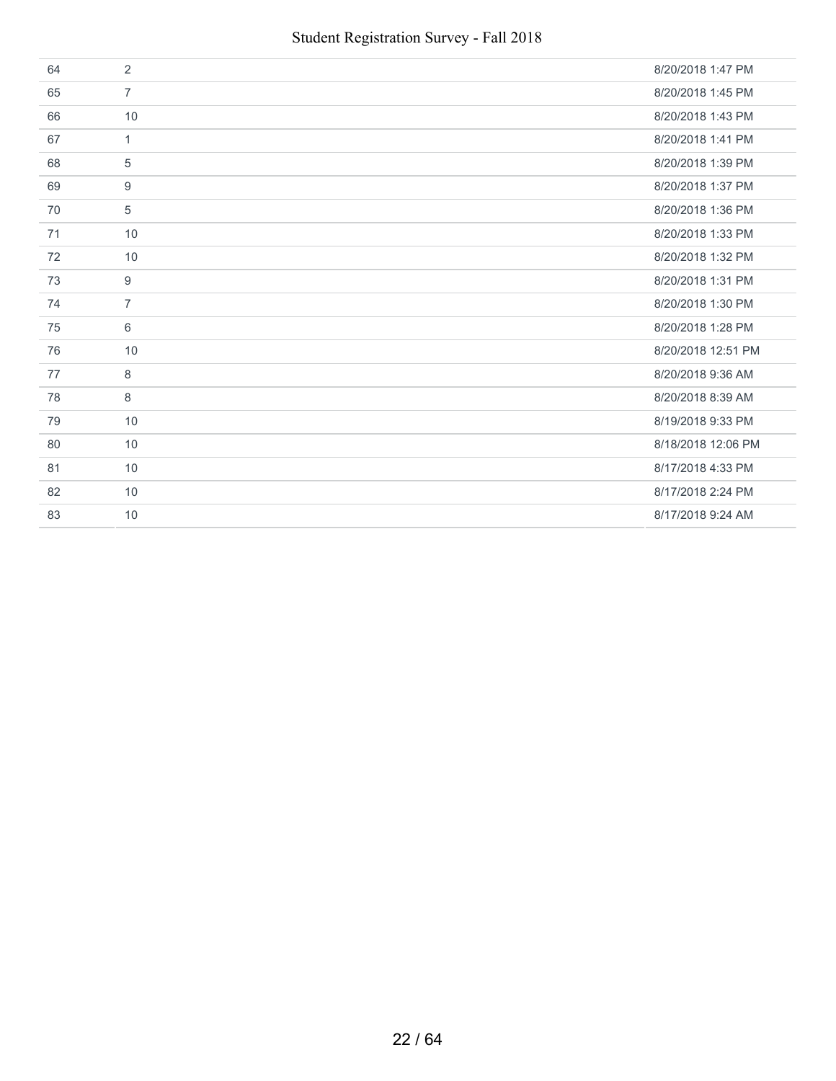| 64 | 2              | 8/20/2018 1:47 PM  |
|----|----------------|--------------------|
| 65 | $\overline{7}$ | 8/20/2018 1:45 PM  |
| 66 | 10             | 8/20/2018 1:43 PM  |
| 67 | $\mathbf{1}$   | 8/20/2018 1:41 PM  |
| 68 | 5              | 8/20/2018 1:39 PM  |
| 69 | 9              | 8/20/2018 1:37 PM  |
| 70 | 5              | 8/20/2018 1:36 PM  |
| 71 | 10             | 8/20/2018 1:33 PM  |
| 72 | 10             | 8/20/2018 1:32 PM  |
| 73 | 9              | 8/20/2018 1:31 PM  |
| 74 | $\overline{7}$ | 8/20/2018 1:30 PM  |
|    |                |                    |
| 75 | 6              | 8/20/2018 1:28 PM  |
| 76 | 10             | 8/20/2018 12:51 PM |
| 77 | 8              | 8/20/2018 9:36 AM  |
| 78 | 8              | 8/20/2018 8:39 AM  |
| 79 | 10             | 8/19/2018 9:33 PM  |
| 80 | 10             | 8/18/2018 12:06 PM |
| 81 | 10             | 8/17/2018 4:33 PM  |
| 82 | 10             | 8/17/2018 2:24 PM  |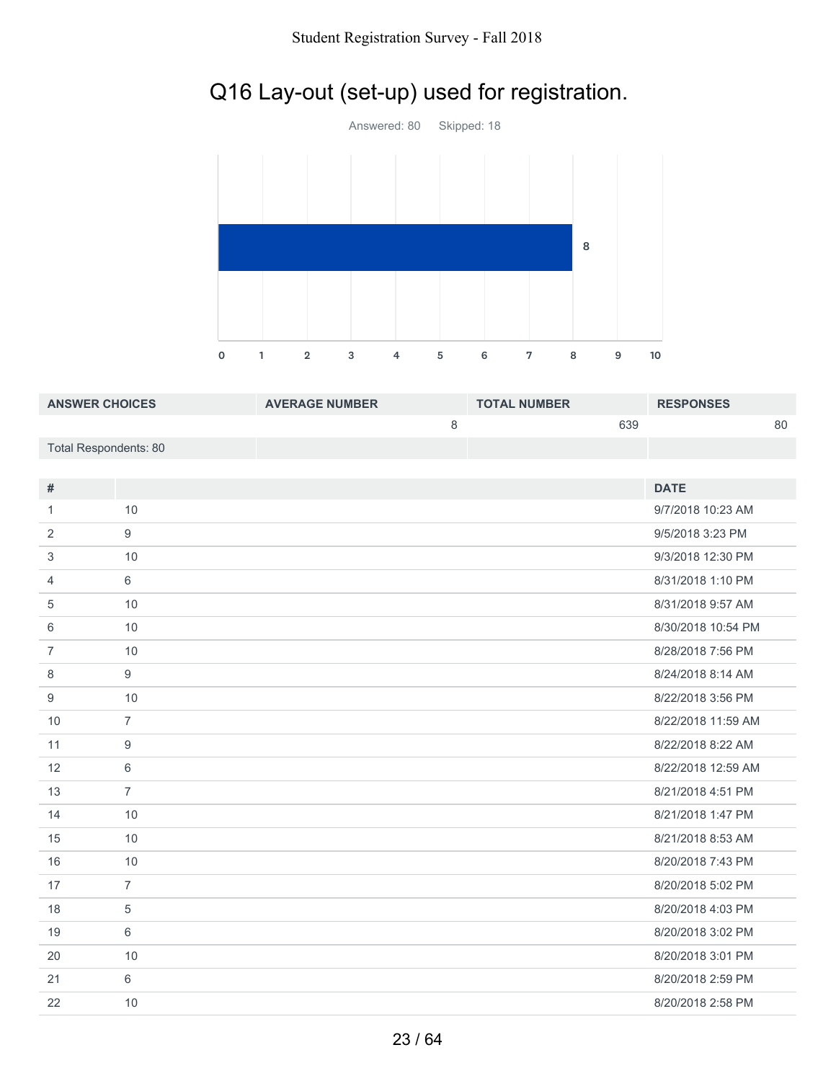# Q16 Lay-out (set-up) used for registration.



| <b>ANSWER CHOICES</b> | <b>AVERAGE NUMBER</b> | <b>TOTAL NUMBER</b> | <b>RESPONSES</b> |
|-----------------------|-----------------------|---------------------|------------------|
|                       |                       | 639                 | 80               |
| Total Respondents: 80 |                       |                     |                  |
|                       |                       |                     |                  |

| #              |                | <b>DATE</b>        |
|----------------|----------------|--------------------|
| 1              | 10             | 9/7/2018 10:23 AM  |
| 2              | 9              | 9/5/2018 3:23 PM   |
| 3              | 10             | 9/3/2018 12:30 PM  |
| 4              | 6              | 8/31/2018 1:10 PM  |
| 5              | 10             | 8/31/2018 9:57 AM  |
| 6              | 10             | 8/30/2018 10:54 PM |
| $\overline{7}$ | 10             | 8/28/2018 7:56 PM  |
| 8              | 9              | 8/24/2018 8:14 AM  |
| 9              | 10             | 8/22/2018 3:56 PM  |
| 10             | $\overline{7}$ | 8/22/2018 11:59 AM |
| 11             | 9              | 8/22/2018 8:22 AM  |
| 12             | 6              | 8/22/2018 12:59 AM |
| 13             | $\overline{7}$ | 8/21/2018 4:51 PM  |
| 14             | 10             | 8/21/2018 1:47 PM  |
| 15             | 10             | 8/21/2018 8:53 AM  |
| 16             | 10             | 8/20/2018 7:43 PM  |
| 17             | $\overline{7}$ | 8/20/2018 5:02 PM  |
| 18             | 5              | 8/20/2018 4:03 PM  |
| 19             | 6              | 8/20/2018 3:02 PM  |
| 20             | 10             | 8/20/2018 3:01 PM  |
| 21             | 6              | 8/20/2018 2:59 PM  |
| 22             | 10             | 8/20/2018 2:58 PM  |
|                |                |                    |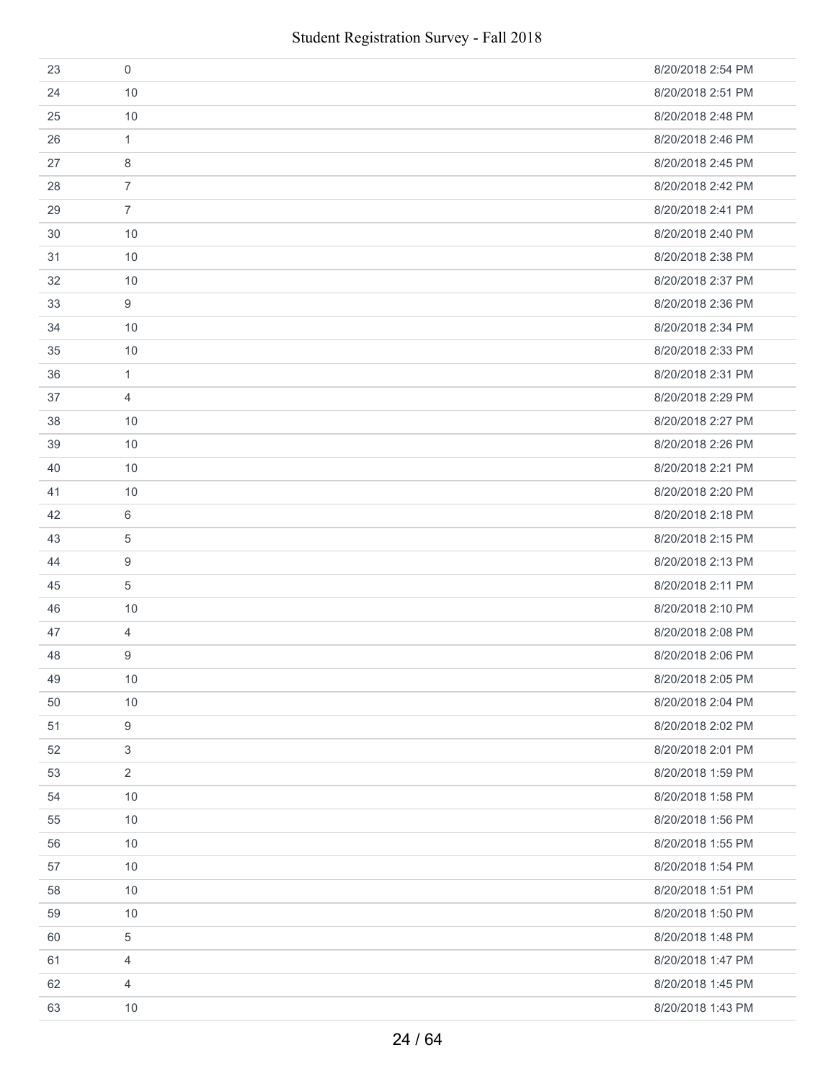| 23 | 0              | 8/20/2018 2:54 PM |
|----|----------------|-------------------|
| 24 | 10             | 8/20/2018 2:51 PM |
| 25 | 10             | 8/20/2018 2:48 PM |
| 26 | 1              | 8/20/2018 2:46 PM |
| 27 | 8              | 8/20/2018 2:45 PM |
| 28 | $\overline{7}$ | 8/20/2018 2:42 PM |
| 29 | $\overline{7}$ | 8/20/2018 2:41 PM |
| 30 | 10             | 8/20/2018 2:40 PM |
| 31 | 10             | 8/20/2018 2:38 PM |
| 32 | 10             | 8/20/2018 2:37 PM |
| 33 | 9              | 8/20/2018 2:36 PM |
| 34 | 10             | 8/20/2018 2:34 PM |
| 35 | 10             | 8/20/2018 2:33 PM |
| 36 | $\mathbf{1}$   | 8/20/2018 2:31 PM |
| 37 | 4              | 8/20/2018 2:29 PM |
| 38 | 10             | 8/20/2018 2:27 PM |
| 39 | 10             | 8/20/2018 2:26 PM |
| 40 | 10             | 8/20/2018 2:21 PM |
| 41 | 10             | 8/20/2018 2:20 PM |
| 42 | 6              | 8/20/2018 2:18 PM |
| 43 | 5              | 8/20/2018 2:15 PM |
| 44 | 9              | 8/20/2018 2:13 PM |
| 45 | 5              | 8/20/2018 2:11 PM |
| 46 | 10             | 8/20/2018 2:10 PM |
| 47 | 4              | 8/20/2018 2:08 PM |
| 48 | 9              | 8/20/2018 2:06 PM |
| 49 | $10$           | 8/20/2018 2:05 PM |
| 50 | 10             | 8/20/2018 2:04 PM |
| 51 | 9              | 8/20/2018 2:02 PM |
| 52 | 3              | 8/20/2018 2:01 PM |
| 53 | $\overline{2}$ | 8/20/2018 1:59 PM |
| 54 | 10             | 8/20/2018 1:58 PM |
| 55 | 10             | 8/20/2018 1:56 PM |
| 56 | 10             | 8/20/2018 1:55 PM |
| 57 | 10             | 8/20/2018 1:54 PM |
| 58 | 10             | 8/20/2018 1:51 PM |
| 59 | 10             | 8/20/2018 1:50 PM |
| 60 | 5              | 8/20/2018 1:48 PM |
| 61 | 4              | 8/20/2018 1:47 PM |
| 62 | $\overline{4}$ | 8/20/2018 1:45 PM |
| 63 | 10             | 8/20/2018 1:43 PM |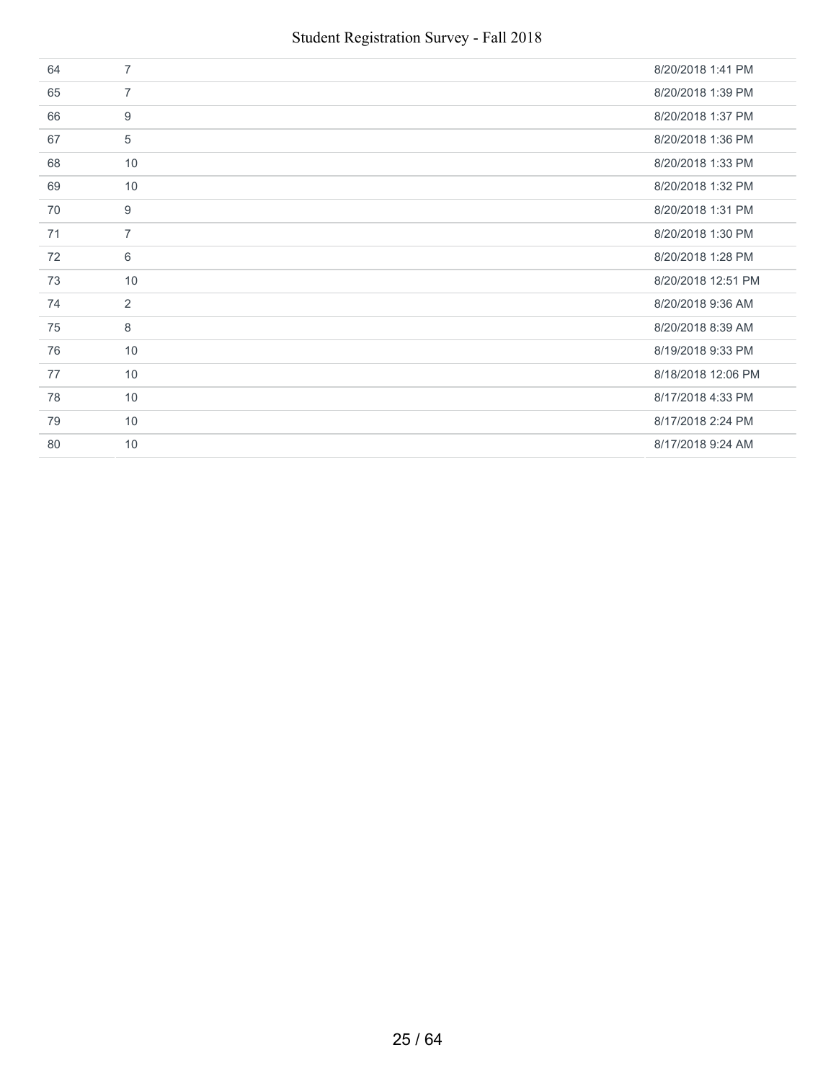| 64 | $\overline{7}$ | 8/20/2018 1:41 PM  |
|----|----------------|--------------------|
| 65 | $\overline{7}$ | 8/20/2018 1:39 PM  |
| 66 | 9              | 8/20/2018 1:37 PM  |
| 67 | 5              | 8/20/2018 1:36 PM  |
| 68 | 10             | 8/20/2018 1:33 PM  |
| 69 | 10             | 8/20/2018 1:32 PM  |
| 70 | 9              | 8/20/2018 1:31 PM  |
| 71 | $\overline{7}$ | 8/20/2018 1:30 PM  |
| 72 | 6              | 8/20/2018 1:28 PM  |
| 73 | 10             | 8/20/2018 12:51 PM |
| 74 | 2              | 8/20/2018 9:36 AM  |
| 75 | 8              | 8/20/2018 8:39 AM  |
| 76 | 10             | 8/19/2018 9:33 PM  |
| 77 | 10             | 8/18/2018 12:06 PM |
| 78 | 10             | 8/17/2018 4:33 PM  |
| 79 | 10             | 8/17/2018 2:24 PM  |
| 80 | 10             | 8/17/2018 9:24 AM  |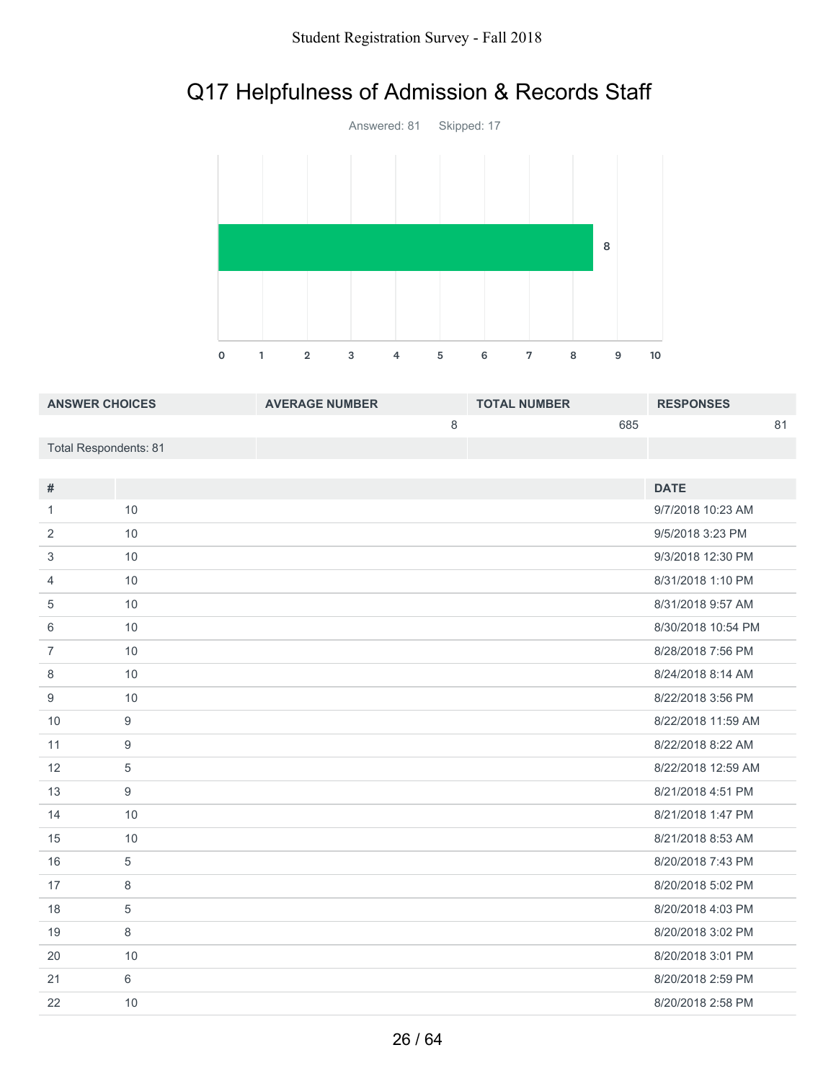# Q17 Helpfulness of Admission & Records Staff



| <b>ANSWER CHOICES</b> | <b>AVERAGE NUMBER</b> | <b>TOTAL NUMBER</b> | <b>RESPONSES</b> |
|-----------------------|-----------------------|---------------------|------------------|
|                       |                       | 685                 |                  |
| Total Respondents: 81 |                       |                     |                  |
|                       |                       |                     |                  |

| #              |            | <b>DATE</b>        |
|----------------|------------|--------------------|
| 1              | 10         | 9/7/2018 10:23 AM  |
| 2              | 10         | 9/5/2018 3:23 PM   |
| 3              | 10         | 9/3/2018 12:30 PM  |
| 4              | 10         | 8/31/2018 1:10 PM  |
| 5              | 10         | 8/31/2018 9:57 AM  |
| 6              | 10         | 8/30/2018 10:54 PM |
| $\overline{7}$ | 10         | 8/28/2018 7:56 PM  |
| 8              | 10         | 8/24/2018 8:14 AM  |
| 9              | 10         | 8/22/2018 3:56 PM  |
| 10             | 9          | 8/22/2018 11:59 AM |
| 11             | 9          | 8/22/2018 8:22 AM  |
| 12             | $\sqrt{5}$ | 8/22/2018 12:59 AM |
| 13             | 9          | 8/21/2018 4:51 PM  |
| 14             | 10         | 8/21/2018 1:47 PM  |
| 15             | 10         | 8/21/2018 8:53 AM  |
| 16             | 5          | 8/20/2018 7:43 PM  |
| 17             | 8          | 8/20/2018 5:02 PM  |
| 18             | 5          | 8/20/2018 4:03 PM  |
| 19             | 8          | 8/20/2018 3:02 PM  |
| 20             | 10         | 8/20/2018 3:01 PM  |
| 21             | 6          | 8/20/2018 2:59 PM  |
| 22             | 10         | 8/20/2018 2:58 PM  |
|                |            |                    |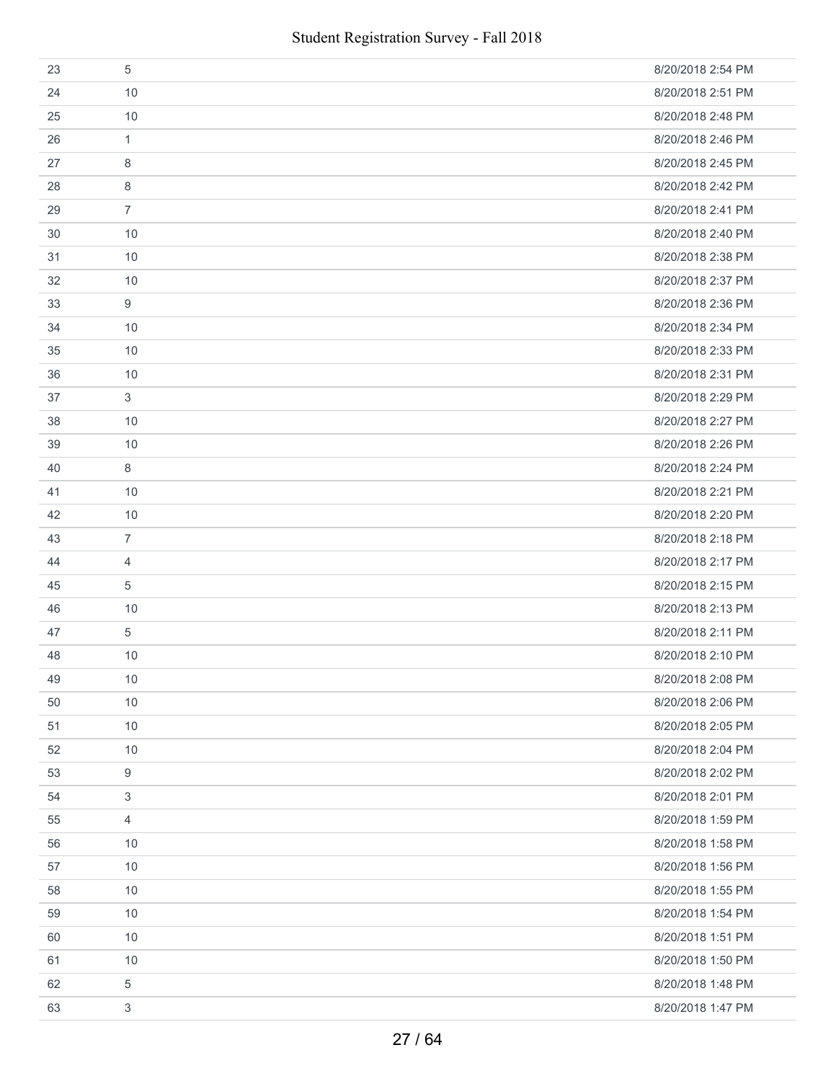| 23 | 5              | 8/20/2018 2:54 PM |
|----|----------------|-------------------|
| 24 | 10             | 8/20/2018 2:51 PM |
| 25 | 10             | 8/20/2018 2:48 PM |
| 26 | 1              | 8/20/2018 2:46 PM |
| 27 | 8              | 8/20/2018 2:45 PM |
| 28 | 8              | 8/20/2018 2:42 PM |
| 29 | $\overline{7}$ | 8/20/2018 2:41 PM |
| 30 | 10             | 8/20/2018 2:40 PM |
| 31 | 10             | 8/20/2018 2:38 PM |
| 32 | 10             | 8/20/2018 2:37 PM |
| 33 | 9              | 8/20/2018 2:36 PM |
| 34 | 10             | 8/20/2018 2:34 PM |
| 35 | 10             | 8/20/2018 2:33 PM |
| 36 | 10             | 8/20/2018 2:31 PM |
| 37 | 3              | 8/20/2018 2:29 PM |
| 38 | 10             | 8/20/2018 2:27 PM |
| 39 | 10             | 8/20/2018 2:26 PM |
| 40 | 8              | 8/20/2018 2:24 PM |
| 41 | 10             | 8/20/2018 2:21 PM |
| 42 | 10             | 8/20/2018 2:20 PM |
| 43 | $\overline{7}$ | 8/20/2018 2:18 PM |
| 44 | 4              | 8/20/2018 2:17 PM |
| 45 | 5              | 8/20/2018 2:15 PM |
| 46 | 10             | 8/20/2018 2:13 PM |
| 47 | 5              | 8/20/2018 2:11 PM |
| 48 | 10             | 8/20/2018 2:10 PM |
| 49 | 10             | 8/20/2018 2:08 PM |
| 50 | 10             | 8/20/2018 2:06 PM |
| 51 | 10             | 8/20/2018 2:05 PM |
| 52 | 10             | 8/20/2018 2:04 PM |
| 53 | 9              | 8/20/2018 2:02 PM |
| 54 | $\mathfrak{Z}$ | 8/20/2018 2:01 PM |
| 55 | $\overline{4}$ | 8/20/2018 1:59 PM |
| 56 | 10             | 8/20/2018 1:58 PM |
| 57 | 10             | 8/20/2018 1:56 PM |
| 58 | 10             | 8/20/2018 1:55 PM |
| 59 | 10             | 8/20/2018 1:54 PM |
| 60 | 10             | 8/20/2018 1:51 PM |
| 61 | 10             | 8/20/2018 1:50 PM |
| 62 | 5              | 8/20/2018 1:48 PM |
| 63 | 3              | 8/20/2018 1:47 PM |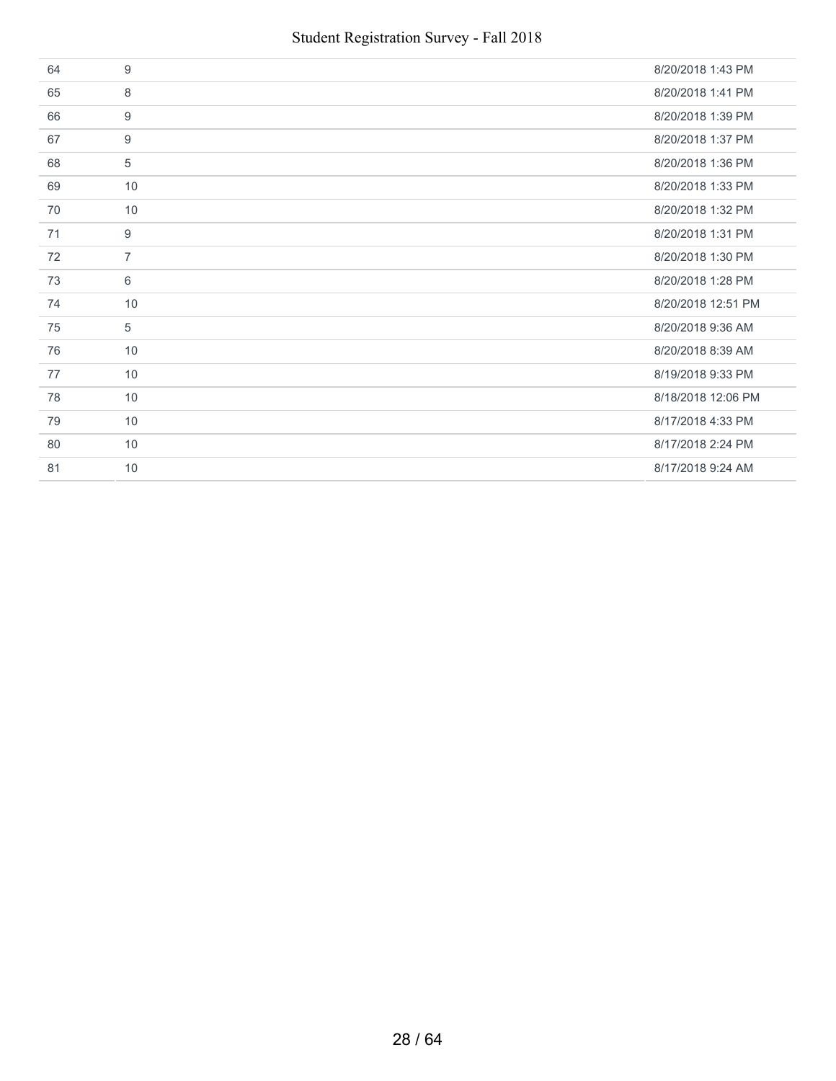| 64 | 9              | 8/20/2018 1:43 PM  |
|----|----------------|--------------------|
| 65 | 8              | 8/20/2018 1:41 PM  |
| 66 | 9              | 8/20/2018 1:39 PM  |
| 67 | 9              | 8/20/2018 1:37 PM  |
| 68 | 5              | 8/20/2018 1:36 PM  |
| 69 | 10             | 8/20/2018 1:33 PM  |
| 70 | 10             | 8/20/2018 1:32 PM  |
| 71 | 9              | 8/20/2018 1:31 PM  |
| 72 | $\overline{7}$ | 8/20/2018 1:30 PM  |
| 73 | 6              | 8/20/2018 1:28 PM  |
| 74 | 10             | 8/20/2018 12:51 PM |
| 75 | 5              | 8/20/2018 9:36 AM  |
| 76 | 10             | 8/20/2018 8:39 AM  |
| 77 | 10             | 8/19/2018 9:33 PM  |
| 78 | 10             | 8/18/2018 12:06 PM |
| 79 | 10             | 8/17/2018 4:33 PM  |
| 80 | 10             | 8/17/2018 2:24 PM  |
| 81 | 10             | 8/17/2018 9:24 AM  |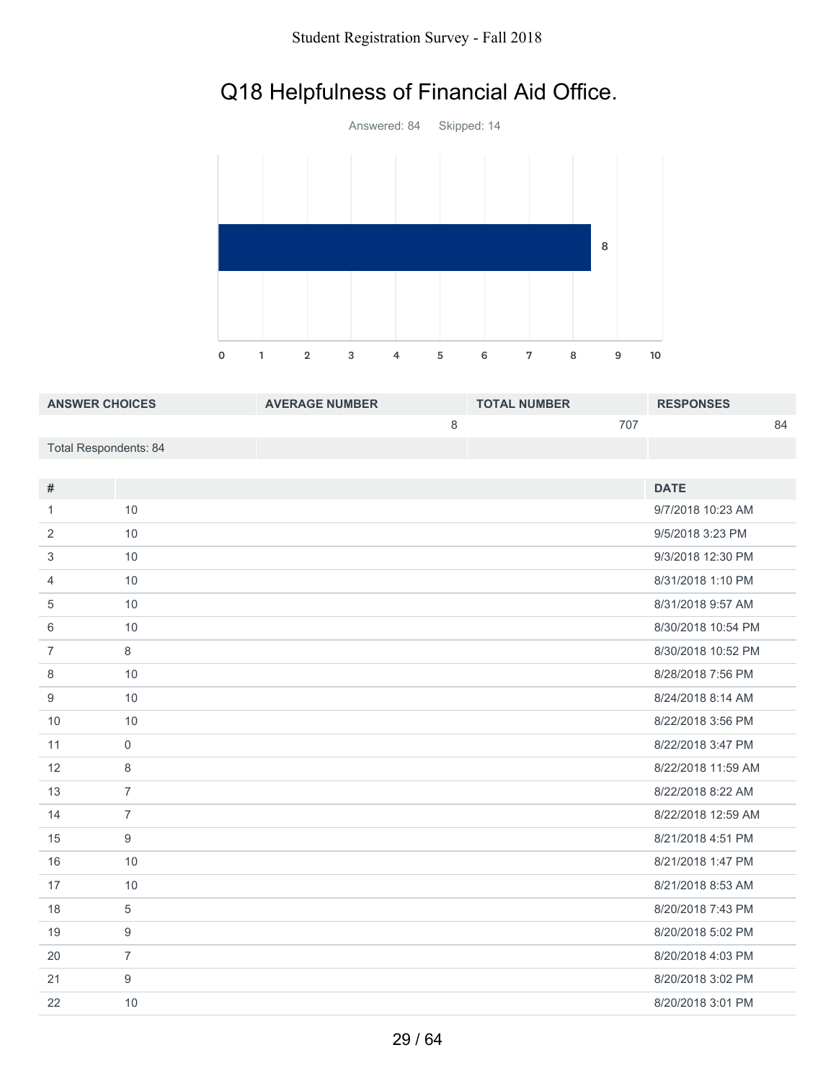# Q18 Helpfulness of Financial Aid Office.



| <b>ANSWER CHOICES</b> | <b>AVERAGE NUMBER</b> | <b>TOTAL NUMBER</b> | <b>RESPONSES</b> |
|-----------------------|-----------------------|---------------------|------------------|
|                       |                       | 707                 | 84               |
| Total Respondents: 84 |                       |                     |                  |

| #              |                | <b>DATE</b>        |
|----------------|----------------|--------------------|
|                |                |                    |
| $\mathbf{1}$   | 10             | 9/7/2018 10:23 AM  |
| 2              | 10             | 9/5/2018 3:23 PM   |
| 3              | 10             | 9/3/2018 12:30 PM  |
| $\overline{4}$ | 10             | 8/31/2018 1:10 PM  |
| 5              | 10             | 8/31/2018 9:57 AM  |
| 6              | 10             | 8/30/2018 10:54 PM |
| $\overline{7}$ | 8              | 8/30/2018 10:52 PM |
| 8              | 10             | 8/28/2018 7:56 PM  |
| 9              | 10             | 8/24/2018 8:14 AM  |
| 10             | 10             | 8/22/2018 3:56 PM  |
| 11             | $\mathbf 0$    | 8/22/2018 3:47 PM  |
| 12             | 8              | 8/22/2018 11:59 AM |
| 13             | $\overline{7}$ | 8/22/2018 8:22 AM  |
| 14             | $\overline{7}$ | 8/22/2018 12:59 AM |
| 15             | 9              | 8/21/2018 4:51 PM  |
| 16             | 10             | 8/21/2018 1:47 PM  |
| 17             | 10             | 8/21/2018 8:53 AM  |
| 18             | 5              | 8/20/2018 7:43 PM  |
| 19             | 9              | 8/20/2018 5:02 PM  |
| 20             | $\overline{7}$ | 8/20/2018 4:03 PM  |
| 21             | 9              | 8/20/2018 3:02 PM  |
| 22             | 10             | 8/20/2018 3:01 PM  |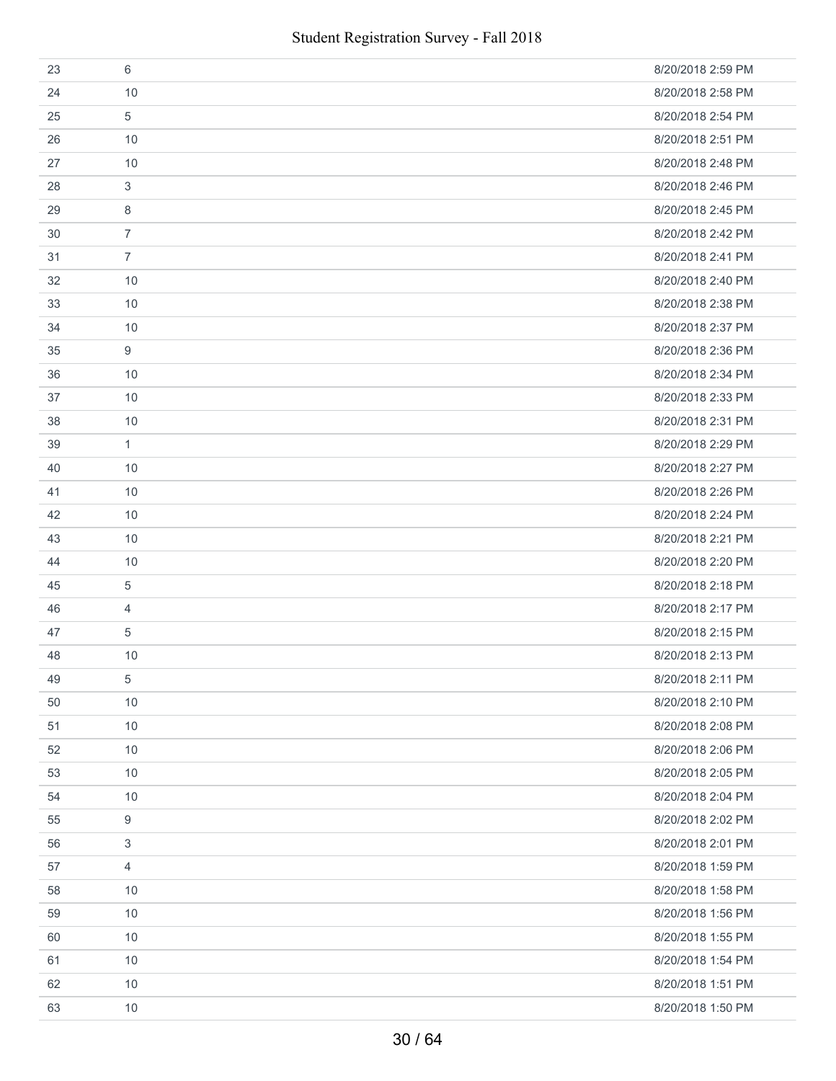| 23 | 6              | 8/20/2018 2:59 PM |
|----|----------------|-------------------|
| 24 | 10             | 8/20/2018 2:58 PM |
| 25 | 5              | 8/20/2018 2:54 PM |
| 26 | 10             | 8/20/2018 2:51 PM |
| 27 | 10             | 8/20/2018 2:48 PM |
| 28 | 3              | 8/20/2018 2:46 PM |
| 29 | 8              | 8/20/2018 2:45 PM |
| 30 | $\overline{7}$ | 8/20/2018 2:42 PM |
| 31 | $\overline{7}$ | 8/20/2018 2:41 PM |
| 32 | 10             | 8/20/2018 2:40 PM |
| 33 | 10             | 8/20/2018 2:38 PM |
| 34 | 10             | 8/20/2018 2:37 PM |
| 35 | 9              | 8/20/2018 2:36 PM |
| 36 | 10             | 8/20/2018 2:34 PM |
| 37 | 10             | 8/20/2018 2:33 PM |
| 38 | 10             | 8/20/2018 2:31 PM |
| 39 | $\mathbf{1}$   | 8/20/2018 2:29 PM |
| 40 | 10             | 8/20/2018 2:27 PM |
| 41 | 10             | 8/20/2018 2:26 PM |
| 42 | 10             | 8/20/2018 2:24 PM |
| 43 | 10             | 8/20/2018 2:21 PM |
| 44 | 10             | 8/20/2018 2:20 PM |
| 45 | 5              | 8/20/2018 2:18 PM |
| 46 | 4              | 8/20/2018 2:17 PM |
| 47 | 5              | 8/20/2018 2:15 PM |
| 48 | 10             | 8/20/2018 2:13 PM |
| 49 | 5              | 8/20/2018 2:11 PM |
| 50 | 10             | 8/20/2018 2:10 PM |
| 51 | 10             | 8/20/2018 2:08 PM |
| 52 | 10             | 8/20/2018 2:06 PM |
| 53 | 10             | 8/20/2018 2:05 PM |
| 54 | 10             | 8/20/2018 2:04 PM |
| 55 | 9              | 8/20/2018 2:02 PM |
| 56 | $\sqrt{3}$     | 8/20/2018 2:01 PM |
| 57 | 4              | 8/20/2018 1:59 PM |
| 58 | 10             | 8/20/2018 1:58 PM |
| 59 | 10             | 8/20/2018 1:56 PM |
| 60 | 10             | 8/20/2018 1:55 PM |
| 61 | 10             | 8/20/2018 1:54 PM |
| 62 | 10             | 8/20/2018 1:51 PM |
| 63 | 10             | 8/20/2018 1:50 PM |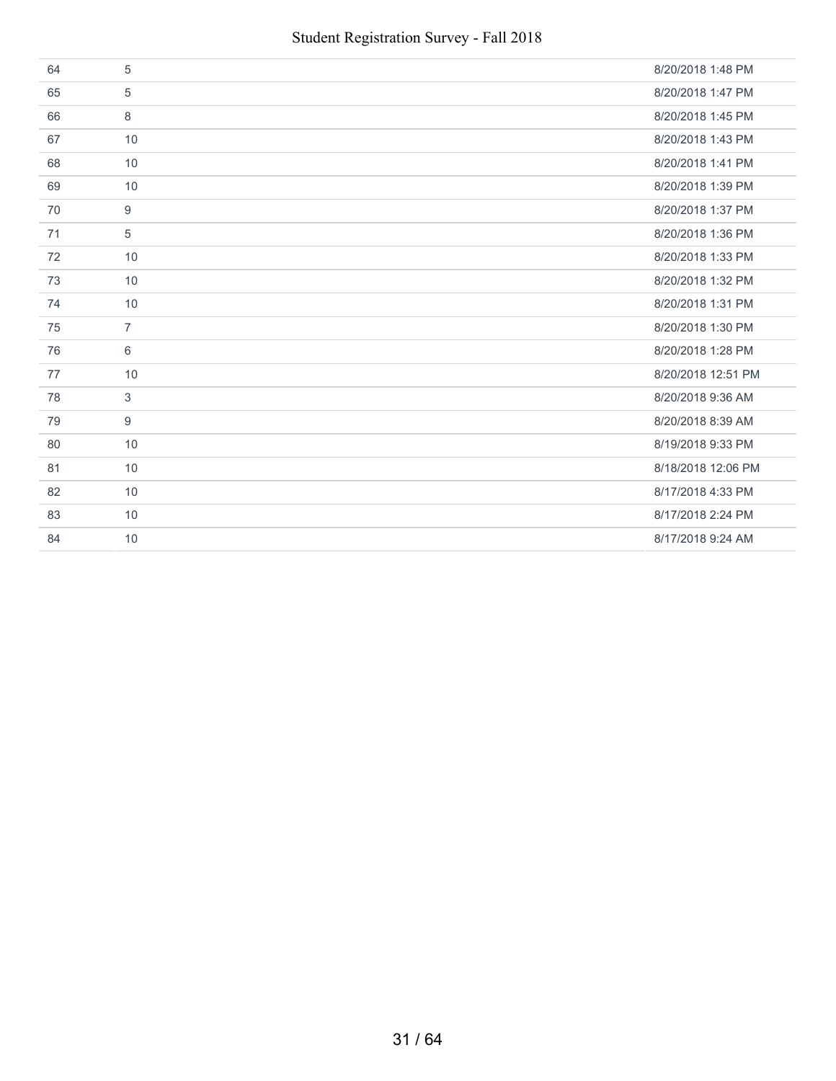| 64 | 5              | 8/20/2018 1:48 PM  |
|----|----------------|--------------------|
| 65 | 5              | 8/20/2018 1:47 PM  |
| 66 | 8              | 8/20/2018 1:45 PM  |
| 67 | 10             | 8/20/2018 1:43 PM  |
| 68 | 10             | 8/20/2018 1:41 PM  |
| 69 | 10             | 8/20/2018 1:39 PM  |
| 70 | 9              | 8/20/2018 1:37 PM  |
| 71 | 5              | 8/20/2018 1:36 PM  |
| 72 | 10             | 8/20/2018 1:33 PM  |
| 73 | 10             | 8/20/2018 1:32 PM  |
| 74 | 10             | 8/20/2018 1:31 PM  |
| 75 | $\overline{7}$ | 8/20/2018 1:30 PM  |
| 76 | 6              | 8/20/2018 1:28 PM  |
| 77 | 10             | 8/20/2018 12:51 PM |
| 78 | 3              | 8/20/2018 9:36 AM  |
| 79 | 9              | 8/20/2018 8:39 AM  |
| 80 | 10             | 8/19/2018 9:33 PM  |
| 81 | 10             | 8/18/2018 12:06 PM |
| 82 | 10             | 8/17/2018 4:33 PM  |
| 83 | 10             | 8/17/2018 2:24 PM  |
| 84 | 10             | 8/17/2018 9:24 AM  |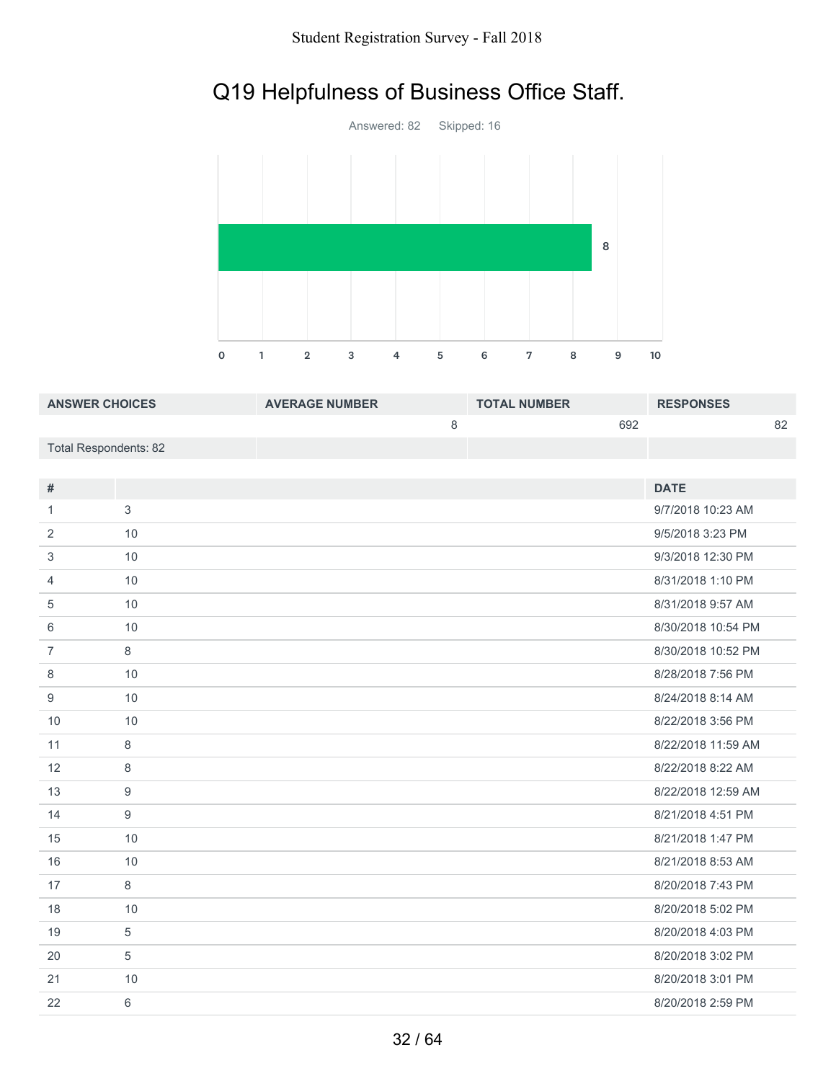# Q19 Helpfulness of Business Office Staff.



| <b>ANSWER CHOICES</b> | <b>AVERAGE NUMBER</b> | <b>TOTAL NUMBER</b> | <b>RESPONSES</b> |
|-----------------------|-----------------------|---------------------|------------------|
|                       |                       | 692                 | 82               |
| Total Respondents: 82 |                       |                     |                  |

| $\#$           |                  | <b>DATE</b>        |
|----------------|------------------|--------------------|
| 1              | 3                | 9/7/2018 10:23 AM  |
| 2              | 10               | 9/5/2018 3:23 PM   |
| 3              | 10               | 9/3/2018 12:30 PM  |
| $\overline{4}$ | 10               | 8/31/2018 1:10 PM  |
| 5              | 10               | 8/31/2018 9:57 AM  |
| 6              | 10               | 8/30/2018 10:54 PM |
| $\overline{7}$ | $\,8\,$          | 8/30/2018 10:52 PM |
| 8              | 10               | 8/28/2018 7:56 PM  |
| 9              | 10               | 8/24/2018 8:14 AM  |
| 10             | 10               | 8/22/2018 3:56 PM  |
| 11             | 8                | 8/22/2018 11:59 AM |
| 12             | $\,8\,$          | 8/22/2018 8:22 AM  |
| 13             | $\boldsymbol{9}$ | 8/22/2018 12:59 AM |
| 14             | 9                | 8/21/2018 4:51 PM  |
| 15             | 10               | 8/21/2018 1:47 PM  |
| 16             | 10               | 8/21/2018 8:53 AM  |
| 17             | 8                | 8/20/2018 7:43 PM  |
| 18             | 10               | 8/20/2018 5:02 PM  |
| 19             | 5                | 8/20/2018 4:03 PM  |
| 20             | 5                | 8/20/2018 3:02 PM  |
| 21             | 10               | 8/20/2018 3:01 PM  |
| 22             | 6                | 8/20/2018 2:59 PM  |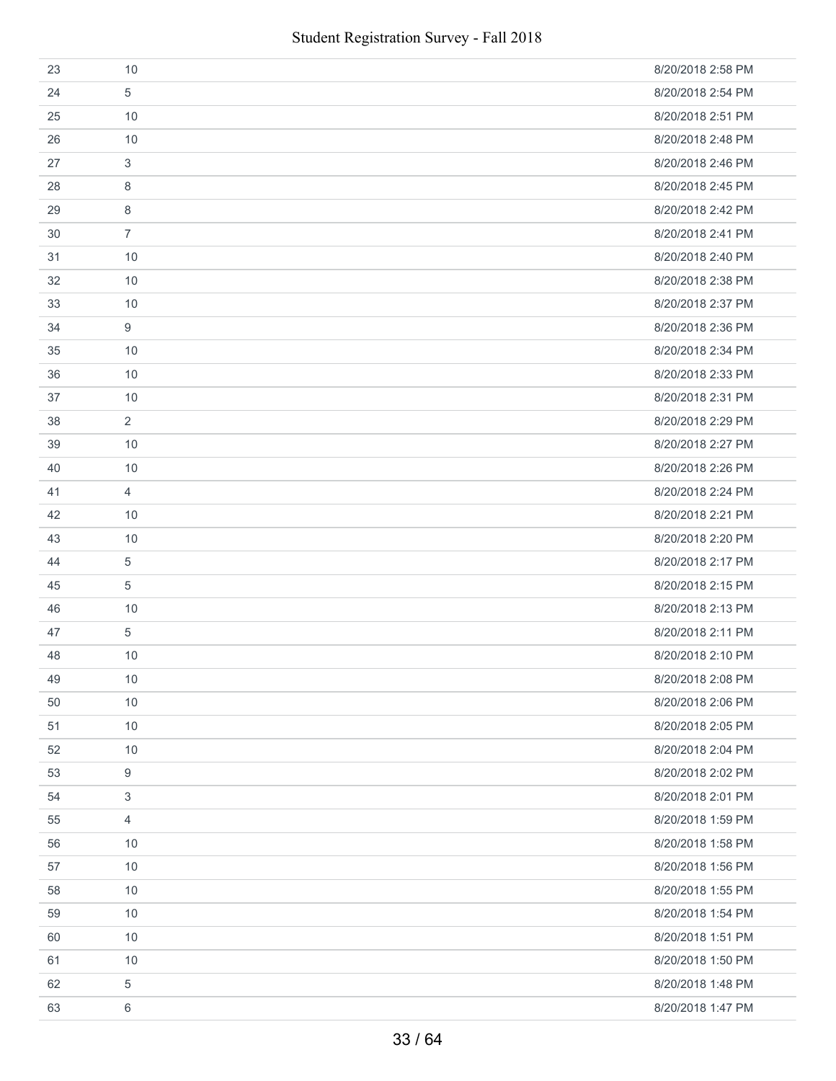| 23 | 10             | 8/20/2018 2:58 PM |
|----|----------------|-------------------|
| 24 | 5              | 8/20/2018 2:54 PM |
| 25 | 10             | 8/20/2018 2:51 PM |
| 26 | 10             | 8/20/2018 2:48 PM |
| 27 | 3              | 8/20/2018 2:46 PM |
| 28 | 8              | 8/20/2018 2:45 PM |
| 29 | 8              | 8/20/2018 2:42 PM |
| 30 | $\overline{7}$ | 8/20/2018 2:41 PM |
| 31 | 10             | 8/20/2018 2:40 PM |
| 32 | 10             | 8/20/2018 2:38 PM |
| 33 | 10             | 8/20/2018 2:37 PM |
| 34 | 9              | 8/20/2018 2:36 PM |
| 35 | 10             | 8/20/2018 2:34 PM |
| 36 | 10             | 8/20/2018 2:33 PM |
| 37 | 10             | 8/20/2018 2:31 PM |
| 38 | $\overline{2}$ | 8/20/2018 2:29 PM |
| 39 | 10             | 8/20/2018 2:27 PM |
| 40 | 10             | 8/20/2018 2:26 PM |
| 41 | $\overline{4}$ | 8/20/2018 2:24 PM |
| 42 | 10             | 8/20/2018 2:21 PM |
| 43 | 10             | 8/20/2018 2:20 PM |
| 44 | 5              | 8/20/2018 2:17 PM |
| 45 | 5              | 8/20/2018 2:15 PM |
| 46 | 10             | 8/20/2018 2:13 PM |
| 47 | 5              | 8/20/2018 2:11 PM |
| 48 | 10             | 8/20/2018 2:10 PM |
| 49 | $10$           | 8/20/2018 2:08 PM |
| 50 | 10             | 8/20/2018 2:06 PM |
| 51 | 10             | 8/20/2018 2:05 PM |
| 52 | 10             | 8/20/2018 2:04 PM |
| 53 | 9              | 8/20/2018 2:02 PM |
| 54 | 3              | 8/20/2018 2:01 PM |
| 55 | 4              | 8/20/2018 1:59 PM |
| 56 | 10             | 8/20/2018 1:58 PM |
| 57 | 10             | 8/20/2018 1:56 PM |
| 58 | 10             | 8/20/2018 1:55 PM |
| 59 | 10             | 8/20/2018 1:54 PM |
| 60 | 10             | 8/20/2018 1:51 PM |
| 61 | 10             | 8/20/2018 1:50 PM |
| 62 | 5              | 8/20/2018 1:48 PM |
| 63 | 6              | 8/20/2018 1:47 PM |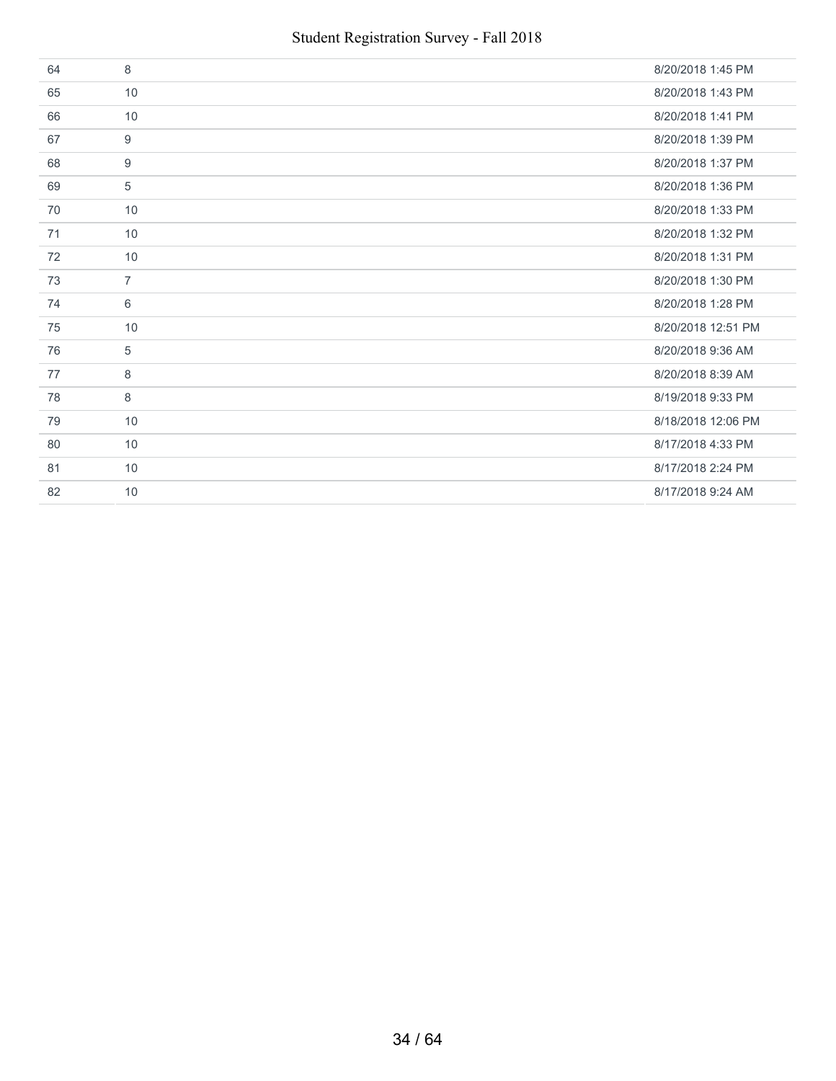| 64 | 8              | 8/20/2018 1:45 PM  |
|----|----------------|--------------------|
| 65 | 10             | 8/20/2018 1:43 PM  |
| 66 | 10             | 8/20/2018 1:41 PM  |
| 67 | 9              | 8/20/2018 1:39 PM  |
| 68 | 9              | 8/20/2018 1:37 PM  |
| 69 | 5              | 8/20/2018 1:36 PM  |
| 70 | 10             | 8/20/2018 1:33 PM  |
| 71 | 10             | 8/20/2018 1:32 PM  |
| 72 | 10             | 8/20/2018 1:31 PM  |
| 73 | $\overline{7}$ | 8/20/2018 1:30 PM  |
| 74 | 6              | 8/20/2018 1:28 PM  |
| 75 | 10             | 8/20/2018 12:51 PM |
| 76 | 5              | 8/20/2018 9:36 AM  |
| 77 | 8              | 8/20/2018 8:39 AM  |
| 78 | 8              | 8/19/2018 9:33 PM  |
| 79 | 10             | 8/18/2018 12:06 PM |
| 80 | 10             | 8/17/2018 4:33 PM  |
| 81 | 10             | 8/17/2018 2:24 PM  |
| 82 | 10             | 8/17/2018 9:24 AM  |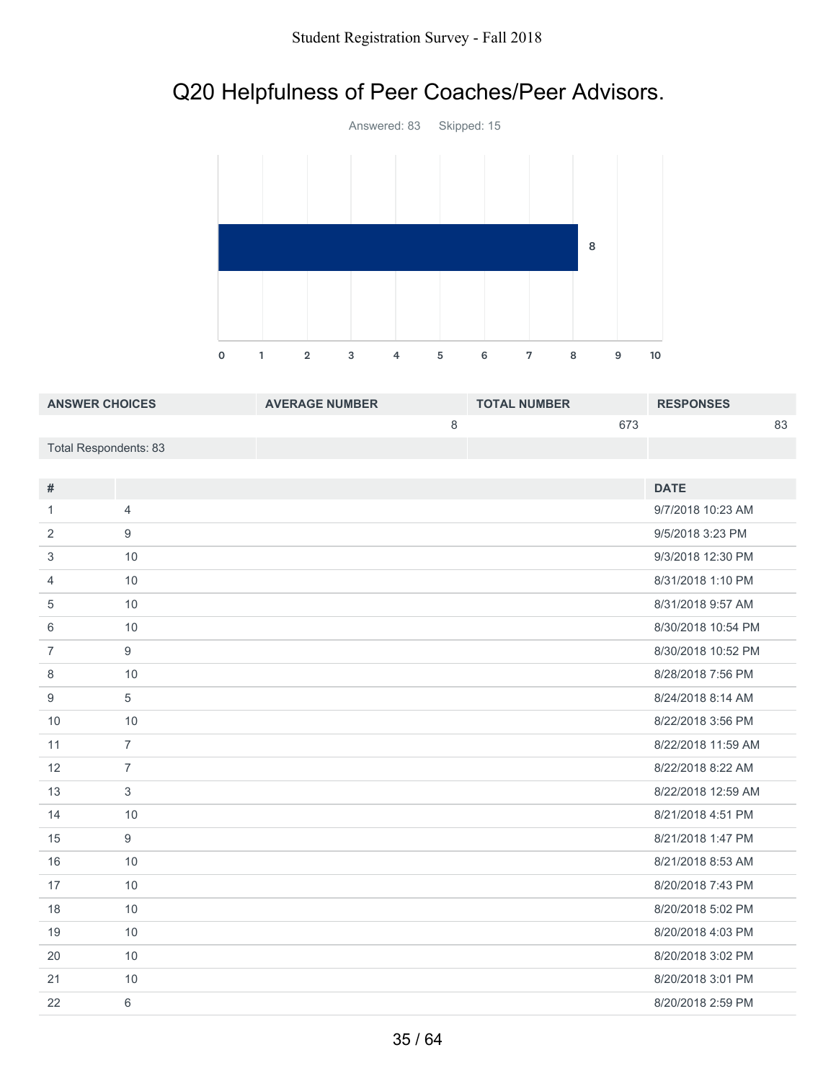# Q20 Helpfulness of Peer Coaches/Peer Advisors.



| <b>ANSWER CHOICES</b> | <b>AVERAGE NUMBER</b> | <b>TOTAL NUMBER</b> | <b>RESPONSES</b> |
|-----------------------|-----------------------|---------------------|------------------|
|                       |                       | 673                 | 83               |
| Total Respondents: 83 |                       |                     |                  |

| #              |                | <b>DATE</b>        |
|----------------|----------------|--------------------|
| 1              | $\overline{4}$ | 9/7/2018 10:23 AM  |
| 2              | 9              | 9/5/2018 3:23 PM   |
| 3              | 10             | 9/3/2018 12:30 PM  |
| $\overline{4}$ | 10             | 8/31/2018 1:10 PM  |
| 5              | 10             | 8/31/2018 9:57 AM  |
| 6              | 10             | 8/30/2018 10:54 PM |
| $\overline{7}$ | 9              | 8/30/2018 10:52 PM |
| 8              | 10             | 8/28/2018 7:56 PM  |
| 9              | 5              | 8/24/2018 8:14 AM  |
| 10             | 10             | 8/22/2018 3:56 PM  |
| 11             | $\overline{7}$ | 8/22/2018 11:59 AM |
| 12             | $\overline{7}$ | 8/22/2018 8:22 AM  |
| 13             | 3              | 8/22/2018 12:59 AM |
| 14             | 10             | 8/21/2018 4:51 PM  |
| 15             | 9              | 8/21/2018 1:47 PM  |
| 16             | 10             | 8/21/2018 8:53 AM  |
| 17             | 10             | 8/20/2018 7:43 PM  |
| 18             | 10             | 8/20/2018 5:02 PM  |
| 19             | 10             | 8/20/2018 4:03 PM  |
| 20             | 10             | 8/20/2018 3:02 PM  |
| 21             | 10             | 8/20/2018 3:01 PM  |
| 22             | 6              | 8/20/2018 2:59 PM  |
|                |                |                    |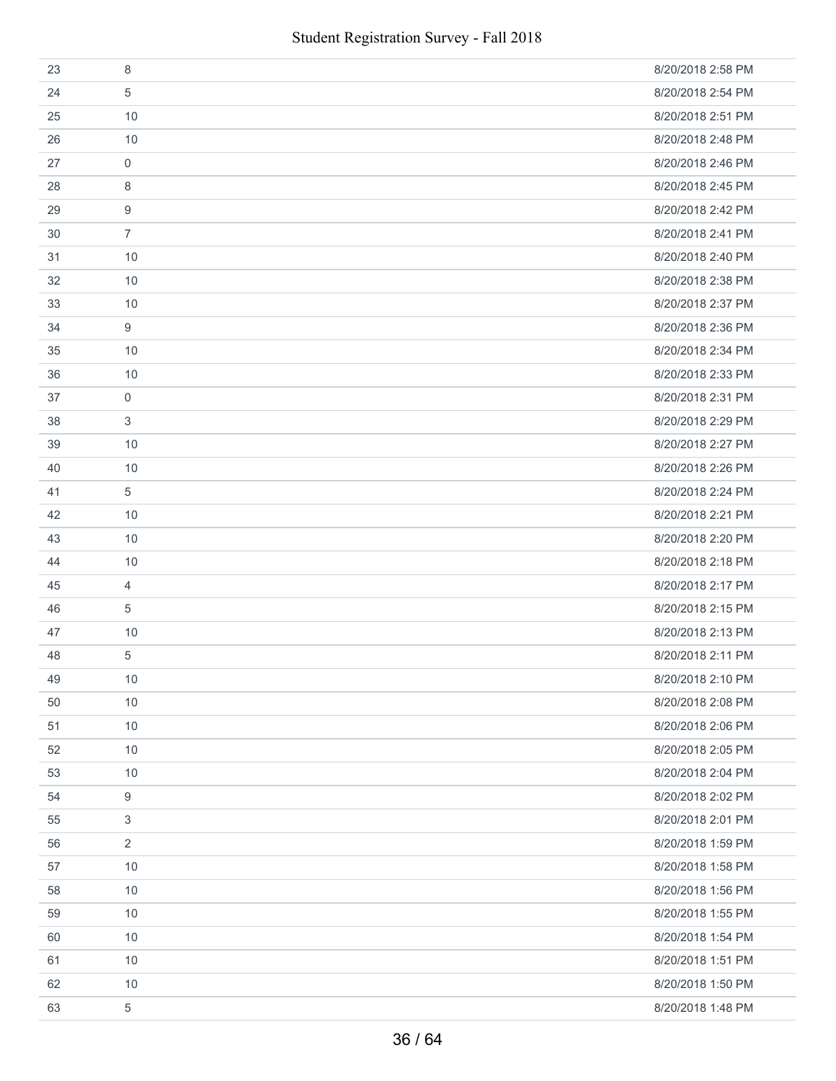| 23 | 8              | 8/20/2018 2:58 PM |
|----|----------------|-------------------|
| 24 | 5              | 8/20/2018 2:54 PM |
| 25 | 10             | 8/20/2018 2:51 PM |
| 26 | 10             | 8/20/2018 2:48 PM |
| 27 | $\mathbf 0$    | 8/20/2018 2:46 PM |
| 28 | 8              | 8/20/2018 2:45 PM |
| 29 | 9              | 8/20/2018 2:42 PM |
| 30 | $\overline{7}$ | 8/20/2018 2:41 PM |
| 31 | 10             | 8/20/2018 2:40 PM |
| 32 | 10             | 8/20/2018 2:38 PM |
| 33 | 10             | 8/20/2018 2:37 PM |
| 34 | 9              | 8/20/2018 2:36 PM |
| 35 | 10             | 8/20/2018 2:34 PM |
| 36 | 10             | 8/20/2018 2:33 PM |
| 37 | 0              | 8/20/2018 2:31 PM |
| 38 | 3              | 8/20/2018 2:29 PM |
| 39 | 10             | 8/20/2018 2:27 PM |
| 40 | 10             | 8/20/2018 2:26 PM |
| 41 | 5              | 8/20/2018 2:24 PM |
| 42 | 10             | 8/20/2018 2:21 PM |
| 43 | 10             | 8/20/2018 2:20 PM |
| 44 | 10             | 8/20/2018 2:18 PM |
| 45 | $\overline{4}$ | 8/20/2018 2:17 PM |
| 46 | 5              | 8/20/2018 2:15 PM |
| 47 | 10             | 8/20/2018 2:13 PM |
| 48 | 5              | 8/20/2018 2:11 PM |
| 49 | 10             | 8/20/2018 2:10 PM |
| 50 | 10             | 8/20/2018 2:08 PM |
| 51 | 10             | 8/20/2018 2:06 PM |
| 52 | 10             | 8/20/2018 2:05 PM |
| 53 | 10             | 8/20/2018 2:04 PM |
| 54 | 9              | 8/20/2018 2:02 PM |
| 55 | 3              | 8/20/2018 2:01 PM |
| 56 | $\overline{2}$ | 8/20/2018 1:59 PM |
| 57 | 10             | 8/20/2018 1:58 PM |
| 58 | 10             | 8/20/2018 1:56 PM |
| 59 | 10             | 8/20/2018 1:55 PM |
| 60 | 10             | 8/20/2018 1:54 PM |
| 61 | 10             | 8/20/2018 1:51 PM |
| 62 | 10             | 8/20/2018 1:50 PM |
| 63 | 5              | 8/20/2018 1:48 PM |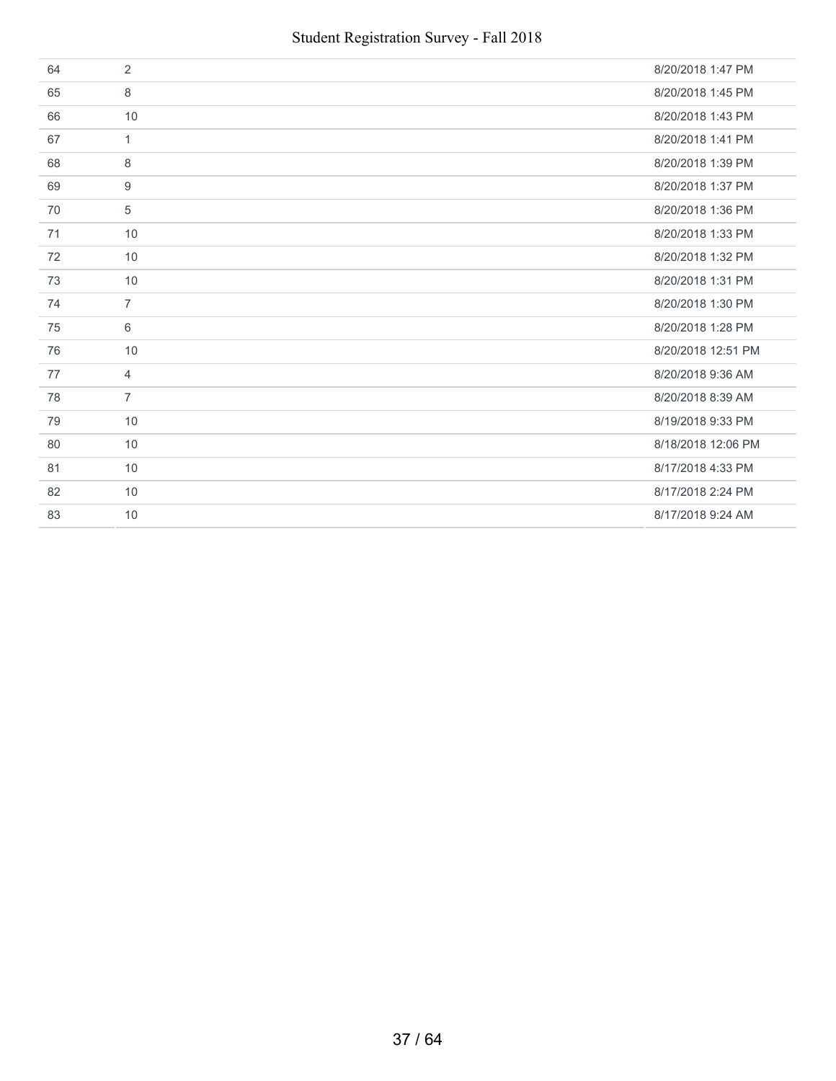| 64 | 2              | 8/20/2018 1:47 PM  |
|----|----------------|--------------------|
| 65 | 8              | 8/20/2018 1:45 PM  |
| 66 | 10             | 8/20/2018 1:43 PM  |
| 67 | $\mathbf{1}$   | 8/20/2018 1:41 PM  |
| 68 | 8              | 8/20/2018 1:39 PM  |
| 69 | 9              | 8/20/2018 1:37 PM  |
| 70 | 5              | 8/20/2018 1:36 PM  |
| 71 | 10             | 8/20/2018 1:33 PM  |
| 72 | 10             | 8/20/2018 1:32 PM  |
| 73 | 10             | 8/20/2018 1:31 PM  |
|    |                |                    |
| 74 | $\overline{7}$ | 8/20/2018 1:30 PM  |
| 75 | 6              | 8/20/2018 1:28 PM  |
| 76 | 10             | 8/20/2018 12:51 PM |
| 77 | $\overline{4}$ | 8/20/2018 9:36 AM  |
| 78 | $\overline{7}$ | 8/20/2018 8:39 AM  |
| 79 | 10             | 8/19/2018 9:33 PM  |
| 80 | 10             | 8/18/2018 12:06 PM |
| 81 | 10             | 8/17/2018 4:33 PM  |
| 82 | 10             | 8/17/2018 2:24 PM  |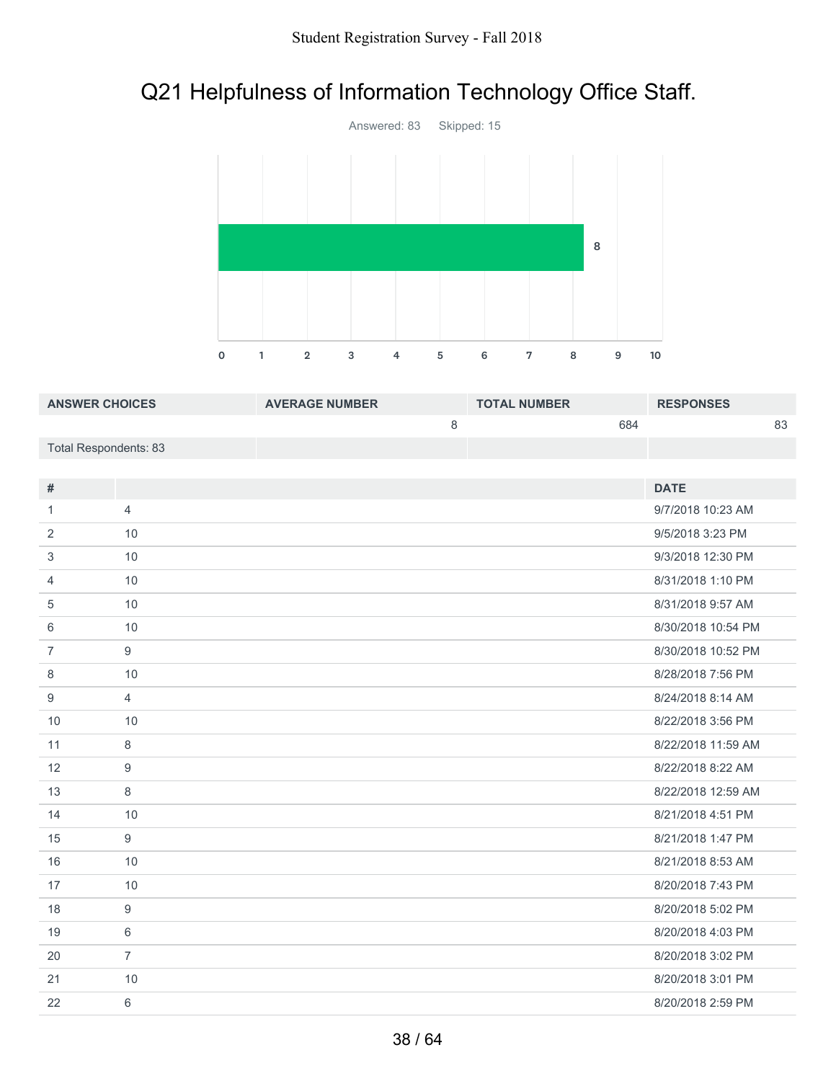# Q21 Helpfulness of Information Technology Office Staff.



| <b>ANSWER CHOICES</b> | <b>AVERAGE NUMBER</b> | <b>TOTAL NUMBER</b> | <b>RESPONSES</b> |
|-----------------------|-----------------------|---------------------|------------------|
|                       |                       | 684                 | 83               |
| Total Respondents: 83 |                       |                     |                  |
|                       |                       |                     |                  |

| #              |                | <b>DATE</b>        |
|----------------|----------------|--------------------|
| 1              | $\overline{4}$ | 9/7/2018 10:23 AM  |
| 2              | 10             | 9/5/2018 3:23 PM   |
| 3              | 10             | 9/3/2018 12:30 PM  |
| 4              | 10             | 8/31/2018 1:10 PM  |
| 5              | 10             | 8/31/2018 9:57 AM  |
| 6              | 10             | 8/30/2018 10:54 PM |
| $\overline{7}$ | 9              | 8/30/2018 10:52 PM |
| 8              | 10             | 8/28/2018 7:56 PM  |
| 9              | $\overline{4}$ | 8/24/2018 8:14 AM  |
| 10             | 10             | 8/22/2018 3:56 PM  |
| 11             | 8              | 8/22/2018 11:59 AM |
| 12             | 9              | 8/22/2018 8:22 AM  |
| 13             | 8              | 8/22/2018 12:59 AM |
| 14             | 10             | 8/21/2018 4:51 PM  |
| 15             | 9              | 8/21/2018 1:47 PM  |
| 16             | 10             | 8/21/2018 8:53 AM  |
| 17             | 10             | 8/20/2018 7:43 PM  |
| 18             | 9              | 8/20/2018 5:02 PM  |
| 19             | 6              | 8/20/2018 4:03 PM  |
| 20             | $\overline{7}$ | 8/20/2018 3:02 PM  |
| 21             | 10             | 8/20/2018 3:01 PM  |
| 22             | 6              | 8/20/2018 2:59 PM  |
|                |                |                    |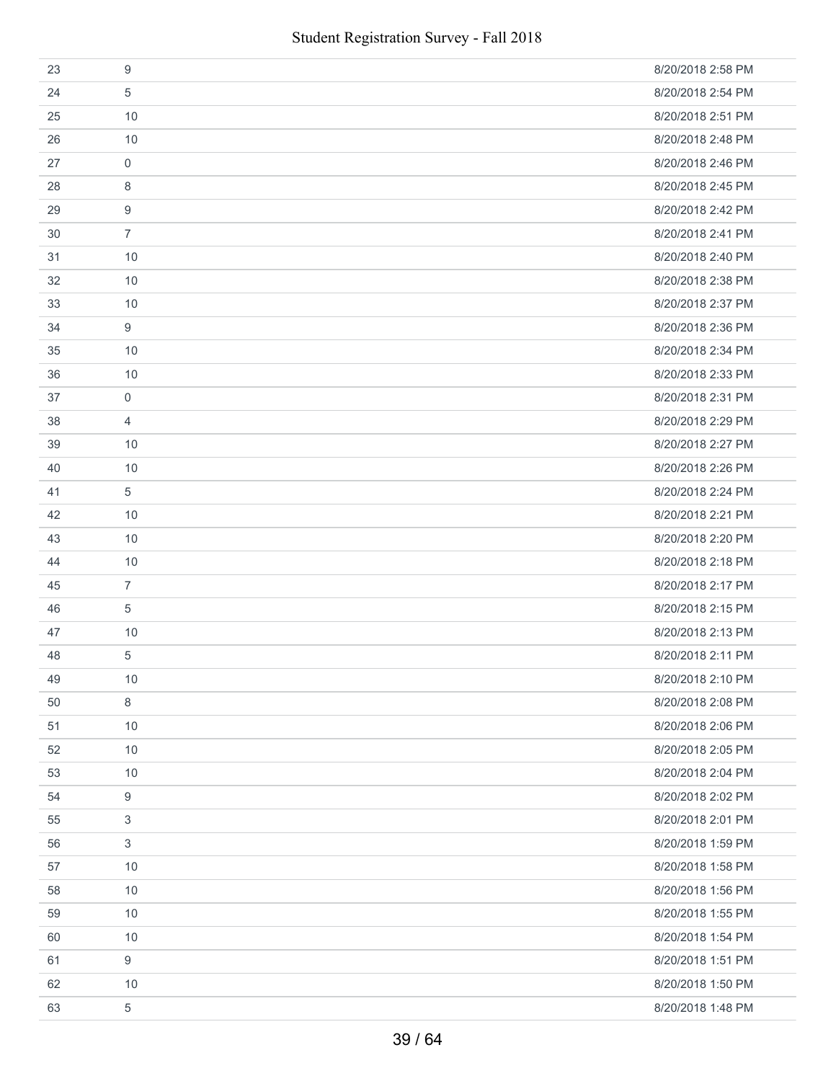| 23 | 9                | 8/20/2018 2:58 PM |
|----|------------------|-------------------|
| 24 | 5                | 8/20/2018 2:54 PM |
| 25 | 10               | 8/20/2018 2:51 PM |
| 26 | 10               | 8/20/2018 2:48 PM |
| 27 | $\mathbf 0$      | 8/20/2018 2:46 PM |
| 28 | 8                | 8/20/2018 2:45 PM |
| 29 | 9                | 8/20/2018 2:42 PM |
| 30 | $\overline{7}$   | 8/20/2018 2:41 PM |
| 31 | 10               | 8/20/2018 2:40 PM |
| 32 | 10               | 8/20/2018 2:38 PM |
| 33 | 10               | 8/20/2018 2:37 PM |
| 34 | 9                | 8/20/2018 2:36 PM |
| 35 | 10               | 8/20/2018 2:34 PM |
| 36 | 10               | 8/20/2018 2:33 PM |
| 37 | 0                | 8/20/2018 2:31 PM |
| 38 | $\overline{4}$   | 8/20/2018 2:29 PM |
| 39 | 10               | 8/20/2018 2:27 PM |
| 40 | 10               | 8/20/2018 2:26 PM |
| 41 | 5                | 8/20/2018 2:24 PM |
| 42 | 10               | 8/20/2018 2:21 PM |
| 43 | 10               | 8/20/2018 2:20 PM |
| 44 | 10               | 8/20/2018 2:18 PM |
| 45 | $\overline{7}$   | 8/20/2018 2:17 PM |
| 46 | 5                | 8/20/2018 2:15 PM |
| 47 | 10               | 8/20/2018 2:13 PM |
| 48 | 5                | 8/20/2018 2:11 PM |
| 49 | 10               | 8/20/2018 2:10 PM |
| 50 | 8                | 8/20/2018 2:08 PM |
| 51 | 10               | 8/20/2018 2:06 PM |
| 52 | 10               | 8/20/2018 2:05 PM |
| 53 | 10               | 8/20/2018 2:04 PM |
| 54 | 9                | 8/20/2018 2:02 PM |
| 55 | 3                | 8/20/2018 2:01 PM |
| 56 | $\mathfrak{S}$   | 8/20/2018 1:59 PM |
| 57 | 10               | 8/20/2018 1:58 PM |
| 58 | 10               | 8/20/2018 1:56 PM |
| 59 | 10               | 8/20/2018 1:55 PM |
| 60 | 10               | 8/20/2018 1:54 PM |
| 61 | $\boldsymbol{9}$ | 8/20/2018 1:51 PM |
| 62 | 10               | 8/20/2018 1:50 PM |
| 63 | 5                | 8/20/2018 1:48 PM |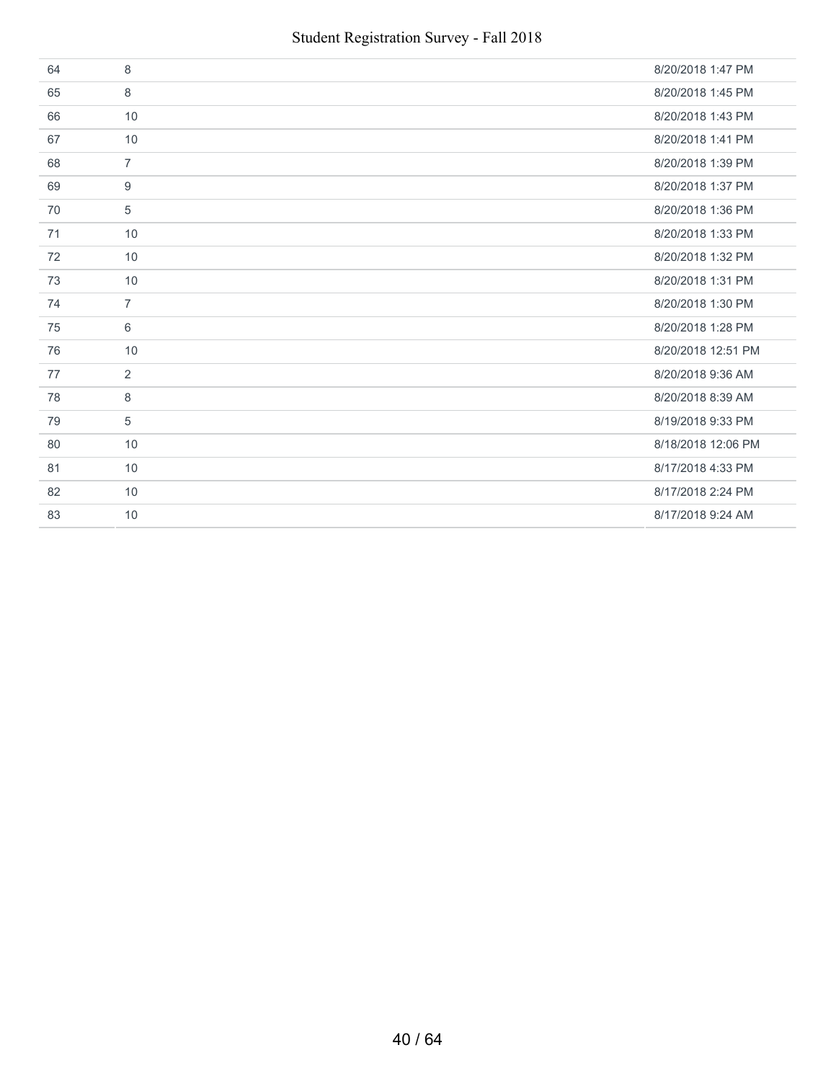| 64 | 8              | 8/20/2018 1:47 PM  |
|----|----------------|--------------------|
| 65 | 8              | 8/20/2018 1:45 PM  |
| 66 | 10             | 8/20/2018 1:43 PM  |
| 67 | 10             | 8/20/2018 1:41 PM  |
| 68 | $\overline{7}$ | 8/20/2018 1:39 PM  |
| 69 | 9              | 8/20/2018 1:37 PM  |
| 70 | 5              | 8/20/2018 1:36 PM  |
| 71 | 10             | 8/20/2018 1:33 PM  |
| 72 | 10             | 8/20/2018 1:32 PM  |
| 73 | 10             | 8/20/2018 1:31 PM  |
|    |                |                    |
| 74 | $\overline{7}$ | 8/20/2018 1:30 PM  |
| 75 | 6              | 8/20/2018 1:28 PM  |
| 76 | 10             | 8/20/2018 12:51 PM |
| 77 | 2              | 8/20/2018 9:36 AM  |
| 78 | 8              | 8/20/2018 8:39 AM  |
| 79 | 5              | 8/19/2018 9:33 PM  |
| 80 | 10             | 8/18/2018 12:06 PM |
| 81 | 10             | 8/17/2018 4:33 PM  |
| 82 | 10             | 8/17/2018 2:24 PM  |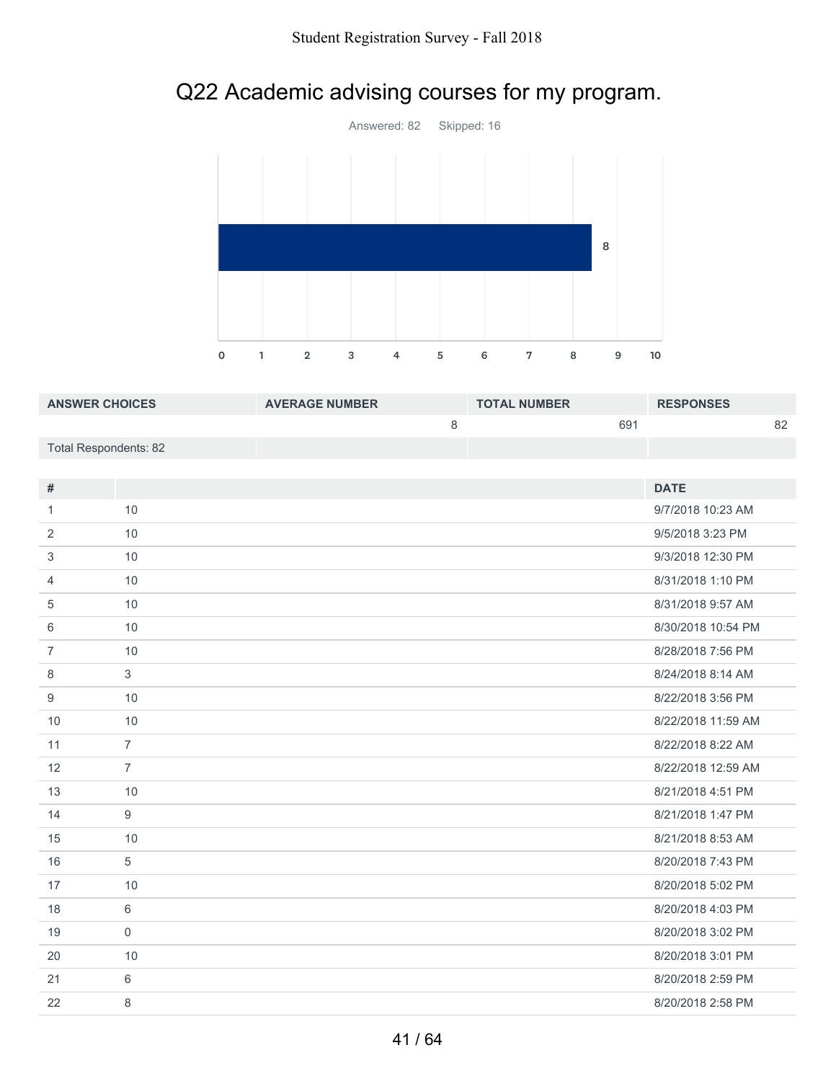# Q22 Academic advising courses for my program.



| <b>ANSWER CHOICES</b> | <b>AVERAGE NUMBER</b> | <b>TOTAL NUMBER</b> |     | <b>RESPONSES</b> |    |
|-----------------------|-----------------------|---------------------|-----|------------------|----|
|                       |                       |                     | 691 |                  | 82 |
| Total Respondents: 82 |                       |                     |     |                  |    |

| #              |                | <b>DATE</b>        |
|----------------|----------------|--------------------|
| 1              | 10             | 9/7/2018 10:23 AM  |
| 2              | 10             | 9/5/2018 3:23 PM   |
| 3              | 10             | 9/3/2018 12:30 PM  |
| 4              | 10             | 8/31/2018 1:10 PM  |
| 5              | 10             | 8/31/2018 9:57 AM  |
| 6              | 10             | 8/30/2018 10:54 PM |
| $\overline{7}$ | 10             | 8/28/2018 7:56 PM  |
| 8              | 3              | 8/24/2018 8:14 AM  |
| 9              | 10             | 8/22/2018 3:56 PM  |
| 10             | 10             | 8/22/2018 11:59 AM |
| 11             | $\overline{7}$ | 8/22/2018 8:22 AM  |
| 12             | $\overline{7}$ | 8/22/2018 12:59 AM |
| 13             | 10             | 8/21/2018 4:51 PM  |
| 14             | 9              | 8/21/2018 1:47 PM  |
| 15             | 10             | 8/21/2018 8:53 AM  |
| 16             | 5              | 8/20/2018 7:43 PM  |
| 17             | 10             | 8/20/2018 5:02 PM  |
| 18             | 6              | 8/20/2018 4:03 PM  |
| 19             | $\mathbf 0$    | 8/20/2018 3:02 PM  |
| 20             | 10             | 8/20/2018 3:01 PM  |
| 21             | 6              | 8/20/2018 2:59 PM  |
| 22             | 8              | 8/20/2018 2:58 PM  |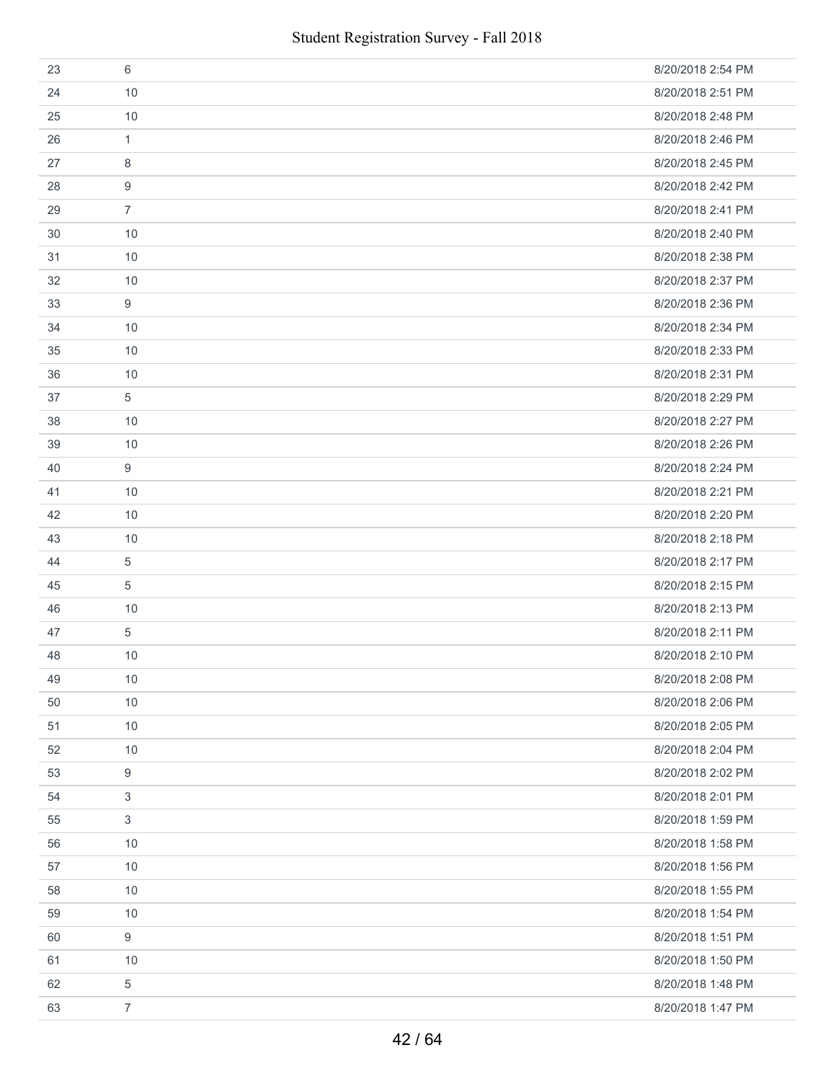| 23 | 6                | 8/20/2018 2:54 PM |
|----|------------------|-------------------|
| 24 | 10               | 8/20/2018 2:51 PM |
| 25 | 10               | 8/20/2018 2:48 PM |
| 26 | 1                | 8/20/2018 2:46 PM |
| 27 | 8                | 8/20/2018 2:45 PM |
| 28 | 9                | 8/20/2018 2:42 PM |
| 29 | $\overline{7}$   | 8/20/2018 2:41 PM |
| 30 | 10               | 8/20/2018 2:40 PM |
| 31 | 10               | 8/20/2018 2:38 PM |
| 32 | 10               | 8/20/2018 2:37 PM |
| 33 | 9                | 8/20/2018 2:36 PM |
| 34 | 10               | 8/20/2018 2:34 PM |
| 35 | 10               | 8/20/2018 2:33 PM |
| 36 | 10               | 8/20/2018 2:31 PM |
| 37 | 5                | 8/20/2018 2:29 PM |
| 38 | 10               | 8/20/2018 2:27 PM |
| 39 | 10               | 8/20/2018 2:26 PM |
| 40 | 9                | 8/20/2018 2:24 PM |
| 41 | 10               | 8/20/2018 2:21 PM |
| 42 | 10               | 8/20/2018 2:20 PM |
| 43 | 10               | 8/20/2018 2:18 PM |
| 44 | 5                | 8/20/2018 2:17 PM |
| 45 | 5                | 8/20/2018 2:15 PM |
| 46 | 10               | 8/20/2018 2:13 PM |
| 47 | 5                | 8/20/2018 2:11 PM |
| 48 | 10               | 8/20/2018 2:10 PM |
| 49 | $10$             | 8/20/2018 2:08 PM |
| 50 | 10               | 8/20/2018 2:06 PM |
| 51 | 10               | 8/20/2018 2:05 PM |
| 52 | 10               | 8/20/2018 2:04 PM |
| 53 | 9                | 8/20/2018 2:02 PM |
| 54 | 3                | 8/20/2018 2:01 PM |
| 55 | 3                | 8/20/2018 1:59 PM |
| 56 | 10               | 8/20/2018 1:58 PM |
| 57 | 10               | 8/20/2018 1:56 PM |
| 58 | 10               | 8/20/2018 1:55 PM |
| 59 | 10               | 8/20/2018 1:54 PM |
| 60 | $9\,$            | 8/20/2018 1:51 PM |
| 61 | 10               | 8/20/2018 1:50 PM |
| 62 | 5                | 8/20/2018 1:48 PM |
| 63 | $\boldsymbol{7}$ | 8/20/2018 1:47 PM |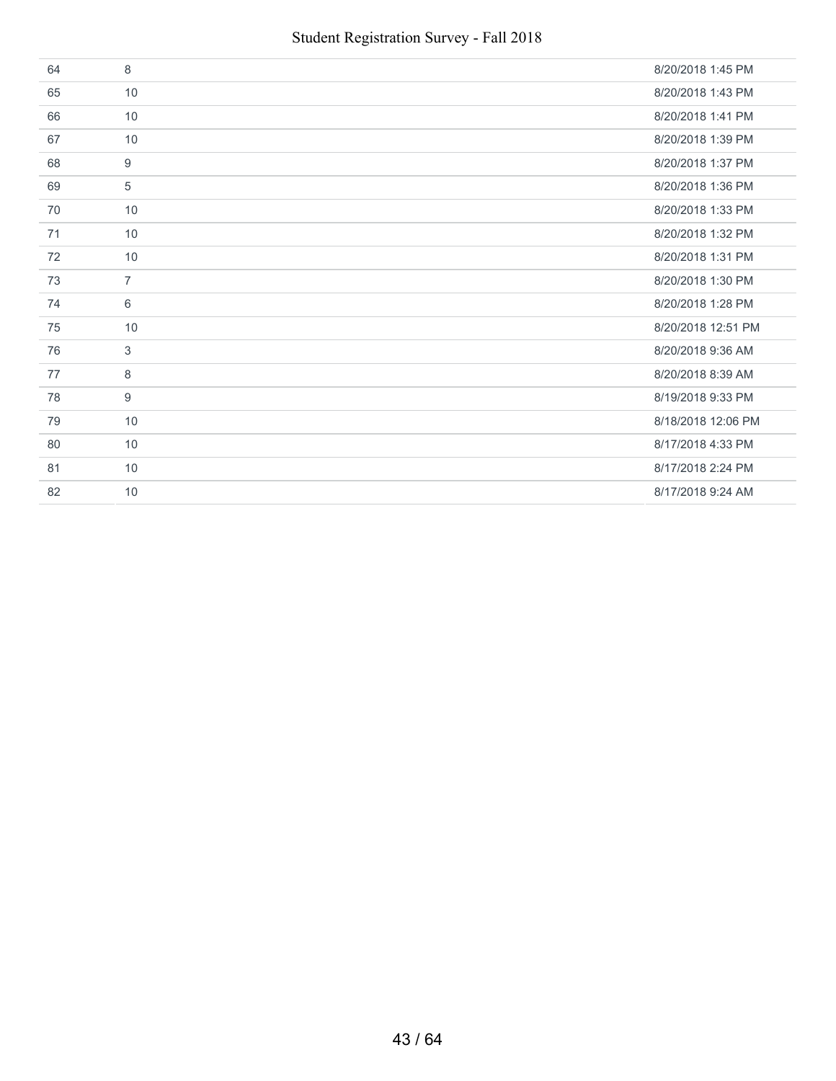| 64 | 8              | 8/20/2018 1:45 PM  |
|----|----------------|--------------------|
| 65 | 10             | 8/20/2018 1:43 PM  |
| 66 | 10             | 8/20/2018 1:41 PM  |
| 67 | 10             | 8/20/2018 1:39 PM  |
| 68 | 9              | 8/20/2018 1:37 PM  |
| 69 | 5              | 8/20/2018 1:36 PM  |
| 70 | 10             | 8/20/2018 1:33 PM  |
| 71 | 10             | 8/20/2018 1:32 PM  |
| 72 | 10             | 8/20/2018 1:31 PM  |
| 73 | $\overline{7}$ | 8/20/2018 1:30 PM  |
| 74 | 6              | 8/20/2018 1:28 PM  |
| 75 | 10             | 8/20/2018 12:51 PM |
| 76 | 3              | 8/20/2018 9:36 AM  |
| 77 | 8              | 8/20/2018 8:39 AM  |
| 78 | 9              | 8/19/2018 9:33 PM  |
| 79 | 10             | 8/18/2018 12:06 PM |
| 80 | 10             | 8/17/2018 4:33 PM  |
| 81 | 10             | 8/17/2018 2:24 PM  |
| 82 | 10             | 8/17/2018 9:24 AM  |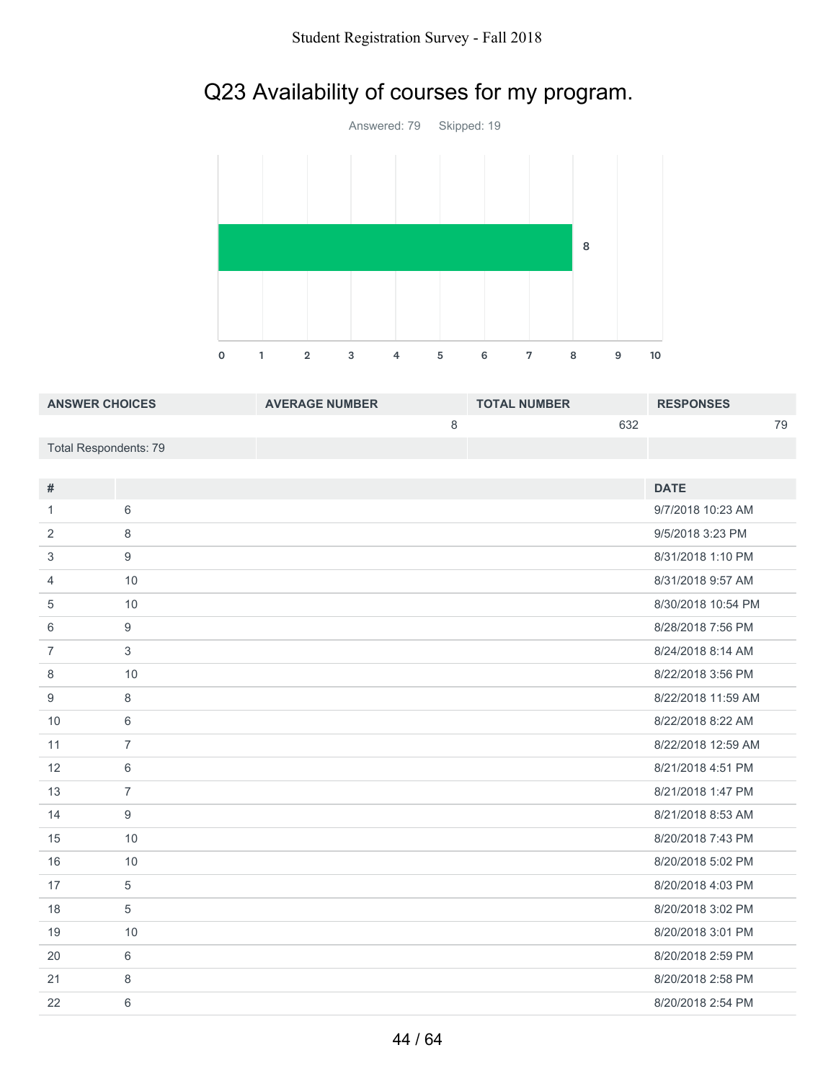# Q23 Availability of courses for my program.



| <b>ANSWER CHOICES</b> | <b>AVERAGE NUMBER</b> | <b>TOTAL NUMBER</b> | <b>RESPONSES</b> |
|-----------------------|-----------------------|---------------------|------------------|
|                       |                       | 632                 | 79               |
| Total Respondents: 79 |                       |                     |                  |

| $\#$           |                | <b>DATE</b>        |
|----------------|----------------|--------------------|
| 1              | 6              | 9/7/2018 10:23 AM  |
|                |                |                    |
| 2              | 8              | 9/5/2018 3:23 PM   |
| 3              | 9              | 8/31/2018 1:10 PM  |
| 4              | 10             | 8/31/2018 9:57 AM  |
| 5              | 10             | 8/30/2018 10:54 PM |
| 6              | 9              | 8/28/2018 7:56 PM  |
| $\overline{7}$ | 3              | 8/24/2018 8:14 AM  |
| 8              | 10             | 8/22/2018 3:56 PM  |
| 9              | 8              | 8/22/2018 11:59 AM |
| 10             | 6              | 8/22/2018 8:22 AM  |
| 11             | $\overline{7}$ | 8/22/2018 12:59 AM |
| 12             | 6              | 8/21/2018 4:51 PM  |
| 13             | $\overline{7}$ | 8/21/2018 1:47 PM  |
| 14             | 9              | 8/21/2018 8:53 AM  |
| 15             | 10             | 8/20/2018 7:43 PM  |
| 16             | 10             | 8/20/2018 5:02 PM  |
| 17             | 5              | 8/20/2018 4:03 PM  |
| 18             | 5              | 8/20/2018 3:02 PM  |
| 19             | 10             | 8/20/2018 3:01 PM  |
| 20             | 6              | 8/20/2018 2:59 PM  |
| 21             | 8              | 8/20/2018 2:58 PM  |
| 22             | 6              | 8/20/2018 2:54 PM  |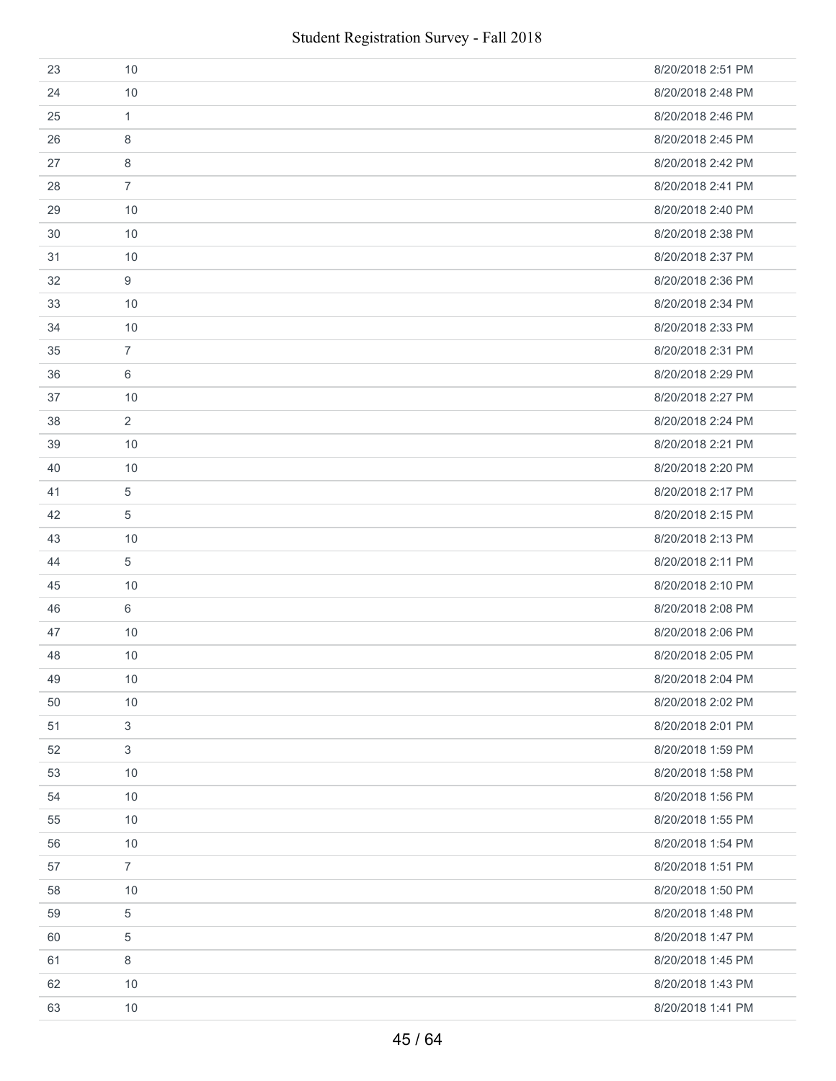| 23 | 10             | 8/20/2018 2:51 PM |
|----|----------------|-------------------|
| 24 | 10             | 8/20/2018 2:48 PM |
| 25 | 1              | 8/20/2018 2:46 PM |
| 26 | 8              | 8/20/2018 2:45 PM |
| 27 | 8              | 8/20/2018 2:42 PM |
| 28 | $\overline{7}$ | 8/20/2018 2:41 PM |
| 29 | 10             | 8/20/2018 2:40 PM |
| 30 | 10             | 8/20/2018 2:38 PM |
| 31 | 10             | 8/20/2018 2:37 PM |
| 32 | 9              | 8/20/2018 2:36 PM |
| 33 | 10             | 8/20/2018 2:34 PM |
| 34 | 10             | 8/20/2018 2:33 PM |
| 35 | $\overline{7}$ | 8/20/2018 2:31 PM |
| 36 | 6              | 8/20/2018 2:29 PM |
| 37 | 10             | 8/20/2018 2:27 PM |
| 38 | $\overline{2}$ | 8/20/2018 2:24 PM |
| 39 | 10             | 8/20/2018 2:21 PM |
| 40 | 10             | 8/20/2018 2:20 PM |
| 41 | 5              | 8/20/2018 2:17 PM |
| 42 | 5              | 8/20/2018 2:15 PM |
| 43 | 10             | 8/20/2018 2:13 PM |
| 44 | 5              | 8/20/2018 2:11 PM |
| 45 | 10             | 8/20/2018 2:10 PM |
| 46 | 6              | 8/20/2018 2:08 PM |
| 47 | 10             | 8/20/2018 2:06 PM |
| 48 | 10             | 8/20/2018 2:05 PM |
| 49 | $10$           | 8/20/2018 2:04 PM |
| 50 | 10             | 8/20/2018 2:02 PM |
| 51 | 3              | 8/20/2018 2:01 PM |
| 52 | $\mathfrak{S}$ | 8/20/2018 1:59 PM |
| 53 | 10             | 8/20/2018 1:58 PM |
| 54 | 10             | 8/20/2018 1:56 PM |
| 55 | 10             | 8/20/2018 1:55 PM |
| 56 | 10             | 8/20/2018 1:54 PM |
| 57 | $\overline{7}$ | 8/20/2018 1:51 PM |
| 58 | 10             | 8/20/2018 1:50 PM |
| 59 | 5              | 8/20/2018 1:48 PM |
| 60 | 5              | 8/20/2018 1:47 PM |
| 61 | 8              | 8/20/2018 1:45 PM |
| 62 | 10             | 8/20/2018 1:43 PM |
| 63 | 10             | 8/20/2018 1:41 PM |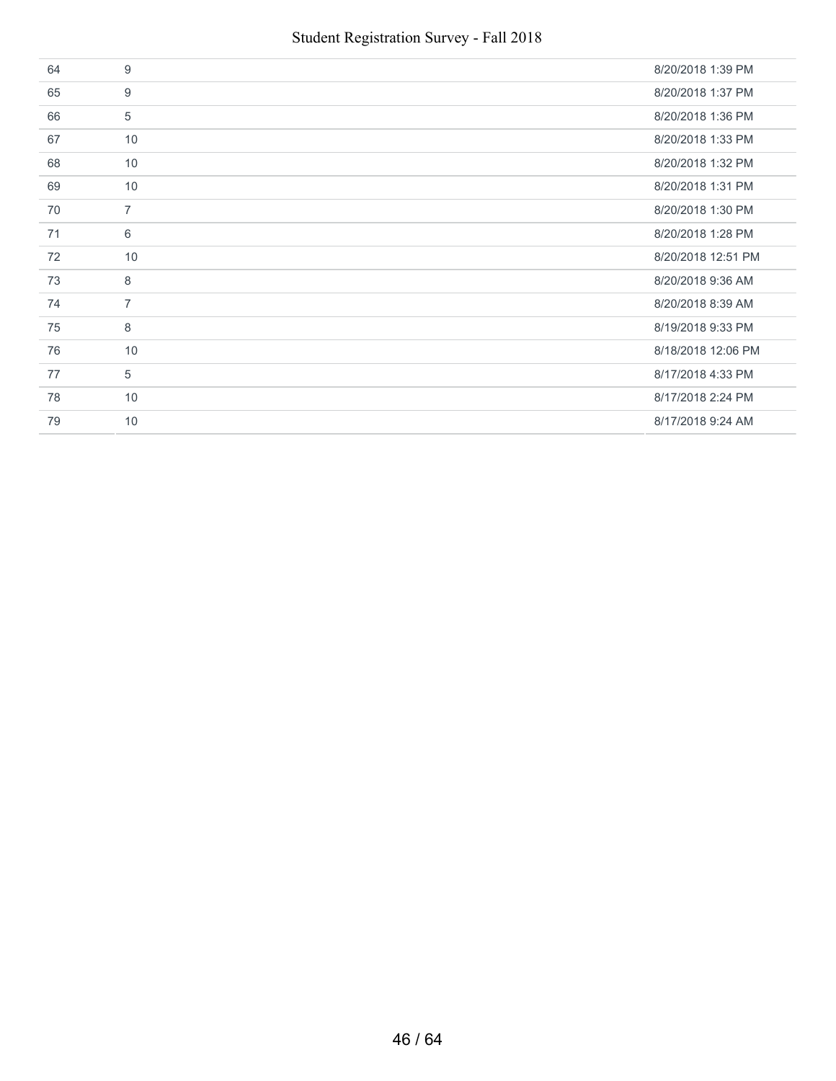| 64 | 9              | 8/20/2018 1:39 PM  |
|----|----------------|--------------------|
| 65 | 9              | 8/20/2018 1:37 PM  |
| 66 | 5              | 8/20/2018 1:36 PM  |
| 67 | 10             | 8/20/2018 1:33 PM  |
| 68 | 10             | 8/20/2018 1:32 PM  |
| 69 | 10             | 8/20/2018 1:31 PM  |
| 70 | $\overline{7}$ | 8/20/2018 1:30 PM  |
| 71 | 6              | 8/20/2018 1:28 PM  |
| 72 | 10             | 8/20/2018 12:51 PM |
| 73 | 8              | 8/20/2018 9:36 AM  |
| 74 | $\overline{7}$ | 8/20/2018 8:39 AM  |
| 75 | 8              | 8/19/2018 9:33 PM  |
| 76 | 10             | 8/18/2018 12:06 PM |
| 77 | 5              | 8/17/2018 4:33 PM  |
| 78 | 10             | 8/17/2018 2:24 PM  |
| 79 | 10             | 8/17/2018 9:24 AM  |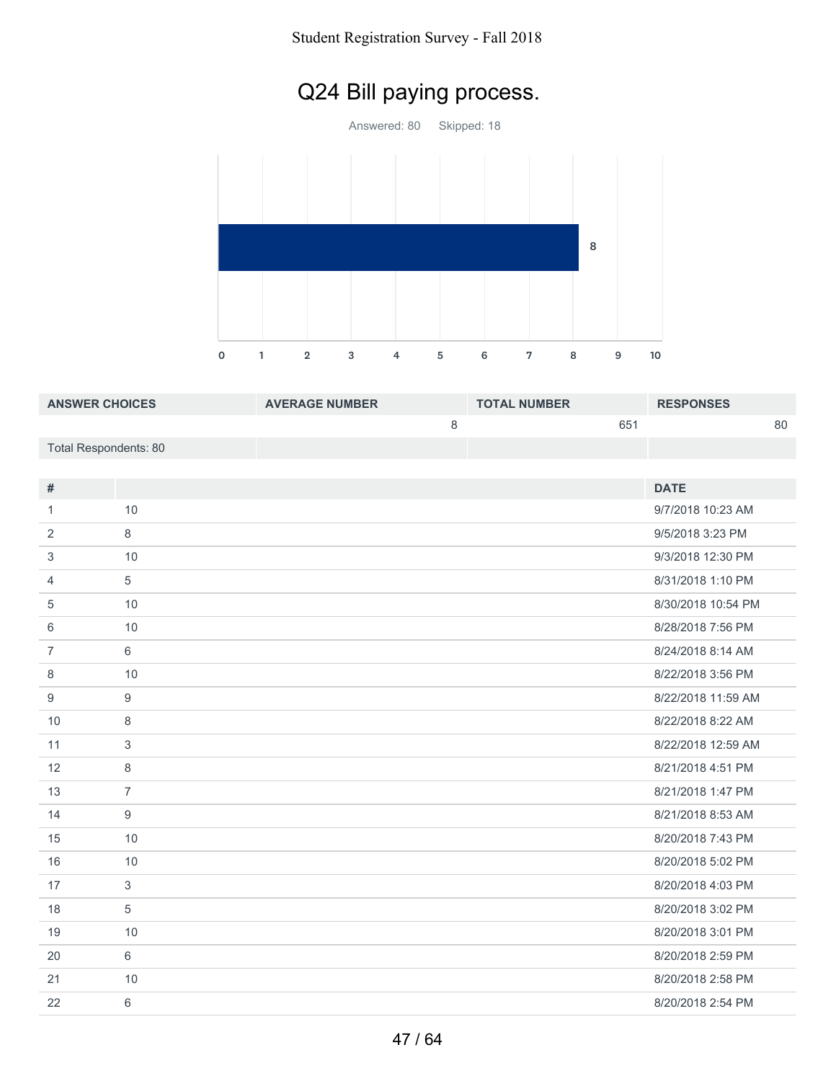# Q24 Bill paying process.

Answered: 80 Skipped: 18 



| <b>ANSWER CHOICES</b> | <b>AVERAGE NUMBER</b> | <b>TOTAL NUMBER</b> | <b>RESPONSES</b> |
|-----------------------|-----------------------|---------------------|------------------|
|                       |                       | 651                 | 80               |
| Total Respondents: 80 |                       |                     |                  |
|                       |                       |                     |                  |

| $\#$           |                | <b>DATE</b>        |
|----------------|----------------|--------------------|
| $\mathbf{1}$   | 10             | 9/7/2018 10:23 AM  |
| 2              | 8              | 9/5/2018 3:23 PM   |
| 3              | 10             | 9/3/2018 12:30 PM  |
| $\overline{4}$ | $\sqrt{5}$     | 8/31/2018 1:10 PM  |
| 5              | 10             | 8/30/2018 10:54 PM |
| 6              | 10             | 8/28/2018 7:56 PM  |
| $\overline{7}$ | 6              | 8/24/2018 8:14 AM  |
| 8              | 10             | 8/22/2018 3:56 PM  |
| 9              | 9              | 8/22/2018 11:59 AM |
| 10             | 8              | 8/22/2018 8:22 AM  |
| 11             | $\mathfrak{Z}$ | 8/22/2018 12:59 AM |
| 12             | 8              | 8/21/2018 4:51 PM  |
| 13             | $\overline{7}$ | 8/21/2018 1:47 PM  |
| 14             | 9              | 8/21/2018 8:53 AM  |
| 15             | 10             | 8/20/2018 7:43 PM  |
| 16             | 10             | 8/20/2018 5:02 PM  |
| 17             | $\mathfrak{Z}$ | 8/20/2018 4:03 PM  |
| 18             | $\sqrt{5}$     | 8/20/2018 3:02 PM  |
| 19             | 10             | 8/20/2018 3:01 PM  |
| 20             | $6\phantom{a}$ | 8/20/2018 2:59 PM  |
| 21             | 10             | 8/20/2018 2:58 PM  |
| 22             | 6              | 8/20/2018 2:54 PM  |
|                |                |                    |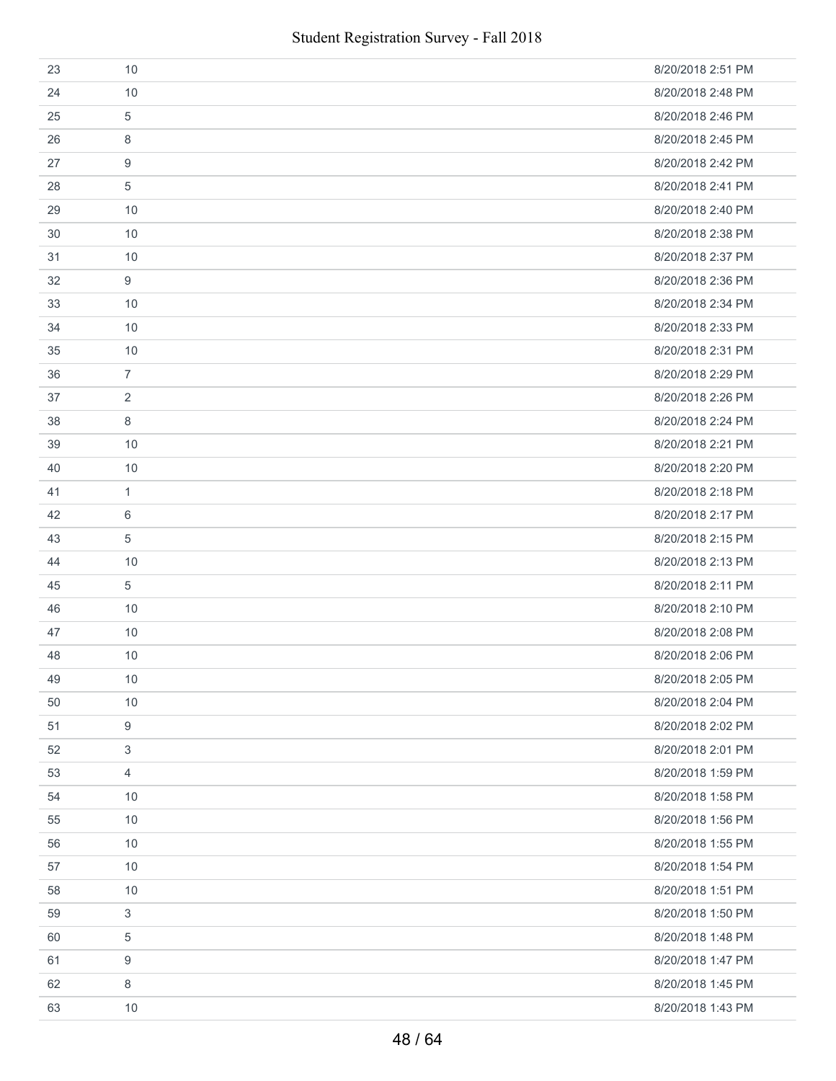| 23 | 10             | 8/20/2018 2:51 PM |
|----|----------------|-------------------|
| 24 | 10             | 8/20/2018 2:48 PM |
| 25 | 5              | 8/20/2018 2:46 PM |
| 26 | 8              | 8/20/2018 2:45 PM |
| 27 | 9              | 8/20/2018 2:42 PM |
| 28 | 5              | 8/20/2018 2:41 PM |
| 29 | 10             | 8/20/2018 2:40 PM |
| 30 | 10             | 8/20/2018 2:38 PM |
| 31 | 10             | 8/20/2018 2:37 PM |
| 32 | 9              | 8/20/2018 2:36 PM |
| 33 | 10             | 8/20/2018 2:34 PM |
| 34 | 10             | 8/20/2018 2:33 PM |
| 35 | 10             | 8/20/2018 2:31 PM |
| 36 | $\overline{7}$ | 8/20/2018 2:29 PM |
| 37 | 2              | 8/20/2018 2:26 PM |
| 38 | 8              | 8/20/2018 2:24 PM |
| 39 | 10             | 8/20/2018 2:21 PM |
| 40 | 10             | 8/20/2018 2:20 PM |
| 41 | 1              | 8/20/2018 2:18 PM |
| 42 | 6              | 8/20/2018 2:17 PM |
| 43 | 5              | 8/20/2018 2:15 PM |
| 44 | 10             | 8/20/2018 2:13 PM |
| 45 | 5              | 8/20/2018 2:11 PM |
| 46 | 10             | 8/20/2018 2:10 PM |
| 47 | 10             | 8/20/2018 2:08 PM |
| 48 | 10             | 8/20/2018 2:06 PM |
| 49 | $10$           | 8/20/2018 2:05 PM |
| 50 | 10             | 8/20/2018 2:04 PM |
| 51 | 9              | 8/20/2018 2:02 PM |
| 52 | 3              | 8/20/2018 2:01 PM |
| 53 | $\overline{4}$ | 8/20/2018 1:59 PM |
| 54 | 10             | 8/20/2018 1:58 PM |
| 55 | 10             | 8/20/2018 1:56 PM |
| 56 | 10             | 8/20/2018 1:55 PM |
| 57 | 10             | 8/20/2018 1:54 PM |
| 58 | 10             | 8/20/2018 1:51 PM |
| 59 | $\mathfrak{S}$ | 8/20/2018 1:50 PM |
| 60 | 5              | 8/20/2018 1:48 PM |
| 61 | 9              | 8/20/2018 1:47 PM |
| 62 | 8              | 8/20/2018 1:45 PM |
| 63 | 10             | 8/20/2018 1:43 PM |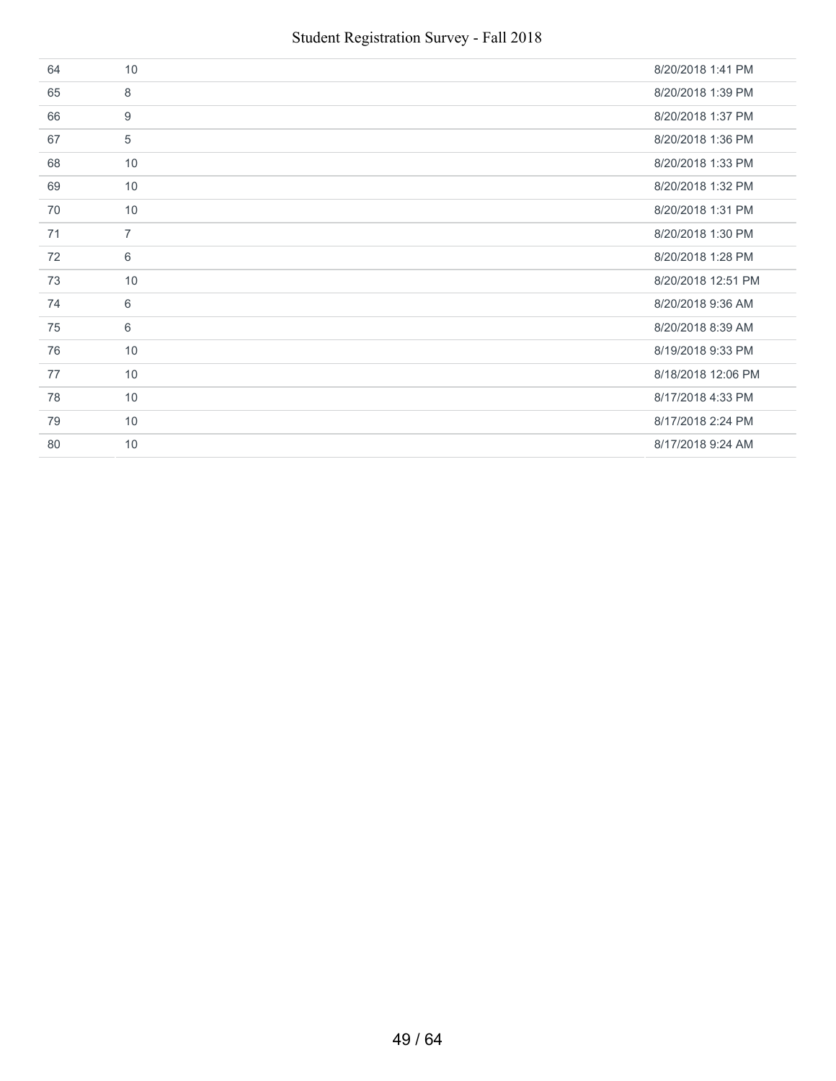| 64 | 10             | 8/20/2018 1:41 PM  |
|----|----------------|--------------------|
| 65 | 8              | 8/20/2018 1:39 PM  |
| 66 | 9              | 8/20/2018 1:37 PM  |
| 67 | 5              | 8/20/2018 1:36 PM  |
| 68 | 10             | 8/20/2018 1:33 PM  |
| 69 | 10             | 8/20/2018 1:32 PM  |
| 70 | 10             | 8/20/2018 1:31 PM  |
| 71 | $\overline{7}$ | 8/20/2018 1:30 PM  |
| 72 | 6              | 8/20/2018 1:28 PM  |
| 73 | 10             | 8/20/2018 12:51 PM |
| 74 | 6              | 8/20/2018 9:36 AM  |
| 75 | 6              | 8/20/2018 8:39 AM  |
| 76 | 10             | 8/19/2018 9:33 PM  |
| 77 | 10             | 8/18/2018 12:06 PM |
| 78 | 10             | 8/17/2018 4:33 PM  |
| 79 | 10             | 8/17/2018 2:24 PM  |
| 80 | 10             | 8/17/2018 9:24 AM  |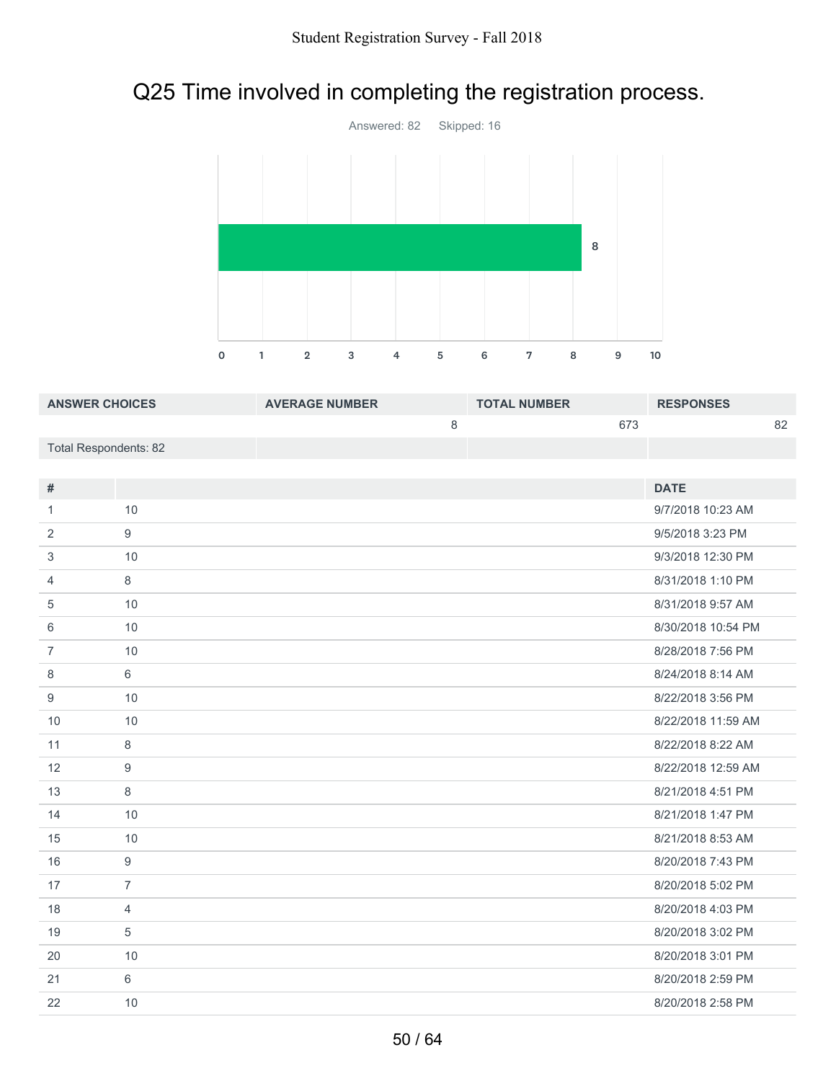# Q25 Time involved in completing the registration process.



| <b>ANSWER CHOICES</b> | <b>AVERAGE NUMBER</b> | <b>TOTAL NUMBER</b> | <b>RESPONSES</b> |
|-----------------------|-----------------------|---------------------|------------------|
|                       |                       | 673                 | 82               |
| Total Respondents: 82 |                       |                     |                  |

| $\#$           |                  | <b>DATE</b>        |
|----------------|------------------|--------------------|
| 1              | 10               | 9/7/2018 10:23 AM  |
| 2              | $\boldsymbol{9}$ | 9/5/2018 3:23 PM   |
| 3              | 10               | 9/3/2018 12:30 PM  |
| $\overline{4}$ | 8                | 8/31/2018 1:10 PM  |
| 5              | 10               | 8/31/2018 9:57 AM  |
| 6              | 10               | 8/30/2018 10:54 PM |
| $\overline{7}$ | 10               | 8/28/2018 7:56 PM  |
| 8              | 6                | 8/24/2018 8:14 AM  |
| 9              | 10               | 8/22/2018 3:56 PM  |
| 10             | 10               | 8/22/2018 11:59 AM |
| 11             | 8                | 8/22/2018 8:22 AM  |
| 12             | 9                | 8/22/2018 12:59 AM |
| 13             | 8                | 8/21/2018 4:51 PM  |
| 14             | 10               | 8/21/2018 1:47 PM  |
| 15             | 10               | 8/21/2018 8:53 AM  |
| 16             | 9                | 8/20/2018 7:43 PM  |
| 17             | $\overline{7}$   | 8/20/2018 5:02 PM  |
| 18             | $\overline{4}$   | 8/20/2018 4:03 PM  |
| 19             | 5                | 8/20/2018 3:02 PM  |
| 20             | 10               | 8/20/2018 3:01 PM  |
| 21             | 6                | 8/20/2018 2:59 PM  |
| 22             | 10               | 8/20/2018 2:58 PM  |
|                |                  |                    |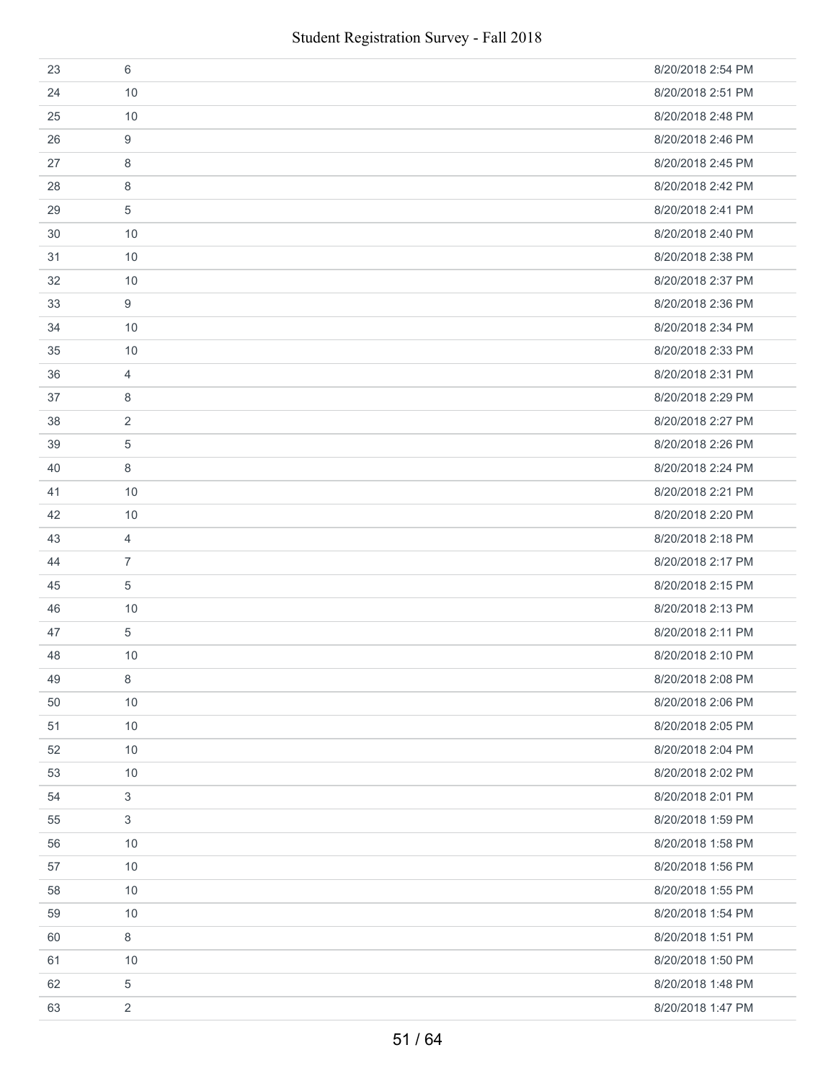| 23 | 6              | 8/20/2018 2:54 PM |
|----|----------------|-------------------|
| 24 | 10             | 8/20/2018 2:51 PM |
| 25 | 10             | 8/20/2018 2:48 PM |
| 26 | 9              | 8/20/2018 2:46 PM |
| 27 | 8              | 8/20/2018 2:45 PM |
| 28 | 8              | 8/20/2018 2:42 PM |
| 29 | 5              | 8/20/2018 2:41 PM |
| 30 | 10             | 8/20/2018 2:40 PM |
| 31 | 10             | 8/20/2018 2:38 PM |
| 32 | 10             | 8/20/2018 2:37 PM |
| 33 | 9              | 8/20/2018 2:36 PM |
| 34 | 10             | 8/20/2018 2:34 PM |
| 35 | 10             | 8/20/2018 2:33 PM |
| 36 | 4              | 8/20/2018 2:31 PM |
| 37 | 8              | 8/20/2018 2:29 PM |
| 38 | 2              | 8/20/2018 2:27 PM |
| 39 | 5              | 8/20/2018 2:26 PM |
| 40 | 8              | 8/20/2018 2:24 PM |
| 41 | 10             | 8/20/2018 2:21 PM |
| 42 | 10             | 8/20/2018 2:20 PM |
| 43 | 4              | 8/20/2018 2:18 PM |
| 44 | $\overline{7}$ | 8/20/2018 2:17 PM |
| 45 | 5              | 8/20/2018 2:15 PM |
| 46 | 10             | 8/20/2018 2:13 PM |
| 47 | 5              | 8/20/2018 2:11 PM |
| 48 | 10             | 8/20/2018 2:10 PM |
| 49 | 8              | 8/20/2018 2:08 PM |
| 50 | 10             | 8/20/2018 2:06 PM |
| 51 | 10             | 8/20/2018 2:05 PM |
| 52 | 10             | 8/20/2018 2:04 PM |
| 53 | 10             | 8/20/2018 2:02 PM |
| 54 | $\mathfrak{S}$ | 8/20/2018 2:01 PM |
| 55 | 3              | 8/20/2018 1:59 PM |
| 56 | 10             | 8/20/2018 1:58 PM |
| 57 | 10             | 8/20/2018 1:56 PM |
| 58 | 10             | 8/20/2018 1:55 PM |
| 59 | 10             | 8/20/2018 1:54 PM |
| 60 | 8              | 8/20/2018 1:51 PM |
| 61 | 10             | 8/20/2018 1:50 PM |
| 62 | 5              | 8/20/2018 1:48 PM |
| 63 | $\overline{2}$ | 8/20/2018 1:47 PM |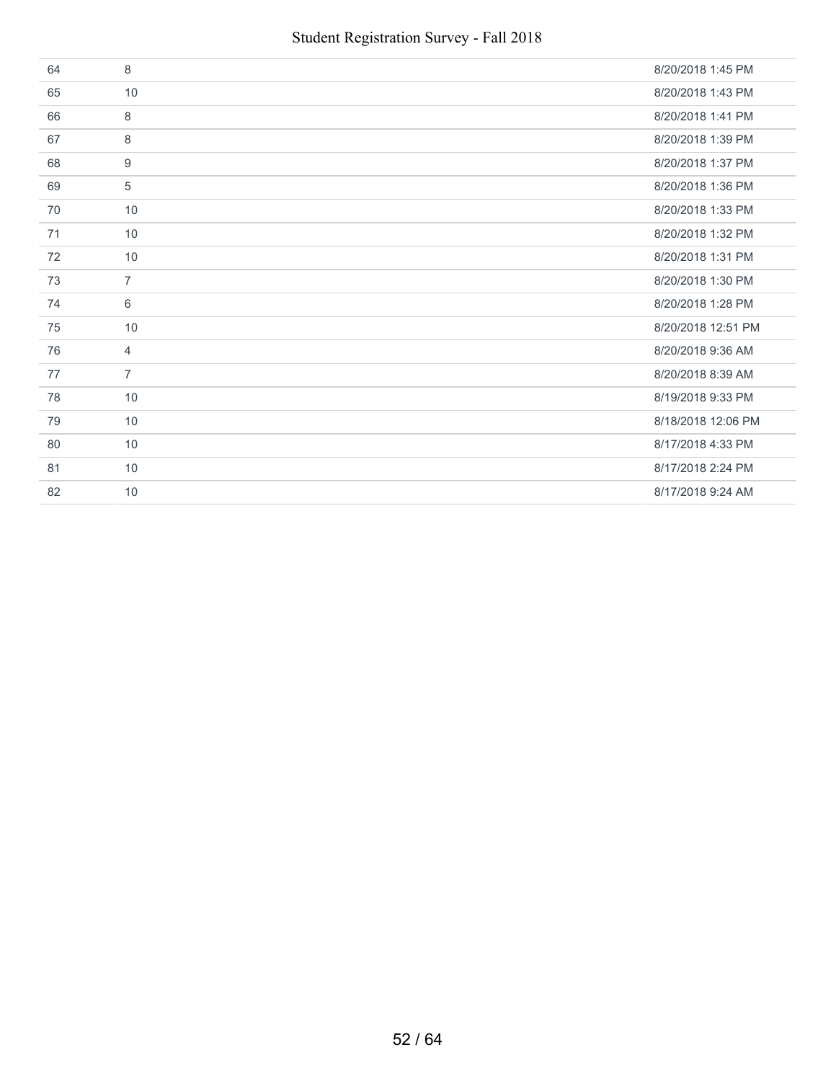| 64 | 8              | 8/20/2018 1:45 PM  |
|----|----------------|--------------------|
| 65 | 10             | 8/20/2018 1:43 PM  |
| 66 | 8              | 8/20/2018 1:41 PM  |
| 67 | 8              | 8/20/2018 1:39 PM  |
| 68 | 9              | 8/20/2018 1:37 PM  |
| 69 | 5              | 8/20/2018 1:36 PM  |
| 70 | 10             | 8/20/2018 1:33 PM  |
| 71 | 10             | 8/20/2018 1:32 PM  |
| 72 | 10             | 8/20/2018 1:31 PM  |
| 73 | $\overline{7}$ | 8/20/2018 1:30 PM  |
| 74 | 6              | 8/20/2018 1:28 PM  |
| 75 | 10             | 8/20/2018 12:51 PM |
| 76 | $\overline{4}$ | 8/20/2018 9:36 AM  |
| 77 | $\overline{7}$ | 8/20/2018 8:39 AM  |
| 78 | 10             | 8/19/2018 9:33 PM  |
| 79 | 10             | 8/18/2018 12:06 PM |
| 80 | 10             | 8/17/2018 4:33 PM  |
| 81 | 10             | 8/17/2018 2:24 PM  |
| 82 | 10             | 8/17/2018 9:24 AM  |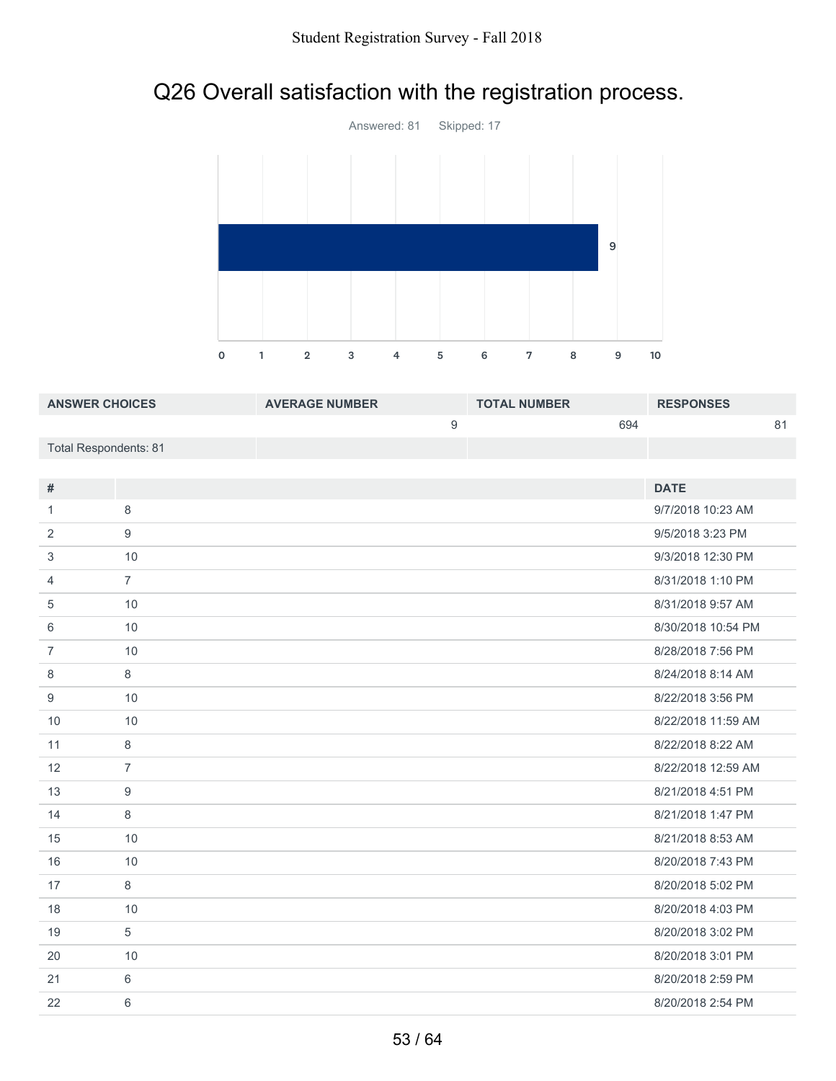# Q26 Overall satisfaction with the registration process.



| <b>ANSWER CHOICES</b> | <b>AVERAGE NUMBER</b> | <b>TOTAL NUMBER</b> | <b>RESPONSES</b> |
|-----------------------|-----------------------|---------------------|------------------|
|                       |                       | 694                 | 81               |
| Total Respondents: 81 |                       |                     |                  |

|                | <b>DATE</b>        |
|----------------|--------------------|
| 8              | 9/7/2018 10:23 AM  |
| 9              | 9/5/2018 3:23 PM   |
| 10             | 9/3/2018 12:30 PM  |
| $\overline{7}$ | 8/31/2018 1:10 PM  |
| 10             | 8/31/2018 9:57 AM  |
| 10             | 8/30/2018 10:54 PM |
| 10             | 8/28/2018 7:56 PM  |
| 8              | 8/24/2018 8:14 AM  |
| 10             | 8/22/2018 3:56 PM  |
| 10             | 8/22/2018 11:59 AM |
| 8              | 8/22/2018 8:22 AM  |
| $\overline{7}$ | 8/22/2018 12:59 AM |
| 9              | 8/21/2018 4:51 PM  |
| 8              | 8/21/2018 1:47 PM  |
| 10             | 8/21/2018 8:53 AM  |
| 10             | 8/20/2018 7:43 PM  |
| 8              | 8/20/2018 5:02 PM  |
| 10             | 8/20/2018 4:03 PM  |
| 5              | 8/20/2018 3:02 PM  |
| 10             | 8/20/2018 3:01 PM  |
| 6              | 8/20/2018 2:59 PM  |
| 6              | 8/20/2018 2:54 PM  |
|                |                    |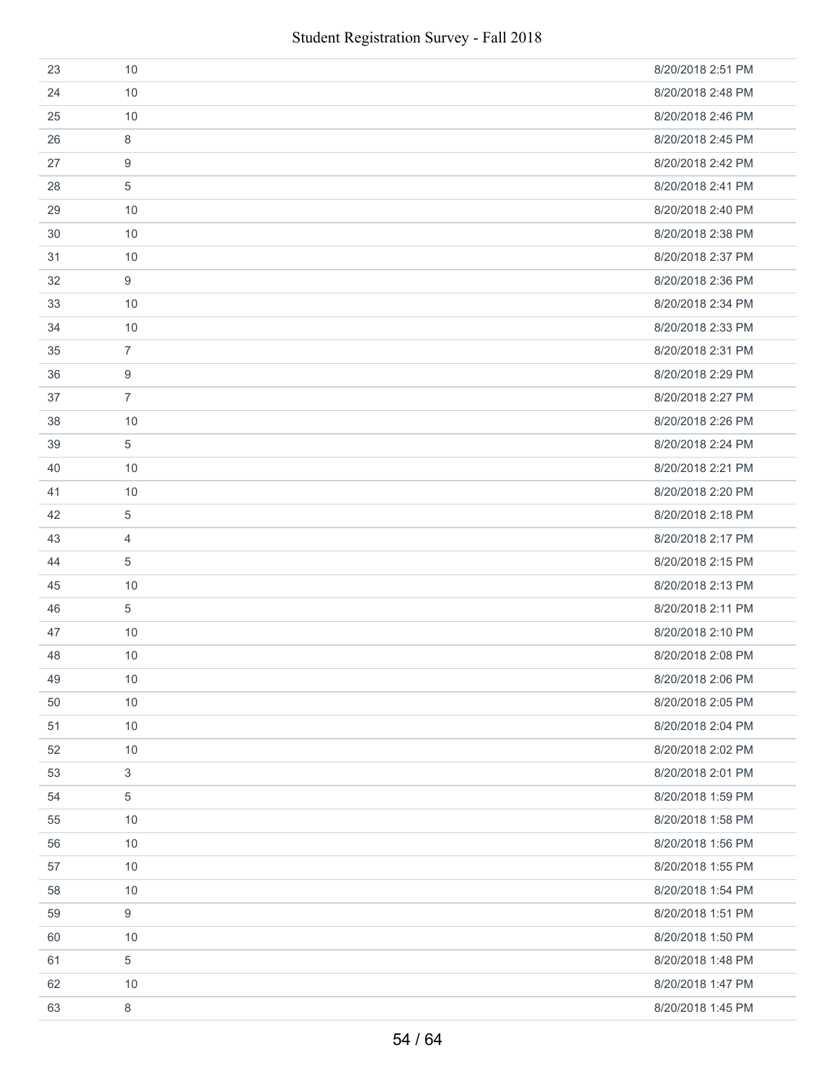| 23 | 10             | 8/20/2018 2:51 PM |
|----|----------------|-------------------|
| 24 | 10             | 8/20/2018 2:48 PM |
| 25 | 10             | 8/20/2018 2:46 PM |
| 26 | 8              | 8/20/2018 2:45 PM |
| 27 | 9              | 8/20/2018 2:42 PM |
| 28 | 5              | 8/20/2018 2:41 PM |
| 29 | 10             | 8/20/2018 2:40 PM |
| 30 | 10             | 8/20/2018 2:38 PM |
| 31 | 10             | 8/20/2018 2:37 PM |
| 32 | 9              | 8/20/2018 2:36 PM |
| 33 | 10             | 8/20/2018 2:34 PM |
| 34 | 10             | 8/20/2018 2:33 PM |
| 35 | $\overline{7}$ | 8/20/2018 2:31 PM |
| 36 | 9              | 8/20/2018 2:29 PM |
| 37 | $\overline{7}$ | 8/20/2018 2:27 PM |
| 38 | 10             | 8/20/2018 2:26 PM |
| 39 | 5              | 8/20/2018 2:24 PM |
| 40 | 10             | 8/20/2018 2:21 PM |
| 41 | 10             | 8/20/2018 2:20 PM |
| 42 | 5              | 8/20/2018 2:18 PM |
| 43 | 4              | 8/20/2018 2:17 PM |
| 44 | 5              | 8/20/2018 2:15 PM |
| 45 | 10             | 8/20/2018 2:13 PM |
| 46 | 5              | 8/20/2018 2:11 PM |
| 47 | 10             | 8/20/2018 2:10 PM |
| 48 | 10             | 8/20/2018 2:08 PM |
| 49 | 10             | 8/20/2018 2:06 PM |
| 50 | 10             | 8/20/2018 2:05 PM |
| 51 | 10             | 8/20/2018 2:04 PM |
| 52 | 10             | 8/20/2018 2:02 PM |
| 53 | 3              | 8/20/2018 2:01 PM |
| 54 | 5              | 8/20/2018 1:59 PM |
| 55 | 10             | 8/20/2018 1:58 PM |
| 56 | 10             | 8/20/2018 1:56 PM |
| 57 | 10             | 8/20/2018 1:55 PM |
| 58 | 10             | 8/20/2018 1:54 PM |
| 59 | 9              | 8/20/2018 1:51 PM |
| 60 | 10             | 8/20/2018 1:50 PM |
| 61 | 5              | 8/20/2018 1:48 PM |
| 62 | 10             | 8/20/2018 1:47 PM |
| 63 | 8              | 8/20/2018 1:45 PM |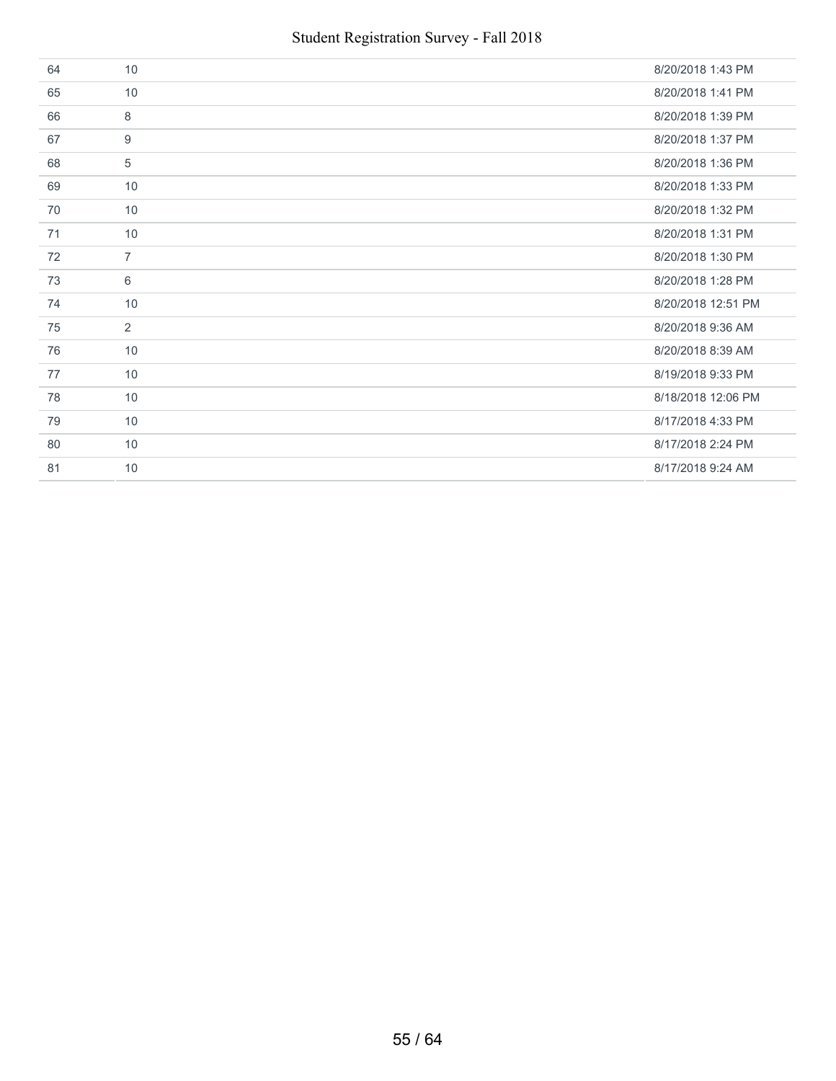| 64 | 10             | 8/20/2018 1:43 PM  |
|----|----------------|--------------------|
| 65 | 10             | 8/20/2018 1:41 PM  |
| 66 | 8              | 8/20/2018 1:39 PM  |
| 67 | 9              | 8/20/2018 1:37 PM  |
| 68 | 5              | 8/20/2018 1:36 PM  |
| 69 | 10             | 8/20/2018 1:33 PM  |
| 70 | 10             | 8/20/2018 1:32 PM  |
| 71 | 10             | 8/20/2018 1:31 PM  |
| 72 | $\overline{7}$ | 8/20/2018 1:30 PM  |
| 73 | 6              | 8/20/2018 1:28 PM  |
| 74 | 10             | 8/20/2018 12:51 PM |
| 75 | $\overline{2}$ | 8/20/2018 9:36 AM  |
| 76 | 10             | 8/20/2018 8:39 AM  |
| 77 | 10             | 8/19/2018 9:33 PM  |
| 78 | 10             | 8/18/2018 12:06 PM |
| 79 | 10             | 8/17/2018 4:33 PM  |
| 80 | 10             | 8/17/2018 2:24 PM  |
| 81 | 10             | 8/17/2018 9:24 AM  |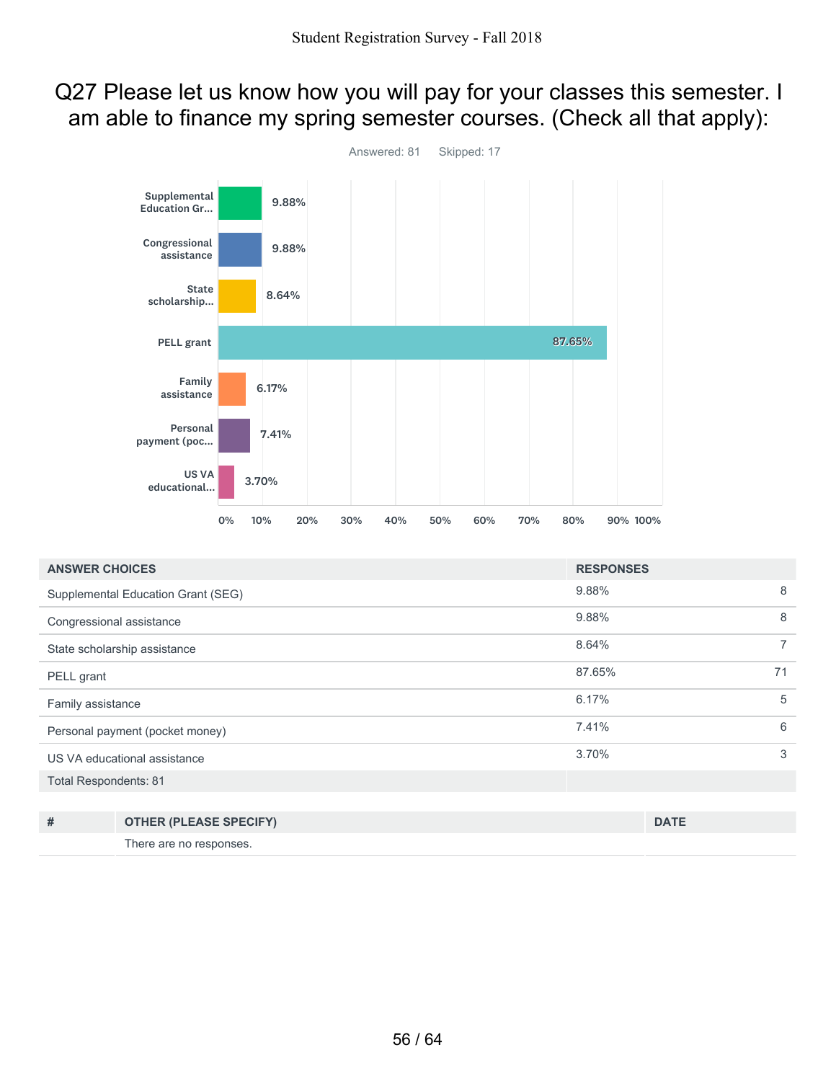### Q27 Please let us know how you will pay for your classes this semester. I am able to finance my spring semester courses. (Check all that apply):



| <b>ANSWER CHOICES</b>           |                                    | <b>RESPONSES</b> |                |
|---------------------------------|------------------------------------|------------------|----------------|
|                                 | Supplemental Education Grant (SEG) | 9.88%            | 8              |
| Congressional assistance        |                                    | 9.88%            | 8              |
| State scholarship assistance    |                                    | 8.64%            | $\overline{7}$ |
| PELL grant                      |                                    | 87.65%           | 71             |
| Family assistance               |                                    | 6.17%            | 5              |
| Personal payment (pocket money) |                                    | 7.41%            | 6              |
| US VA educational assistance    |                                    | 3.70%            | 3              |
| <b>Total Respondents: 81</b>    |                                    |                  |                |
|                                 |                                    |                  |                |
| #                               | <b>OTHER (PLEASE SPECIFY)</b>      |                  | <b>DATE</b>    |
|                                 | There are no responses.            |                  |                |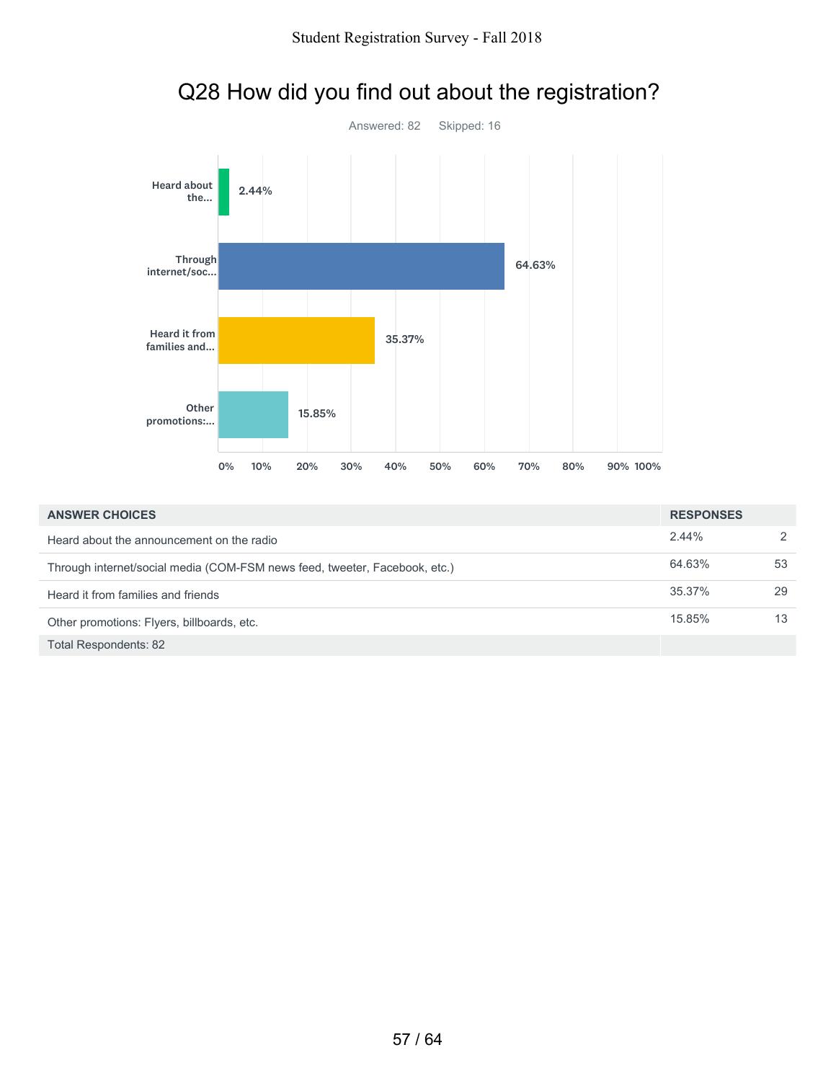

### Q28 How did you find out about the registration?

| <b>ANSWER CHOICES</b>                                                      | <b>RESPONSES</b> |    |
|----------------------------------------------------------------------------|------------------|----|
| Heard about the announcement on the radio                                  | 2.44%            | 2  |
| Through internet/social media (COM-FSM news feed, tweeter, Facebook, etc.) | 64.63%           | 53 |
| Heard it from families and friends                                         | 35.37%           | 29 |
| Other promotions: Flyers, billboards, etc.                                 | 15.85%           | 13 |
| <b>Total Respondents: 82</b>                                               |                  |    |

57 / 64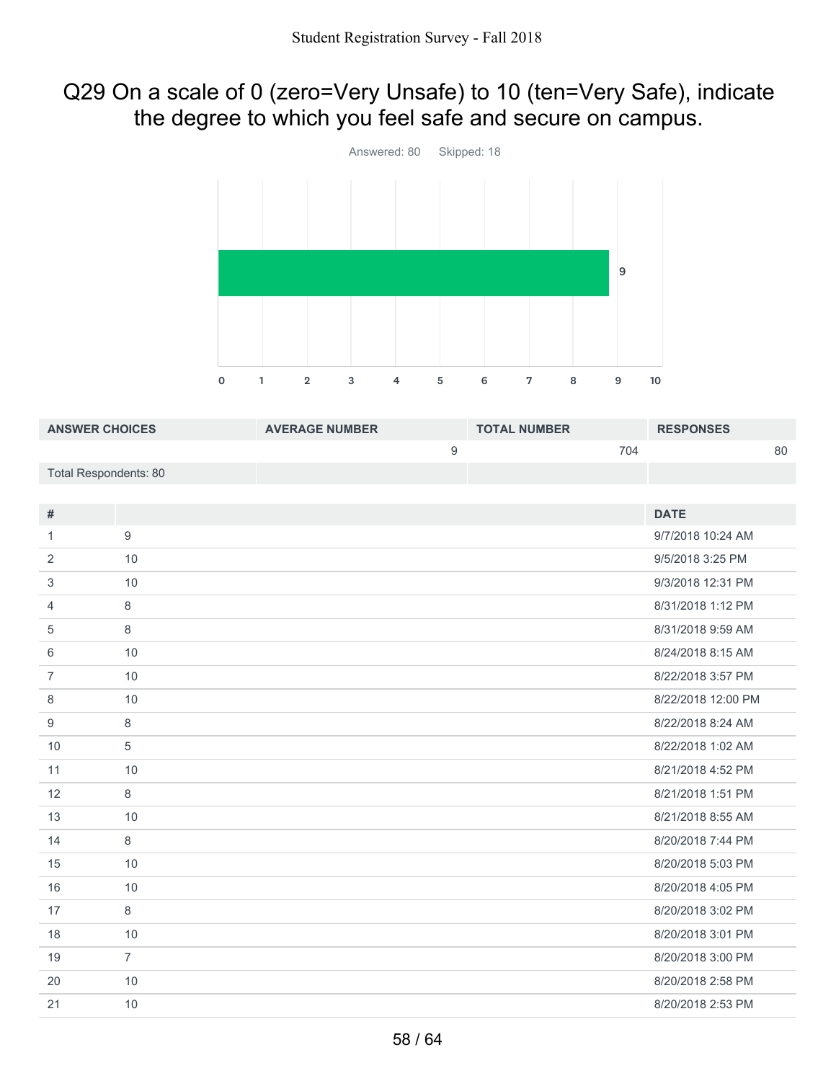### Q29 On a scale of 0 (zero=Very Unsafe) to 10 (ten=Very Safe), indicate the degree to which you feel safe and secure on campus.



| <b>ANSWER CHOICES</b>        |                | <b>AVERAGE NUMBER</b> |                  | <b>TOTAL NUMBER</b> |     | <b>RESPONSES</b>   |    |
|------------------------------|----------------|-----------------------|------------------|---------------------|-----|--------------------|----|
|                              |                |                       | $\boldsymbol{9}$ |                     | 704 |                    | 80 |
| <b>Total Respondents: 80</b> |                |                       |                  |                     |     |                    |    |
|                              |                |                       |                  |                     |     |                    |    |
| #                            |                |                       |                  |                     |     | <b>DATE</b>        |    |
| $\mathbf{1}$                 | 9              |                       |                  |                     |     | 9/7/2018 10:24 AM  |    |
| $\overline{2}$               | 10             |                       |                  |                     |     | 9/5/2018 3:25 PM   |    |
| 3                            | 10             |                       |                  |                     |     | 9/3/2018 12:31 PM  |    |
| $\overline{4}$               | $\,8\,$        |                       |                  |                     |     | 8/31/2018 1:12 PM  |    |
| 5                            | $\,8\,$        |                       |                  |                     |     | 8/31/2018 9:59 AM  |    |
| 6                            | 10             |                       |                  |                     |     | 8/24/2018 8:15 AM  |    |
| $\overline{7}$               | 10             |                       |                  |                     |     | 8/22/2018 3:57 PM  |    |
| 8                            | 10             |                       |                  |                     |     | 8/22/2018 12:00 PM |    |
| 9                            | $\,8\,$        |                       |                  |                     |     | 8/22/2018 8:24 AM  |    |
| 10                           | 5              |                       |                  |                     |     | 8/22/2018 1:02 AM  |    |
| 11                           | 10             |                       |                  |                     |     | 8/21/2018 4:52 PM  |    |
| 12                           | 8              |                       |                  |                     |     | 8/21/2018 1:51 PM  |    |
| 13                           | 10             |                       |                  |                     |     | 8/21/2018 8:55 AM  |    |
| 14                           | $\,8\,$        |                       |                  |                     |     | 8/20/2018 7:44 PM  |    |
| 15                           | 10             |                       |                  |                     |     | 8/20/2018 5:03 PM  |    |
| 16                           | 10             |                       |                  |                     |     | 8/20/2018 4:05 PM  |    |
| 17                           | $\,8\,$        |                       |                  |                     |     | 8/20/2018 3:02 PM  |    |
| 18                           | 10             |                       |                  |                     |     | 8/20/2018 3:01 PM  |    |
| 19                           | $\overline{7}$ |                       |                  |                     |     | 8/20/2018 3:00 PM  |    |
| 20                           | 10             |                       |                  |                     |     | 8/20/2018 2:58 PM  |    |
| 21                           | 10             |                       |                  |                     |     | 8/20/2018 2:53 PM  |    |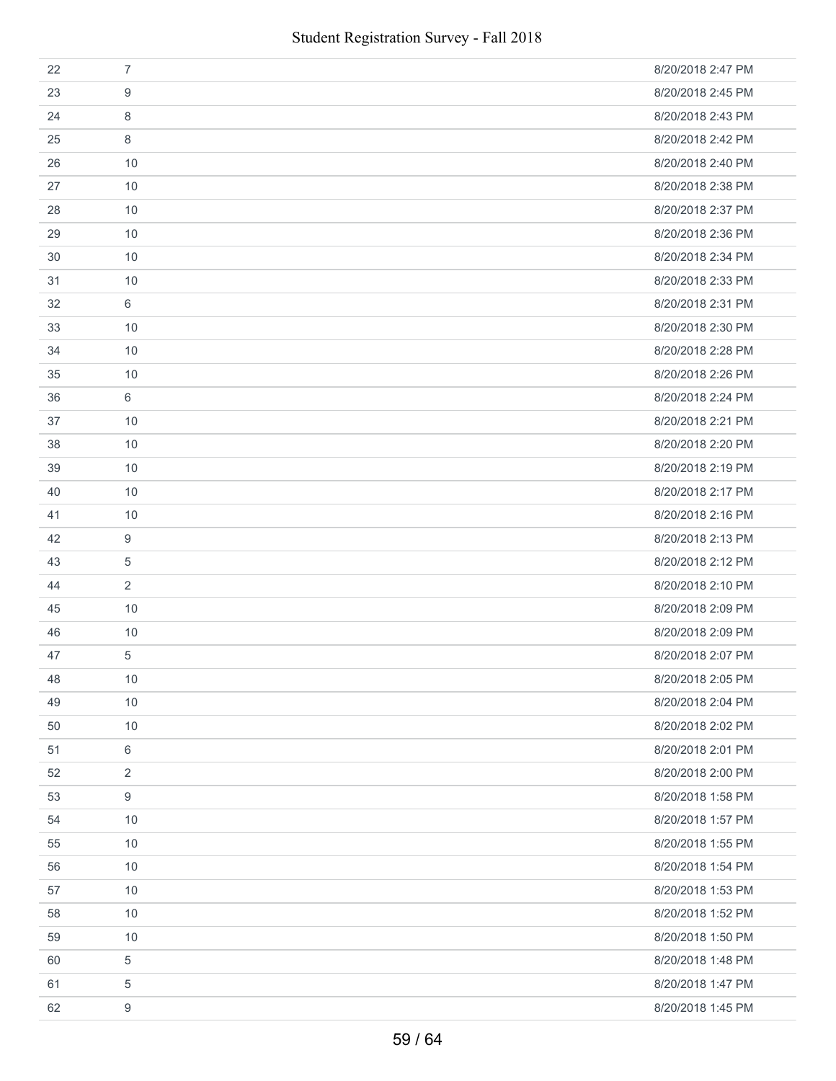| 22 | $\overline{7}$   | 8/20/2018 2:47 PM |
|----|------------------|-------------------|
| 23 | 9                | 8/20/2018 2:45 PM |
| 24 | 8                | 8/20/2018 2:43 PM |
| 25 | 8                | 8/20/2018 2:42 PM |
| 26 | 10               | 8/20/2018 2:40 PM |
| 27 | 10               | 8/20/2018 2:38 PM |
| 28 | 10               | 8/20/2018 2:37 PM |
| 29 | 10               | 8/20/2018 2:36 PM |
| 30 | 10               | 8/20/2018 2:34 PM |
| 31 | 10               | 8/20/2018 2:33 PM |
| 32 | 6                | 8/20/2018 2:31 PM |
| 33 | 10               | 8/20/2018 2:30 PM |
| 34 | 10               | 8/20/2018 2:28 PM |
| 35 | 10               | 8/20/2018 2:26 PM |
| 36 | 6                | 8/20/2018 2:24 PM |
| 37 | 10               | 8/20/2018 2:21 PM |
| 38 | 10               | 8/20/2018 2:20 PM |
| 39 | 10               | 8/20/2018 2:19 PM |
| 40 | 10               | 8/20/2018 2:17 PM |
| 41 | 10               | 8/20/2018 2:16 PM |
| 42 | 9                | 8/20/2018 2:13 PM |
| 43 | 5                | 8/20/2018 2:12 PM |
| 44 | $\overline{2}$   | 8/20/2018 2:10 PM |
| 45 | 10               | 8/20/2018 2:09 PM |
| 46 | 10               | 8/20/2018 2:09 PM |
| 47 | 5                | 8/20/2018 2:07 PM |
| 48 | 10               | 8/20/2018 2:05 PM |
| 49 | 10               | 8/20/2018 2:04 PM |
| 50 | 10               | 8/20/2018 2:02 PM |
| 51 | 6                | 8/20/2018 2:01 PM |
| 52 | $\overline{2}$   | 8/20/2018 2:00 PM |
| 53 | 9                | 8/20/2018 1:58 PM |
| 54 | 10               | 8/20/2018 1:57 PM |
| 55 | 10               | 8/20/2018 1:55 PM |
| 56 | 10               | 8/20/2018 1:54 PM |
| 57 | 10               | 8/20/2018 1:53 PM |
| 58 | 10               | 8/20/2018 1:52 PM |
| 59 | 10               | 8/20/2018 1:50 PM |
| 60 | 5                | 8/20/2018 1:48 PM |
| 61 | 5                | 8/20/2018 1:47 PM |
| 62 | $\boldsymbol{9}$ | 8/20/2018 1:45 PM |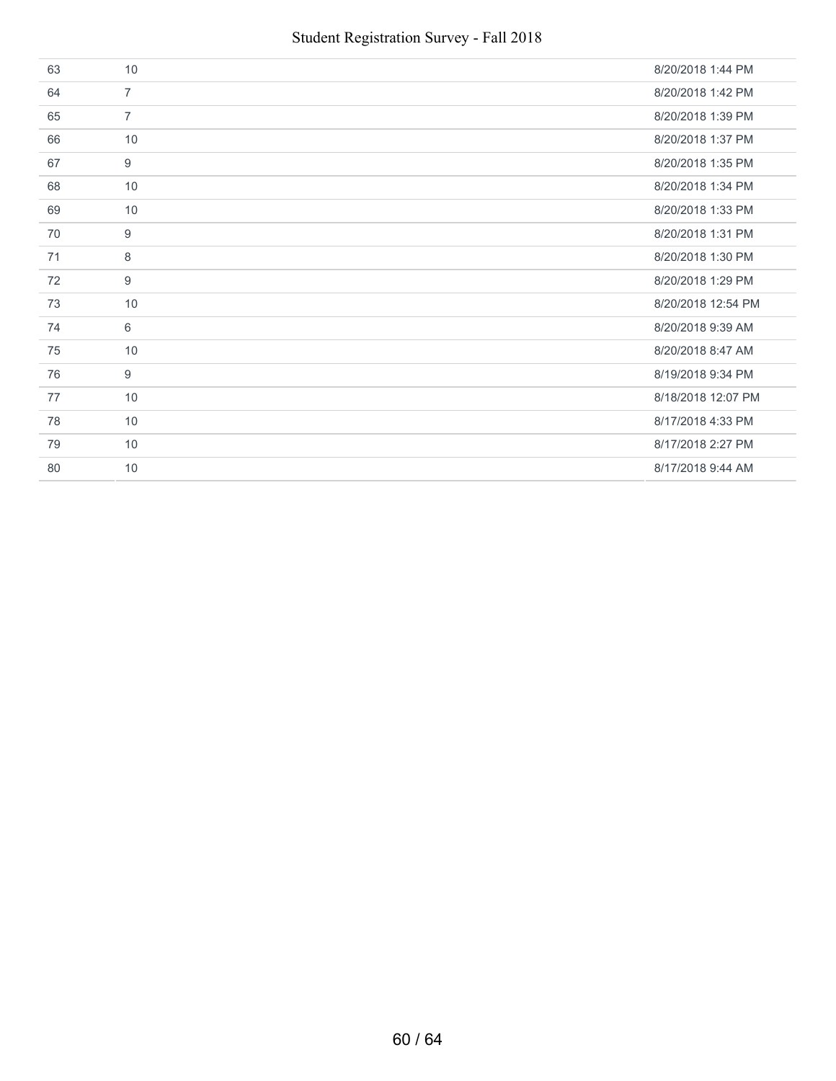| 63 | 10             | 8/20/2018 1:44 PM  |
|----|----------------|--------------------|
| 64 | $\overline{7}$ | 8/20/2018 1:42 PM  |
| 65 | $\overline{7}$ | 8/20/2018 1:39 PM  |
| 66 | 10             | 8/20/2018 1:37 PM  |
| 67 | 9              | 8/20/2018 1:35 PM  |
| 68 | 10             | 8/20/2018 1:34 PM  |
| 69 | 10             | 8/20/2018 1:33 PM  |
| 70 | 9              | 8/20/2018 1:31 PM  |
| 71 | 8              | 8/20/2018 1:30 PM  |
| 72 | 9              | 8/20/2018 1:29 PM  |
| 73 | 10             | 8/20/2018 12:54 PM |
| 74 | 6              | 8/20/2018 9:39 AM  |
| 75 | 10             | 8/20/2018 8:47 AM  |
| 76 | 9              | 8/19/2018 9:34 PM  |
| 77 | 10             | 8/18/2018 12:07 PM |
| 78 | 10             | 8/17/2018 4:33 PM  |
| 79 | 10             | 8/17/2018 2:27 PM  |
| 80 | 10             | 8/17/2018 9:44 AM  |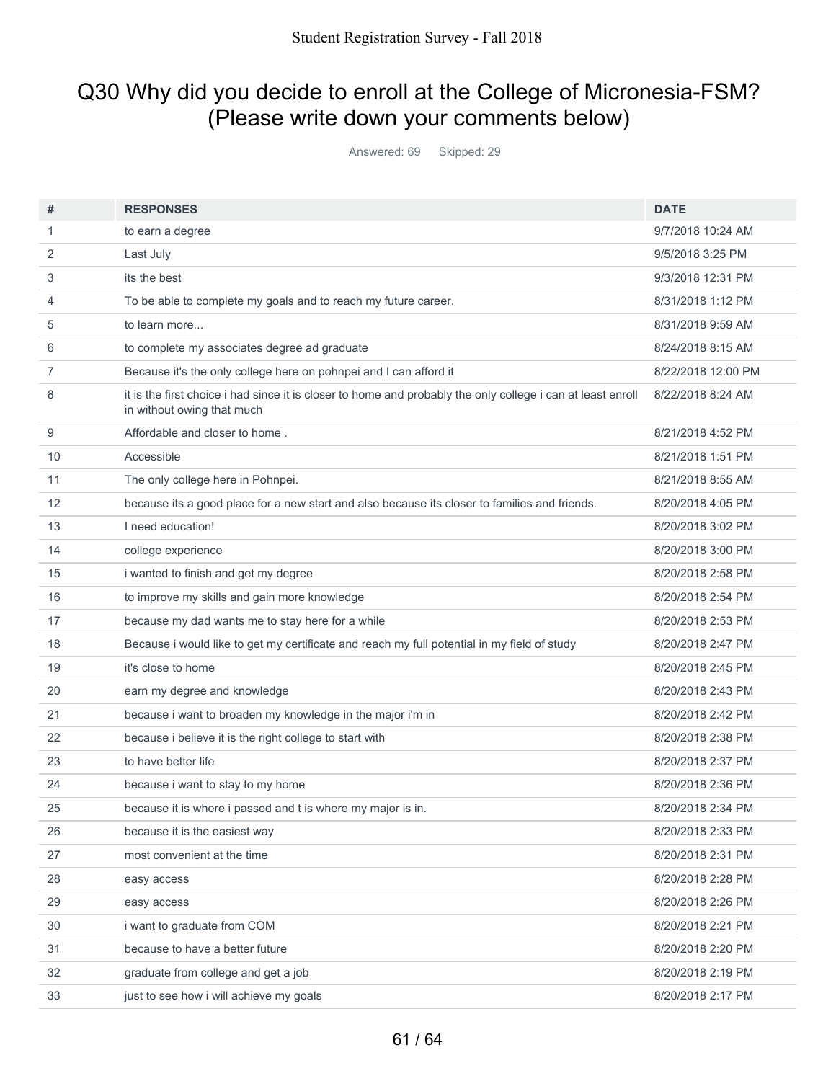### Q30 Why did you decide to enroll at the College of Micronesia-FSM? (Please write down your comments below)

Answered: 69 Skipped: 29

| #              | <b>RESPONSES</b>                                                                                                                          | <b>DATE</b>        |
|----------------|-------------------------------------------------------------------------------------------------------------------------------------------|--------------------|
| 1              | to earn a degree                                                                                                                          | 9/7/2018 10:24 AM  |
| 2              | Last July                                                                                                                                 | 9/5/2018 3:25 PM   |
| 3              | its the best                                                                                                                              | 9/3/2018 12:31 PM  |
| 4              | To be able to complete my goals and to reach my future career.                                                                            | 8/31/2018 1:12 PM  |
| 5              | to learn more                                                                                                                             | 8/31/2018 9:59 AM  |
| 6              | to complete my associates degree ad graduate                                                                                              | 8/24/2018 8:15 AM  |
| $\overline{7}$ | Because it's the only college here on pohnpei and I can afford it                                                                         | 8/22/2018 12:00 PM |
| 8              | it is the first choice i had since it is closer to home and probably the only college i can at least enroll<br>in without owing that much | 8/22/2018 8:24 AM  |
| 9              | Affordable and closer to home.                                                                                                            | 8/21/2018 4:52 PM  |
| 10             | Accessible                                                                                                                                | 8/21/2018 1:51 PM  |
| 11             | The only college here in Pohnpei.                                                                                                         | 8/21/2018 8:55 AM  |
| 12             | because its a good place for a new start and also because its closer to families and friends.                                             | 8/20/2018 4:05 PM  |
| 13             | I need education!                                                                                                                         | 8/20/2018 3:02 PM  |
| 14             | college experience                                                                                                                        | 8/20/2018 3:00 PM  |
| 15             | i wanted to finish and get my degree                                                                                                      | 8/20/2018 2:58 PM  |
| 16             | to improve my skills and gain more knowledge                                                                                              | 8/20/2018 2:54 PM  |
| 17             | because my dad wants me to stay here for a while                                                                                          | 8/20/2018 2:53 PM  |
| 18             | Because i would like to get my certificate and reach my full potential in my field of study                                               | 8/20/2018 2:47 PM  |
| 19             | it's close to home                                                                                                                        | 8/20/2018 2:45 PM  |
| 20             | earn my degree and knowledge                                                                                                              | 8/20/2018 2:43 PM  |
| 21             | because i want to broaden my knowledge in the major i'm in                                                                                | 8/20/2018 2:42 PM  |
| 22             | because i believe it is the right college to start with                                                                                   | 8/20/2018 2:38 PM  |
| 23             | to have better life                                                                                                                       | 8/20/2018 2:37 PM  |
| 24             | because i want to stay to my home                                                                                                         | 8/20/2018 2:36 PM  |
| 25             | because it is where i passed and t is where my major is in.                                                                               | 8/20/2018 2:34 PM  |
| 26             | because it is the easiest way                                                                                                             | 8/20/2018 2:33 PM  |
| 27             | most convenient at the time                                                                                                               | 8/20/2018 2:31 PM  |
| 28             | easy access                                                                                                                               | 8/20/2018 2:28 PM  |
| 29             | easy access                                                                                                                               | 8/20/2018 2:26 PM  |
| 30             | i want to graduate from COM                                                                                                               | 8/20/2018 2:21 PM  |
| 31             | because to have a better future                                                                                                           | 8/20/2018 2:20 PM  |
| 32             | graduate from college and get a job                                                                                                       | 8/20/2018 2:19 PM  |
| 33             | just to see how i will achieve my goals                                                                                                   | 8/20/2018 2:17 PM  |
|                |                                                                                                                                           |                    |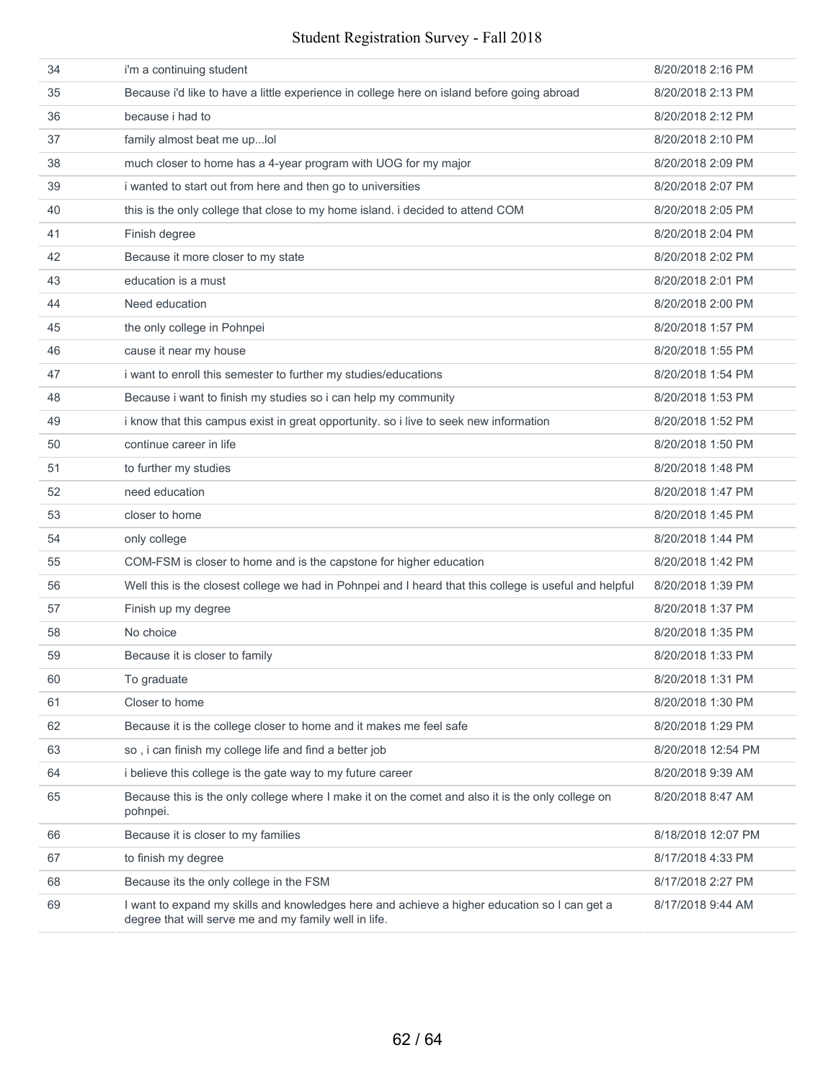#### Student Registration Survey - Fall 2018

| 34 | i'm a continuing student                                                                                                                              | 8/20/2018 2:16 PM  |
|----|-------------------------------------------------------------------------------------------------------------------------------------------------------|--------------------|
| 35 | Because i'd like to have a little experience in college here on island before going abroad                                                            | 8/20/2018 2:13 PM  |
| 36 | because i had to                                                                                                                                      | 8/20/2018 2:12 PM  |
| 37 | family almost beat me uplol                                                                                                                           | 8/20/2018 2:10 PM  |
| 38 | much closer to home has a 4-year program with UOG for my major                                                                                        | 8/20/2018 2:09 PM  |
| 39 | i wanted to start out from here and then go to universities                                                                                           | 8/20/2018 2:07 PM  |
| 40 | this is the only college that close to my home island. i decided to attend COM                                                                        | 8/20/2018 2:05 PM  |
| 41 | Finish degree                                                                                                                                         | 8/20/2018 2:04 PM  |
| 42 | Because it more closer to my state                                                                                                                    | 8/20/2018 2:02 PM  |
| 43 | education is a must                                                                                                                                   | 8/20/2018 2:01 PM  |
| 44 | Need education                                                                                                                                        | 8/20/2018 2:00 PM  |
| 45 | the only college in Pohnpei                                                                                                                           | 8/20/2018 1:57 PM  |
| 46 | cause it near my house                                                                                                                                | 8/20/2018 1:55 PM  |
| 47 | i want to enroll this semester to further my studies/educations                                                                                       | 8/20/2018 1:54 PM  |
| 48 | Because i want to finish my studies so i can help my community                                                                                        | 8/20/2018 1:53 PM  |
| 49 | i know that this campus exist in great opportunity. so i live to seek new information                                                                 | 8/20/2018 1:52 PM  |
| 50 | continue career in life                                                                                                                               | 8/20/2018 1:50 PM  |
| 51 | to further my studies                                                                                                                                 | 8/20/2018 1:48 PM  |
| 52 | need education                                                                                                                                        | 8/20/2018 1:47 PM  |
| 53 | closer to home                                                                                                                                        | 8/20/2018 1:45 PM  |
| 54 | only college                                                                                                                                          | 8/20/2018 1:44 PM  |
| 55 | COM-FSM is closer to home and is the capstone for higher education                                                                                    | 8/20/2018 1:42 PM  |
| 56 | Well this is the closest college we had in Pohnpei and I heard that this college is useful and helpful                                                | 8/20/2018 1:39 PM  |
| 57 | Finish up my degree                                                                                                                                   | 8/20/2018 1:37 PM  |
| 58 | No choice                                                                                                                                             | 8/20/2018 1:35 PM  |
| 59 | Because it is closer to family                                                                                                                        | 8/20/2018 1:33 PM  |
| 60 | To graduate                                                                                                                                           | 8/20/2018 1:31 PM  |
| 61 | Closer to home                                                                                                                                        | 8/20/2018 1:30 PM  |
| 62 | Because it is the college closer to home and it makes me feel safe                                                                                    | 8/20/2018 1:29 PM  |
| 63 | so, i can finish my college life and find a better job                                                                                                | 8/20/2018 12:54 PM |
| 64 | i believe this college is the gate way to my future career                                                                                            | 8/20/2018 9:39 AM  |
| 65 | Because this is the only college where I make it on the comet and also it is the only college on<br>pohnpei.                                          | 8/20/2018 8:47 AM  |
| 66 | Because it is closer to my families                                                                                                                   | 8/18/2018 12:07 PM |
| 67 | to finish my degree                                                                                                                                   | 8/17/2018 4:33 PM  |
| 68 | Because its the only college in the FSM                                                                                                               | 8/17/2018 2:27 PM  |
| 69 | I want to expand my skills and knowledges here and achieve a higher education so I can get a<br>degree that will serve me and my family well in life. | 8/17/2018 9:44 AM  |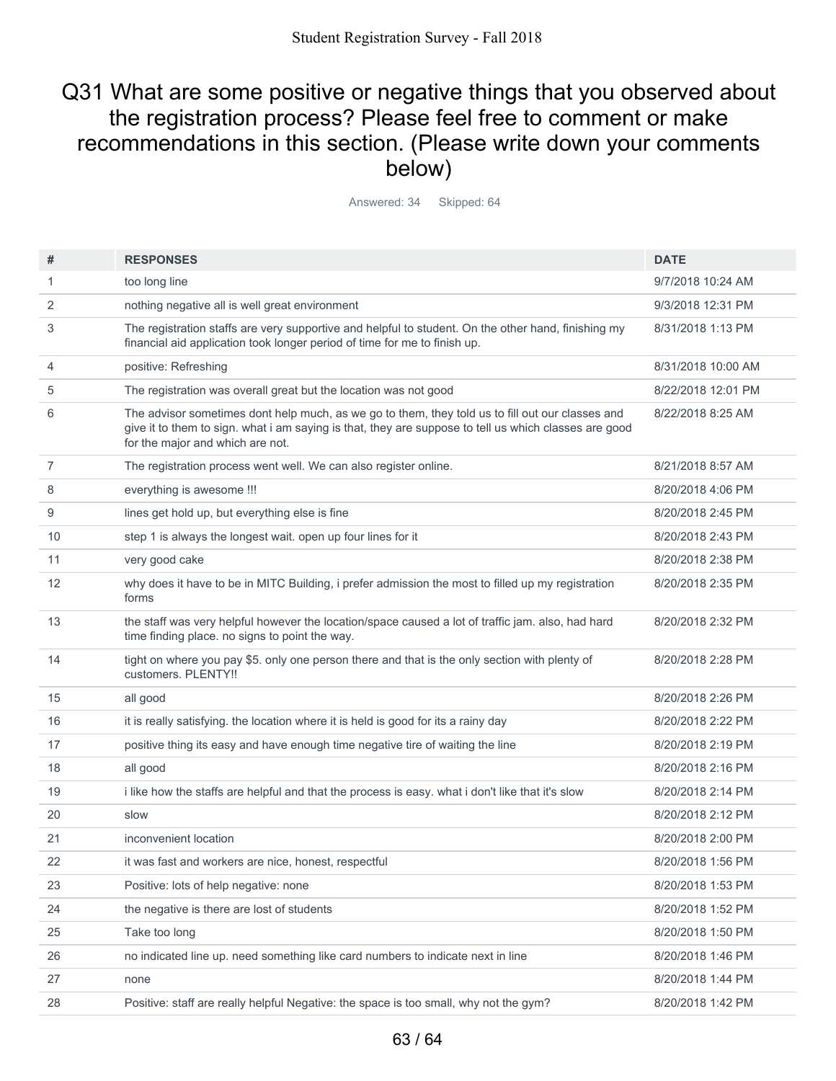### Q31 What are some positive or negative things that you observed about the registration process? Please feel free to comment or make recommendations in this section. (Please write down your comments below)

Answered: 34 Skipped: 64

| #              | <b>RESPONSES</b>                                                                                                                                                                                                                              | <b>DATE</b>        |
|----------------|-----------------------------------------------------------------------------------------------------------------------------------------------------------------------------------------------------------------------------------------------|--------------------|
| 1              | too long line                                                                                                                                                                                                                                 | 9/7/2018 10:24 AM  |
| 2              | nothing negative all is well great environment                                                                                                                                                                                                | 9/3/2018 12:31 PM  |
| 3              | The registration staffs are very supportive and helpful to student. On the other hand, finishing my<br>financial aid application took longer period of time for me to finish up.                                                              | 8/31/2018 1:13 PM  |
| 4              | positive: Refreshing                                                                                                                                                                                                                          | 8/31/2018 10:00 AM |
| 5              | The registration was overall great but the location was not good                                                                                                                                                                              | 8/22/2018 12:01 PM |
| 6              | The advisor sometimes dont help much, as we go to them, they told us to fill out our classes and<br>give it to them to sign. what i am saying is that, they are suppose to tell us which classes are good<br>for the major and which are not. | 8/22/2018 8:25 AM  |
| $\overline{7}$ | The registration process went well. We can also register online.                                                                                                                                                                              | 8/21/2018 8:57 AM  |
| 8              | everything is awesome !!!                                                                                                                                                                                                                     | 8/20/2018 4:06 PM  |
| 9              | lines get hold up, but everything else is fine                                                                                                                                                                                                | 8/20/2018 2:45 PM  |
| 10             | step 1 is always the longest wait. open up four lines for it                                                                                                                                                                                  | 8/20/2018 2:43 PM  |
| 11             | very good cake                                                                                                                                                                                                                                | 8/20/2018 2:38 PM  |
| 12             | why does it have to be in MITC Building, i prefer admission the most to filled up my registration<br>forms                                                                                                                                    | 8/20/2018 2:35 PM  |
| 13             | the staff was very helpful however the location/space caused a lot of traffic jam. also, had hard<br>time finding place. no signs to point the way.                                                                                           | 8/20/2018 2:32 PM  |
| 14             | tight on where you pay \$5. only one person there and that is the only section with plenty of<br>customers. PLENTY!!                                                                                                                          | 8/20/2018 2:28 PM  |
| 15             | all good                                                                                                                                                                                                                                      | 8/20/2018 2:26 PM  |
| 16             | it is really satisfying. the location where it is held is good for its a rainy day                                                                                                                                                            | 8/20/2018 2:22 PM  |
| 17             | positive thing its easy and have enough time negative tire of waiting the line                                                                                                                                                                | 8/20/2018 2:19 PM  |
| 18             | all good                                                                                                                                                                                                                                      | 8/20/2018 2:16 PM  |
| 19             | i like how the staffs are helpful and that the process is easy. what i don't like that it's slow                                                                                                                                              | 8/20/2018 2:14 PM  |
| 20             | slow                                                                                                                                                                                                                                          | 8/20/2018 2:12 PM  |
| 21             | inconvenient location                                                                                                                                                                                                                         | 8/20/2018 2:00 PM  |
| 22             | it was fast and workers are nice, honest, respectful                                                                                                                                                                                          | 8/20/2018 1:56 PM  |
| 23             | Positive: lots of help negative: none                                                                                                                                                                                                         | 8/20/2018 1:53 PM  |
| 24             | the negative is there are lost of students                                                                                                                                                                                                    | 8/20/2018 1:52 PM  |
| 25             | Take too long                                                                                                                                                                                                                                 | 8/20/2018 1:50 PM  |
| 26             | no indicated line up. need something like card numbers to indicate next in line                                                                                                                                                               | 8/20/2018 1:46 PM  |
| 27             | none                                                                                                                                                                                                                                          | 8/20/2018 1:44 PM  |
| 28             | Positive: staff are really helpful Negative: the space is too small, why not the gym?                                                                                                                                                         | 8/20/2018 1:42 PM  |